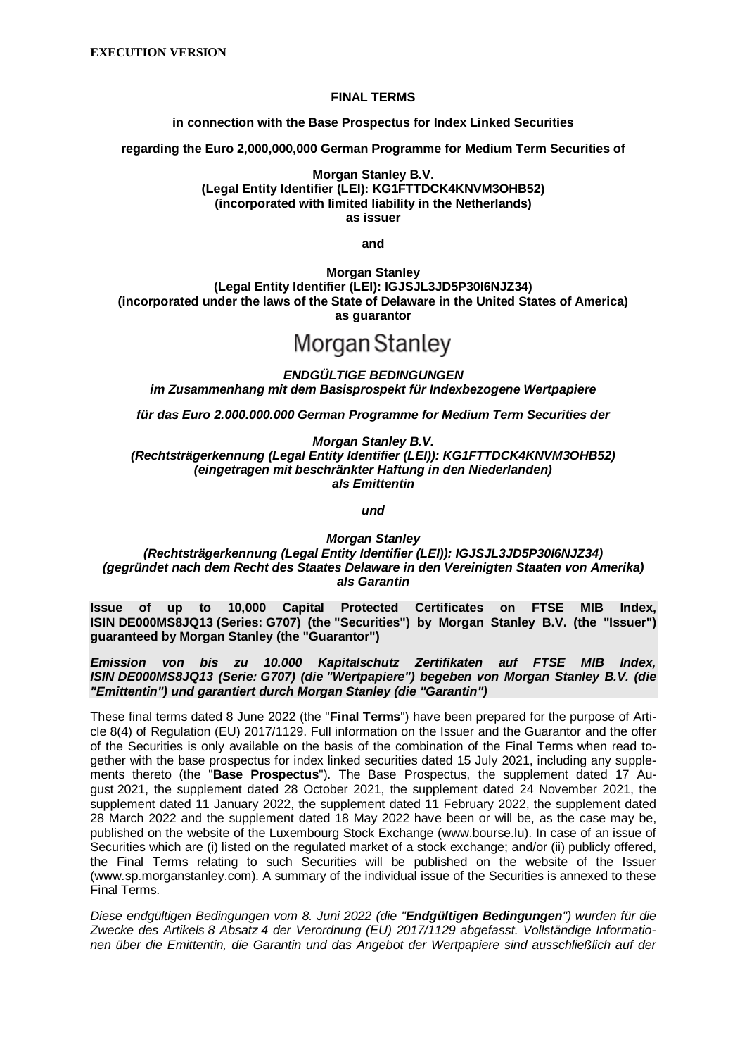#### **FINAL TERMS**

**in connection with the Base Prospectus for Index Linked Securities**

**regarding the Euro 2,000,000,000 German Programme for Medium Term Securities of**

**Morgan Stanley B.V. (Legal Entity Identifier (LEI): KG1FTTDCK4KNVM3OHB52) (incorporated with limited liability in the Netherlands) as issuer**

**and**

**Morgan Stanley (Legal Entity Identifier (LEI): IGJSJL3JD5P30I6NJZ34) (incorporated under the laws of the State of Delaware in the United States of America) as guarantor**

# Morgan Stanley

*ENDGÜLTIGE BEDINGUNGEN im Zusammenhang mit dem Basisprospekt für Indexbezogene Wertpapiere*

*für das Euro 2.000.000.000 German Programme for Medium Term Securities der*

*Morgan Stanley B.V.*

*(Rechtsträgerkennung (Legal Entity Identifier (LEI)): KG1FTTDCK4KNVM3OHB52) (eingetragen mit beschränkter Haftung in den Niederlanden) als Emittentin*

*und*

*Morgan Stanley*

*(Rechtsträgerkennung (Legal Entity Identifier (LEI)): IGJSJL3JD5P30I6NJZ34) (gegründet nach dem Recht des Staates Delaware in den Vereinigten Staaten von Amerika) als Garantin*

**Issue of up to 10,000 Capital Protected Certificates on FTSE MIB Index, ISIN DE000MS8JQ13 (Series: G707) (the "Securities") by Morgan Stanley B.V. (the "Issuer") guaranteed by Morgan Stanley (the "Guarantor")**

*Emission von bis zu 10.000 Kapitalschutz Zertifikaten auf FTSE MIB Index, ISIN DE000MS8JQ13 (Serie: G707) (die "Wertpapiere") begeben von Morgan Stanley B.V. (die "Emittentin") und garantiert durch Morgan Stanley (die "Garantin")*

These final terms dated 8 June 2022 (the "**Final Terms**") have been prepared for the purpose of Article 8(4) of Regulation (EU) 2017/1129. Full information on the Issuer and the Guarantor and the offer of the Securities is only available on the basis of the combination of the Final Terms when read together with the base prospectus for index linked securities dated 15 July 2021, including any supplements thereto (the "**Base Prospectus**"). The Base Prospectus, the supplement dated 17 August 2021, the supplement dated 28 October 2021, the supplement dated 24 November 2021, the supplement dated 11 January 2022, the supplement dated 11 February 2022, the supplement dated 28 March 2022 and the supplement dated 18 May 2022 have been or will be, as the case may be, published on the website of the Luxembourg Stock Exchange (www.bourse.lu). In case of an issue of Securities which are (i) listed on the regulated market of a stock exchange; and/or (ii) publicly offered, the Final Terms relating to such Securities will be published on the website of the Issuer (www.sp.morganstanley.com). A summary of the individual issue of the Securities is annexed to these Final Terms.

*Diese endgültigen Bedingungen vom 8. Juni 2022 (die "Endgültigen Bedingungen") wurden für die Zwecke des Artikels 8 Absatz 4 der Verordnung (EU) 2017/1129 abgefasst. Vollständige Informationen über die Emittentin, die Garantin und das Angebot der Wertpapiere sind ausschließlich auf der*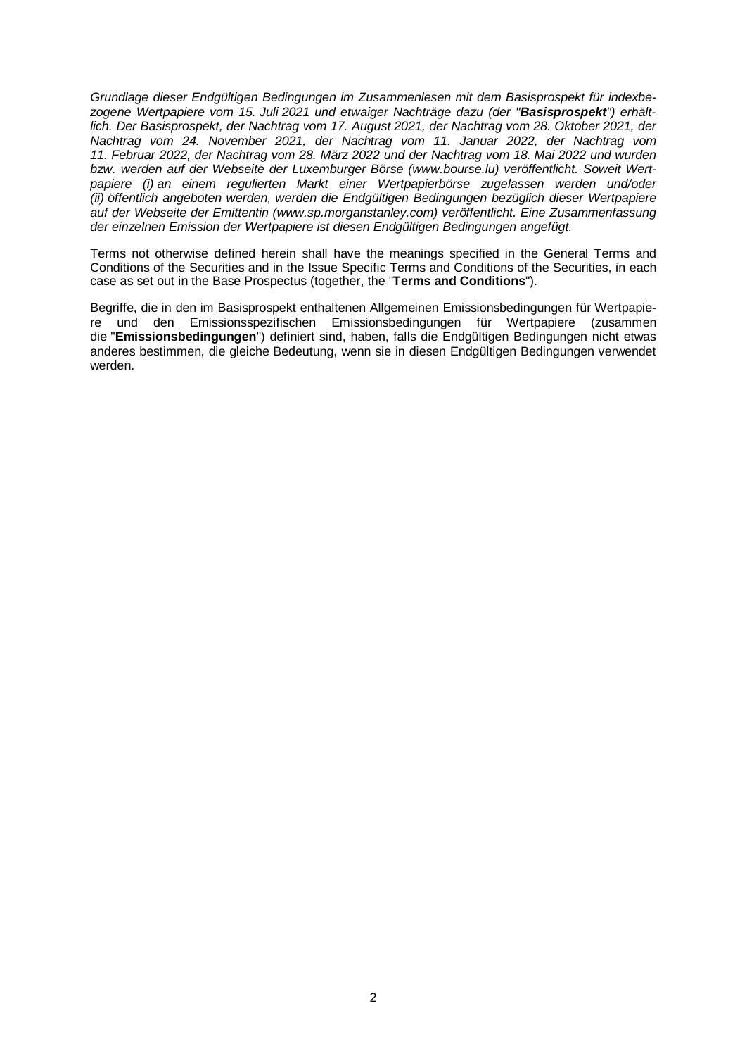*Grundlage dieser Endgültigen Bedingungen im Zusammenlesen mit dem Basisprospekt für indexbezogene Wertpapiere vom 15. Juli 2021 und etwaiger Nachträge dazu (der "Basisprospekt") erhältlich. Der Basisprospekt, der Nachtrag vom 17. August 2021, der Nachtrag vom 28. Oktober 2021, der Nachtrag vom 24. November 2021, der Nachtrag vom 11. Januar 2022, der Nachtrag vom 11. Februar 2022, der Nachtrag vom 28. März 2022 und der Nachtrag vom 18. Mai 2022 und wurden bzw. werden auf der Webseite der Luxemburger Börse (www.bourse.lu) veröffentlicht. Soweit Wertpapiere (i) an einem regulierten Markt einer Wertpapierbörse zugelassen werden und/oder (ii) öffentlich angeboten werden, werden die Endgültigen Bedingungen bezüglich dieser Wertpapiere auf der Webseite der Emittentin (www.sp.morganstanley.com) veröffentlicht. Eine Zusammenfassung der einzelnen Emission der Wertpapiere ist diesen Endgültigen Bedingungen angefügt.*

Terms not otherwise defined herein shall have the meanings specified in the General Terms and Conditions of the Securities and in the Issue Specific Terms and Conditions of the Securities, in each case as set out in the Base Prospectus (together, the "**Terms and Conditions**").

Begriffe, die in den im Basisprospekt enthaltenen Allgemeinen Emissionsbedingungen für Wertpapiere und den Emissionsspezifischen Emissionsbedingungen für Wertpapiere (zusammen die "**Emissionsbedingungen**") definiert sind, haben, falls die Endgültigen Bedingungen nicht etwas anderes bestimmen, die gleiche Bedeutung, wenn sie in diesen Endgültigen Bedingungen verwendet werden.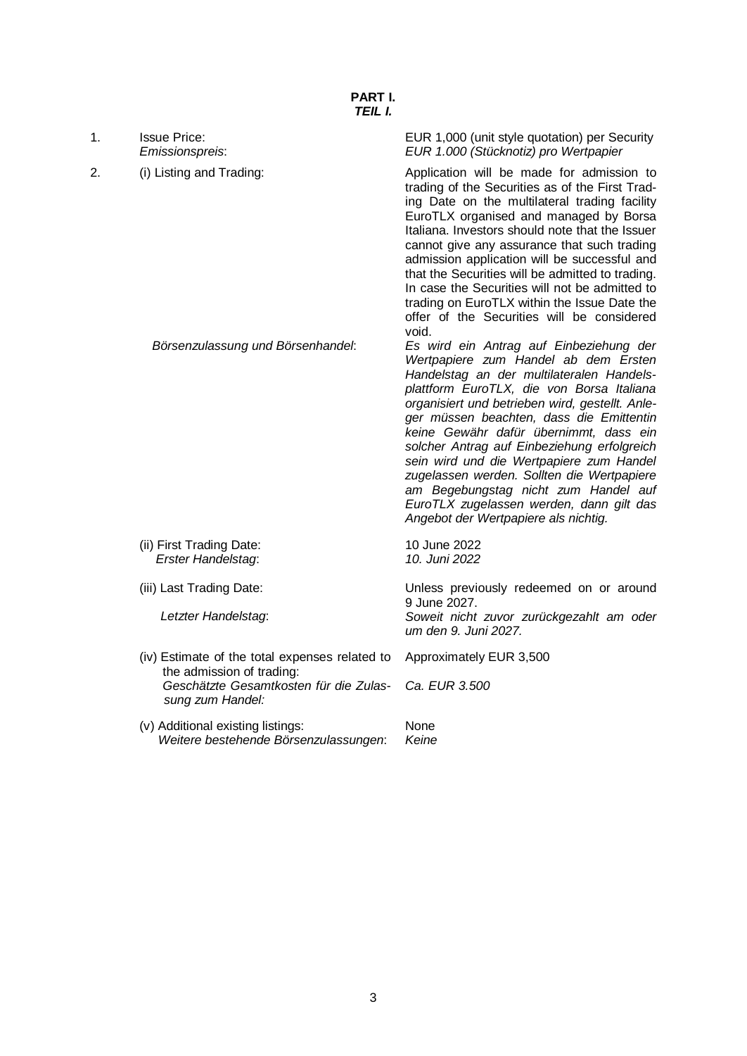| 1. | <b>Issue Price:</b><br>Emissionspreis:                                                                                                    | EUR 1,000 (unit style quotation) per Security<br>EUR 1.000 (Stücknotiz) pro Wertpapier                                                                                                                                                                                                                                                                                                                                                                                                                                                                                                  |
|----|-------------------------------------------------------------------------------------------------------------------------------------------|-----------------------------------------------------------------------------------------------------------------------------------------------------------------------------------------------------------------------------------------------------------------------------------------------------------------------------------------------------------------------------------------------------------------------------------------------------------------------------------------------------------------------------------------------------------------------------------------|
| 2. | (i) Listing and Trading:                                                                                                                  | Application will be made for admission to<br>trading of the Securities as of the First Trad-<br>ing Date on the multilateral trading facility<br>EuroTLX organised and managed by Borsa<br>Italiana. Investors should note that the Issuer<br>cannot give any assurance that such trading<br>admission application will be successful and<br>that the Securities will be admitted to trading.<br>In case the Securities will not be admitted to<br>trading on EuroTLX within the Issue Date the<br>offer of the Securities will be considered<br>void.                                  |
|    | Börsenzulassung und Börsenhandel:                                                                                                         | Es wird ein Antrag auf Einbeziehung der<br>Wertpapiere zum Handel ab dem Ersten<br>Handelstag an der multilateralen Handels-<br>plattform EuroTLX, die von Borsa Italiana<br>organisiert und betrieben wird, gestellt. Anle-<br>ger müssen beachten, dass die Emittentin<br>keine Gewähr dafür übernimmt, dass ein<br>solcher Antrag auf Einbeziehung erfolgreich<br>sein wird und die Wertpapiere zum Handel<br>zugelassen werden. Sollten die Wertpapiere<br>am Begebungstag nicht zum Handel auf<br>EuroTLX zugelassen werden, dann gilt das<br>Angebot der Wertpapiere als nichtig. |
|    | (ii) First Trading Date:<br>Erster Handelstag:                                                                                            | 10 June 2022<br>10. Juni 2022                                                                                                                                                                                                                                                                                                                                                                                                                                                                                                                                                           |
|    | (iii) Last Trading Date:                                                                                                                  | Unless previously redeemed on or around                                                                                                                                                                                                                                                                                                                                                                                                                                                                                                                                                 |
|    | Letzter Handelstag:                                                                                                                       | 9 June 2027.<br>Soweit nicht zuvor zurückgezahlt am oder<br>um den 9. Juni 2027.                                                                                                                                                                                                                                                                                                                                                                                                                                                                                                        |
|    | (iv) Estimate of the total expenses related to<br>the admission of trading:<br>Geschätzte Gesamtkosten für die Zulas-<br>sung zum Handel: | Approximately EUR 3,500<br>Ca. EUR 3.500                                                                                                                                                                                                                                                                                                                                                                                                                                                                                                                                                |
|    | (v) Additional existing listings:<br>Weitere bestehende Börsenzulassungen:                                                                | None<br>Keine                                                                                                                                                                                                                                                                                                                                                                                                                                                                                                                                                                           |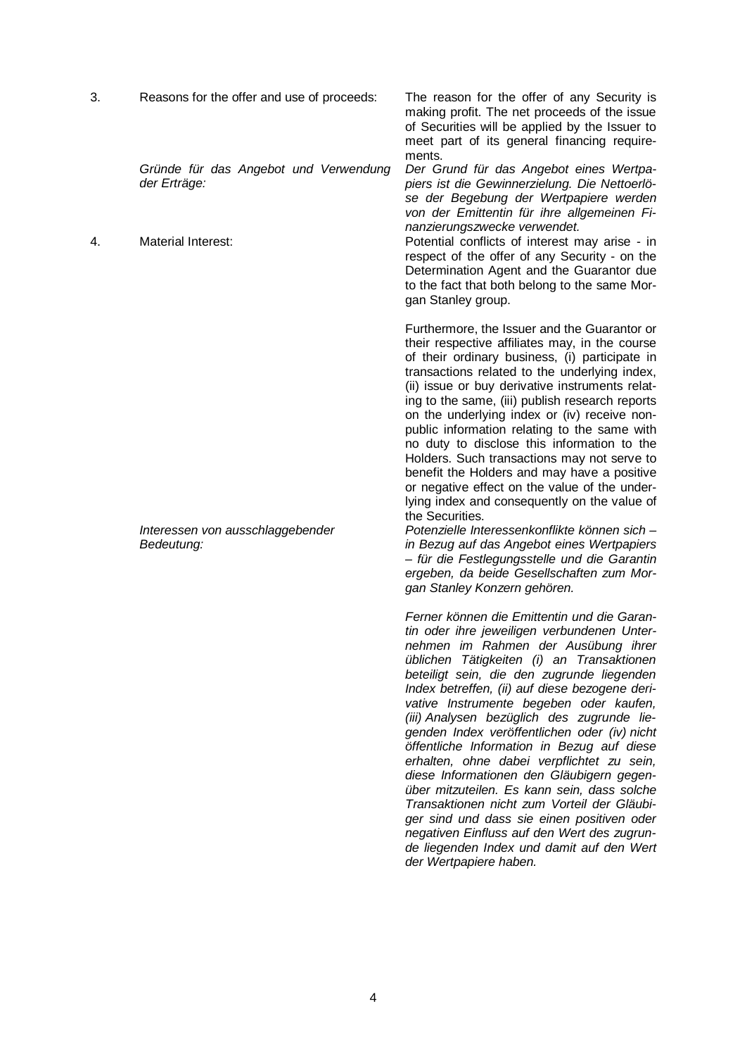| 3. | Reasons for the offer and use of proceeds:                                  | The reason for the offer of any Security is<br>making profit. The net proceeds of the issue<br>of Securities will be applied by the Issuer to<br>meet part of its general financing require-                                                                                                                                                                                                                                                                                                                                                                                                                                                                                                                                                                                                                                                                                                         |
|----|-----------------------------------------------------------------------------|------------------------------------------------------------------------------------------------------------------------------------------------------------------------------------------------------------------------------------------------------------------------------------------------------------------------------------------------------------------------------------------------------------------------------------------------------------------------------------------------------------------------------------------------------------------------------------------------------------------------------------------------------------------------------------------------------------------------------------------------------------------------------------------------------------------------------------------------------------------------------------------------------|
| 4. | Gründe für das Angebot und Verwendung<br>der Erträge:<br>Material Interest: | ments.<br>Der Grund für das Angebot eines Wertpa-<br>piers ist die Gewinnerzielung. Die Nettoerlö-<br>se der Begebung der Wertpapiere werden<br>von der Emittentin für ihre allgemeinen Fi-<br>nanzierungszwecke verwendet.<br>Potential conflicts of interest may arise - in                                                                                                                                                                                                                                                                                                                                                                                                                                                                                                                                                                                                                        |
|    |                                                                             | respect of the offer of any Security - on the<br>Determination Agent and the Guarantor due<br>to the fact that both belong to the same Mor-<br>gan Stanley group.                                                                                                                                                                                                                                                                                                                                                                                                                                                                                                                                                                                                                                                                                                                                    |
|    | Interessen von ausschlaggebender<br>Bedeutung:                              | Furthermore, the Issuer and the Guarantor or<br>their respective affiliates may, in the course<br>of their ordinary business, (i) participate in<br>transactions related to the underlying index,<br>(ii) issue or buy derivative instruments relat-<br>ing to the same, (iii) publish research reports<br>on the underlying index or (iv) receive non-<br>public information relating to the same with<br>no duty to disclose this information to the<br>Holders. Such transactions may not serve to<br>benefit the Holders and may have a positive<br>or negative effect on the value of the under-<br>lying index and consequently on the value of<br>the Securities.<br>Potenzielle Interessenkonflikte können sich -<br>in Bezug auf das Angebot eines Wertpapiers<br>- für die Festlegungsstelle und die Garantin<br>ergeben, da beide Gesellschaften zum Mor-<br>gan Stanley Konzern gehören. |
|    |                                                                             | Ferner können die Emittentin und die Garan-<br>tin oder ihre jeweiligen verbundenen Unter-<br>nehmen im Rahmen der Ausübung ihrer<br>üblichen Tätigkeiten (i) an Transaktionen<br>beteiligt sein, die den zugrunde liegenden<br>Index betreffen, (ii) auf diese bezogene deri-<br>vative Instrumente begeben oder kaufen,<br>(iii) Analysen bezüglich des zugrunde lie-<br>genden Index veröffentlichen oder (iv) nicht<br>öffentliche Information in Bezug auf diese<br>erhalten, ohne dabei verpflichtet zu sein,<br>diese Informationen den Gläubigern gegen-<br>über mitzuteilen. Es kann sein, dass solche<br>Transaktionen nicht zum Vorteil der Gläubi-<br>ger sind und dass sie einen positiven oder<br>negativen Einfluss auf den Wert des zugrun-<br>de liegenden Index und damit auf den Wert<br>der Wertpapiere haben.                                                                   |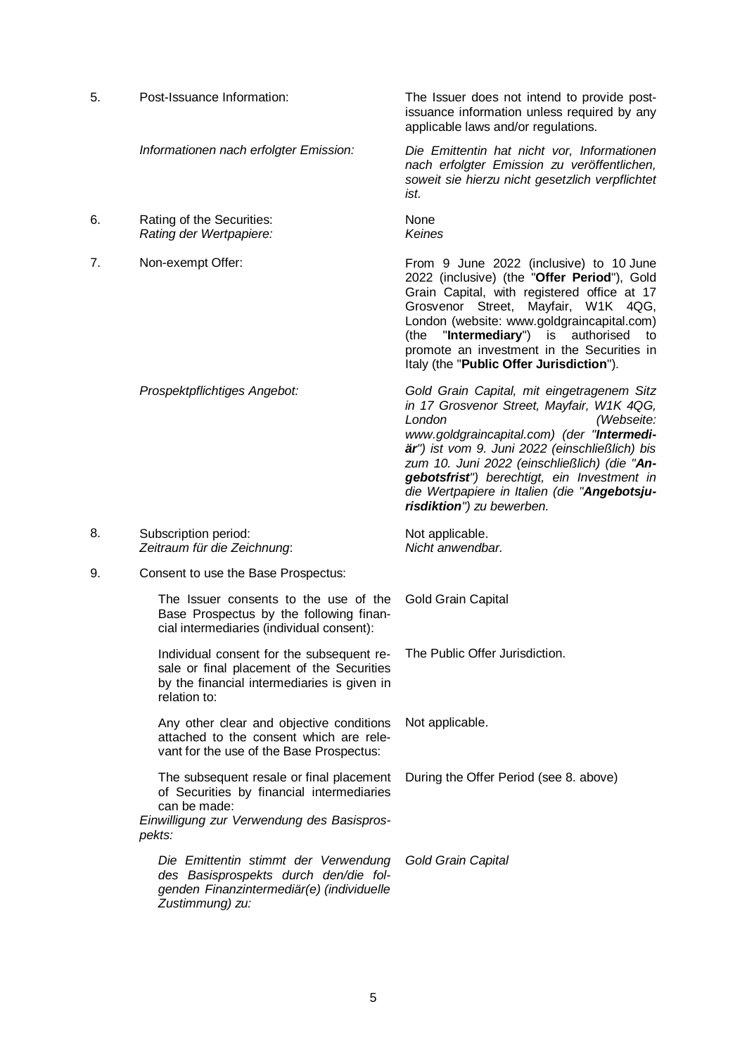5. Post-Issuance Information: The Issuer does not intend to provide postissuance information unless required by any applicable laws and/or regulations. *Informationen nach erfolgter Emission: Die Emittentin hat nicht vor, Informationen nach erfolgter Emission zu veröffentlichen, soweit sie hierzu nicht gesetzlich verpflichtet ist.* 6. Rating of the Securities: *Rating der Wertpapiere:* None *Keines* 7. Non-exempt Offer: From 9 June 2022 (inclusive) to 10 June 2022 (inclusive) (the "**Offer Period**"), Gold Grain Capital, with registered office at 17 Grosvenor Street, Mayfair, W1K 4QG, London (website: www.goldgraincapital.com)<br>(the "Intermediary") is authorised to "**Intermediary**") is authorised to promote an investment in the Securities in Italy (the "**Public Offer Jurisdiction**"). *Prospektpflichtiges Angebot: Gold Grain Capital, mit eingetragenem Sitz in 17 Grosvenor Street, Mayfair, W1K 4QG, London (Webseite: www.goldgraincapital.com) (der "Intermediär") ist vom 9. Juni 2022 (einschließlich) bis zum 10. Juni 2022 (einschließlich) (die "Angebotsfrist") berechtigt, ein Investment in die Wertpapiere in Italien (die "Angebotsjurisdiktion") zu bewerben.* 8. Subscription period: *Zeitraum für die Zeichnung*: Not applicable. *Nicht anwendbar.* 9. Consent to use the Base Prospectus: The Issuer consents to the use of the Base Prospectus by the following financial intermediaries (individual consent): Gold Grain Capital Individual consent for the subsequent resale or final placement of the Securities by the financial intermediaries is given in relation to: The Public Offer Jurisdiction. Any other clear and objective conditions attached to the consent which are relevant for the use of the Base Prospectus: Not applicable. The subsequent resale or final placement of Securities by financial intermediaries can be made: During the Offer Period (see 8. above) *Einwilligung zur Verwendung des Basisprospekts: Die Emittentin stimmt der Verwendung des Basisprospekts durch den/die folgenden Finanzintermediär(e) (individuelle Zustimmung) zu: Gold Grain Capital*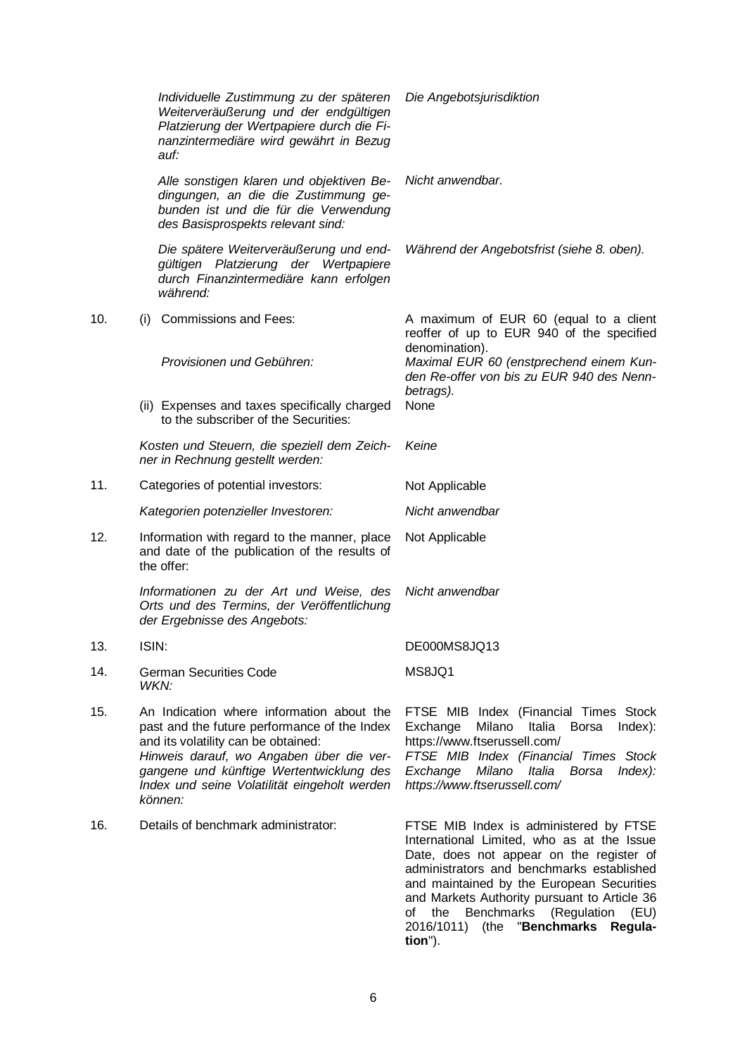|     |       | Individuelle Zustimmung zu der späteren<br>Weiterveräußerung und der endgültigen<br>Platzierung der Wertpapiere durch die Fi-<br>nanzintermediäre wird gewährt in Bezug<br>auf:                                                                                                     | Die Angebotsjurisdiktion                                                                                                                                                                                                                                                                                                                                                                 |
|-----|-------|-------------------------------------------------------------------------------------------------------------------------------------------------------------------------------------------------------------------------------------------------------------------------------------|------------------------------------------------------------------------------------------------------------------------------------------------------------------------------------------------------------------------------------------------------------------------------------------------------------------------------------------------------------------------------------------|
|     |       | Alle sonstigen klaren und objektiven Be-<br>dingungen, an die die Zustimmung ge-<br>bunden ist und die für die Verwendung<br>des Basisprospekts relevant sind:                                                                                                                      | Nicht anwendbar.                                                                                                                                                                                                                                                                                                                                                                         |
|     |       | Die spätere Weiterveräußerung und end-<br>gültigen Platzierung der Wertpapiere<br>durch Finanzintermediäre kann erfolgen<br>während:                                                                                                                                                | Während der Angebotsfrist (siehe 8. oben).                                                                                                                                                                                                                                                                                                                                               |
| 10. | (i)   | <b>Commissions and Fees:</b>                                                                                                                                                                                                                                                        | A maximum of EUR 60 (equal to a client<br>reoffer of up to EUR 940 of the specified<br>denomination).                                                                                                                                                                                                                                                                                    |
|     |       | Provisionen und Gebühren:                                                                                                                                                                                                                                                           | Maximal EUR 60 (enstprechend einem Kun-<br>den Re-offer von bis zu EUR 940 des Nenn-<br>betrags).                                                                                                                                                                                                                                                                                        |
|     |       | (ii) Expenses and taxes specifically charged<br>to the subscriber of the Securities:                                                                                                                                                                                                | None                                                                                                                                                                                                                                                                                                                                                                                     |
|     |       | Kosten und Steuern, die speziell dem Zeich-<br>ner in Rechnung gestellt werden:                                                                                                                                                                                                     | Keine                                                                                                                                                                                                                                                                                                                                                                                    |
| 11. |       | Categories of potential investors:                                                                                                                                                                                                                                                  | Not Applicable                                                                                                                                                                                                                                                                                                                                                                           |
|     |       | Kategorien potenzieller Investoren:                                                                                                                                                                                                                                                 | Nicht anwendbar                                                                                                                                                                                                                                                                                                                                                                          |
| 12. |       | Information with regard to the manner, place<br>and date of the publication of the results of<br>the offer:                                                                                                                                                                         | Not Applicable                                                                                                                                                                                                                                                                                                                                                                           |
|     |       | Informationen zu der Art und Weise, des<br>Orts und des Termins, der Veröffentlichung<br>der Ergebnisse des Angebots:                                                                                                                                                               | Nicht anwendbar                                                                                                                                                                                                                                                                                                                                                                          |
| 13. | ISIN: |                                                                                                                                                                                                                                                                                     | DE000MS8JQ13                                                                                                                                                                                                                                                                                                                                                                             |
| 14. | WKN:  | <b>German Securities Code</b>                                                                                                                                                                                                                                                       | MS8JQ1                                                                                                                                                                                                                                                                                                                                                                                   |
| 15. |       | An Indication where information about the<br>past and the future performance of the Index<br>and its volatility can be obtained:<br>Hinweis darauf, wo Angaben über die ver-<br>gangene und künftige Wertentwicklung des<br>Index und seine Volatilität eingeholt werden<br>können: | FTSE MIB Index (Financial Times Stock<br>Milano<br>Italia<br>Exchange<br>$Index)$ :<br>Borsa<br>https://www.ftserussell.com/<br>FTSE MIB Index (Financial Times Stock<br>Milano<br>Exchange<br>Italia<br><b>Borsa</b><br>$Index$ :<br>https://www.ftserussell.com/                                                                                                                       |
| 16. |       | Details of benchmark administrator:                                                                                                                                                                                                                                                 | FTSE MIB Index is administered by FTSE<br>International Limited, who as at the Issue<br>Date, does not appear on the register of<br>administrators and benchmarks established<br>and maintained by the European Securities<br>and Markets Authority pursuant to Article 36<br><b>Benchmarks</b><br>(Regulation<br>of<br>the<br>(EU)<br>(the "Benchmarks Regula-<br>2016/1011)<br>tion"). |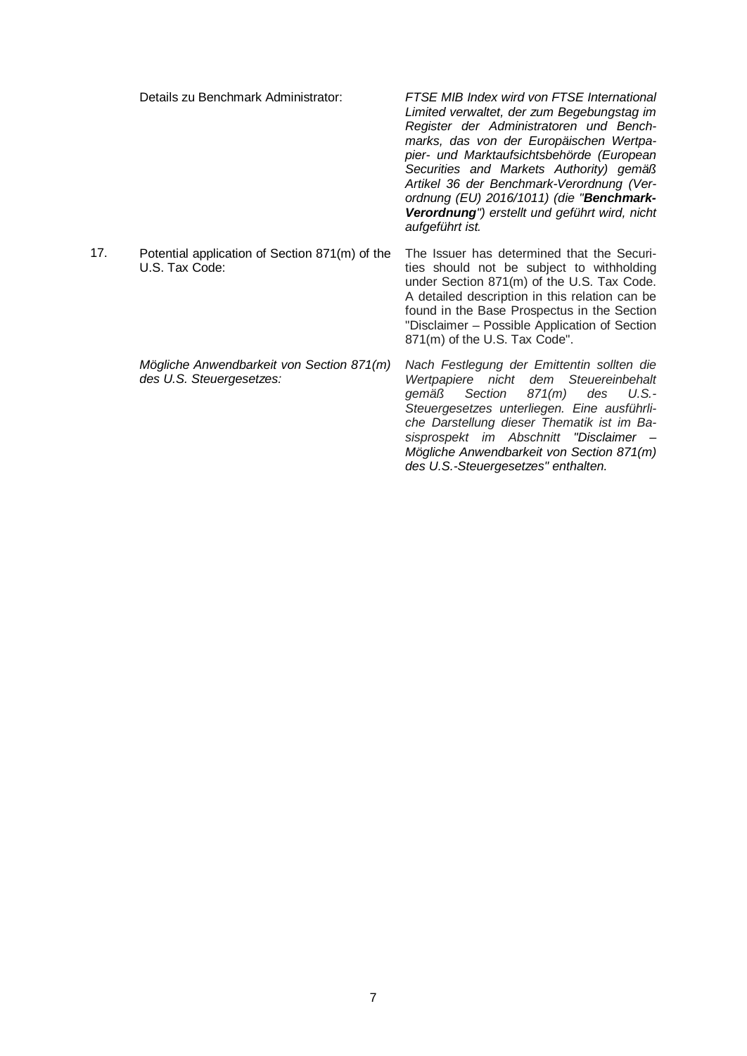Details zu Benchmark Administrator: *FTSE MIB Index wird von FTSE International Limited verwaltet, der zum Begebungstag im Register der Administratoren und Benchmarks, das von der Europäischen Wertpapier- und Marktaufsichtsbehörde (European Securities and Markets Authority) gemäß Artikel 36 der Benchmark-Verordnung (Verordnung (EU) 2016/1011) (die "Benchmark-Verordnung") erstellt und geführt wird, nicht aufgeführt ist.* 17. Potential application of Section 871(m) of the U.S. Tax Code: The Issuer has determined that the Securities should not be subject to withholding under Section 871(m) of the U.S. Tax Code. A detailed description in this relation can be found in the Base Prospectus in the Section "Disclaimer – Possible Application of Section 871(m) of the U.S. Tax Code". *Mögliche Anwendbarkeit von Section 871(m) des U.S. Steuergesetzes: Nach Festlegung der Emittentin sollten die Wertpapiere nicht dem Steuereinbehalt gemäß Section 871(m) des U.S.- Steuergesetzes unterliegen. Eine ausführliche Darstellung dieser Thematik ist im Basisprospekt im Abschnitt "Disclaimer – Mögliche Anwendbarkeit von Section 871(m)* 

*des U.S.-Steuergesetzes" enthalten.*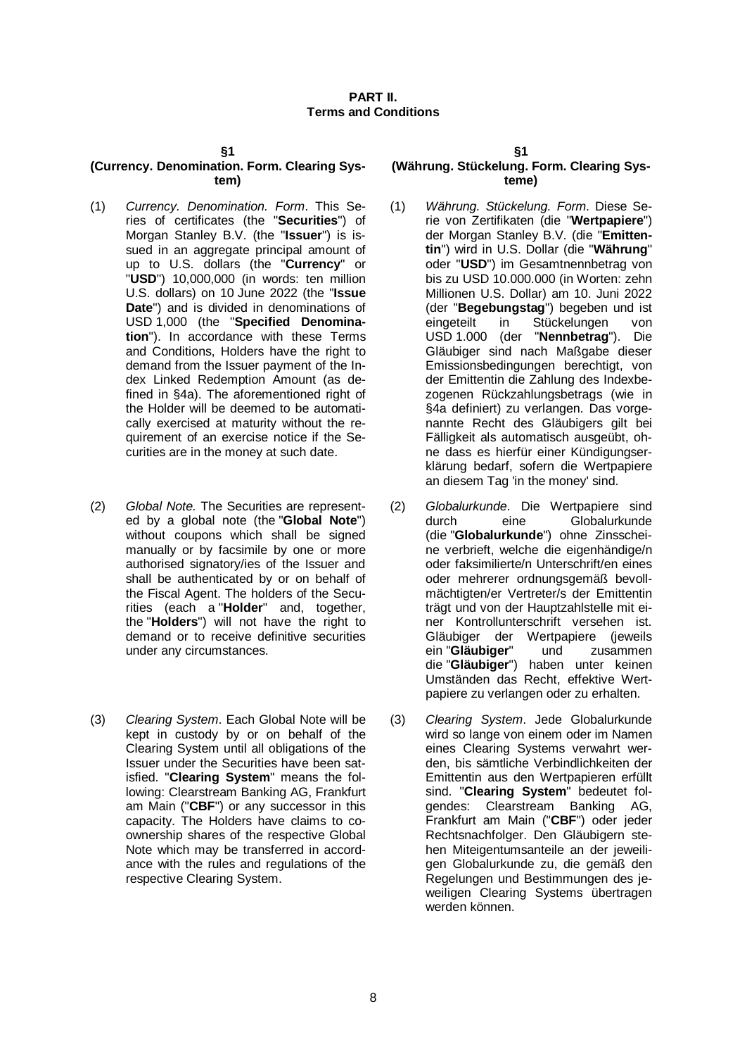#### **PART II. Terms and Conditions**

#### **§1**

#### **(Currency. Denomination. Form. Clearing System)**

- (1) *Currency. Denomination. Form*. This Series of certificates (the "**Securities**") of Morgan Stanley B.V. (the "**Issuer**") is issued in an aggregate principal amount of up to U.S. dollars (the "**Currency**" or "**USD**") 10,000,000 (in words: ten million U.S. dollars) on 10 June 2022 (the "**Issue Date**") and is divided in denominations of USD 1,000 (the "**Specified Denomination**"). In accordance with these Terms and Conditions, Holders have the right to demand from the Issuer payment of the Index Linked Redemption Amount (as defined in §4a). The aforementioned right of the Holder will be deemed to be automatically exercised at maturity without the requirement of an exercise notice if the Securities are in the money at such date.
- (2) *Global Note.* The Securities are represented by a global note (the "**Global Note**") without coupons which shall be signed manually or by facsimile by one or more authorised signatory/ies of the Issuer and shall be authenticated by or on behalf of the Fiscal Agent. The holders of the Securities (each a "**Holder**" and, together, the "**Holders**") will not have the right to demand or to receive definitive securities under any circumstances.
- (3) *Clearing System*. Each Global Note will be kept in custody by or on behalf of the Clearing System until all obligations of the Issuer under the Securities have been satisfied. "**Clearing System**" means the following: Clearstream Banking AG, Frankfurt am Main ("**CBF**") or any successor in this capacity. The Holders have claims to coownership shares of the respective Global Note which may be transferred in accordance with the rules and regulations of the respective Clearing System.

#### **§1**

#### **(Währung. Stückelung. Form. Clearing Systeme)**

- (1) *Währung. Stückelung. Form*. Diese Serie von Zertifikaten (die "**Wertpapiere**") der Morgan Stanley B.V. (die "**Emittentin**") wird in U.S. Dollar (die "**Währung**" oder "**USD**") im Gesamtnennbetrag von bis zu USD 10.000.000 (in Worten: zehn Millionen U.S. Dollar) am 10. Juni 2022 (der "**Begebungstag**") begeben und ist eingeteilt in Stückelungen von USD 1.000 (der "**Nennbetrag**"). Die Gläubiger sind nach Maßgabe dieser Emissionsbedingungen berechtigt, von der Emittentin die Zahlung des Indexbezogenen Rückzahlungsbetrags (wie in §4a definiert) zu verlangen. Das vorgenannte Recht des Gläubigers gilt bei Fälligkeit als automatisch ausgeübt, ohne dass es hierfür einer Kündigungserklärung bedarf, sofern die Wertpapiere an diesem Tag 'in the money' sind.
- (2) *Globalurkunde*. Die Wertpapiere sind durch eine Globalurkunde (die "**Globalurkunde**") ohne Zinsscheine verbrieft, welche die eigenhändige/n oder faksimilierte/n Unterschrift/en eines oder mehrerer ordnungsgemäß bevollmächtigten/er Vertreter/s der Emittentin trägt und von der Hauptzahlstelle mit einer Kontrollunterschrift versehen ist. Gläubiger der Wertpapiere (jeweils<br>ein "Gläubiger" und zusammen ein "**Gläubiger**" und zusammen die "**Gläubiger**") haben unter keinen Umständen das Recht, effektive Wertpapiere zu verlangen oder zu erhalten.
- (3) *Clearing System*. Jede Globalurkunde wird so lange von einem oder im Namen eines Clearing Systems verwahrt werden, bis sämtliche Verbindlichkeiten der Emittentin aus den Wertpapieren erfüllt sind. "**Clearing System**" bedeutet folgendes: Clearstream Banking AG, Frankfurt am Main ("**CBF**") oder jeder Rechtsnachfolger. Den Gläubigern stehen Miteigentumsanteile an der jeweiligen Globalurkunde zu, die gemäß den Regelungen und Bestimmungen des jeweiligen Clearing Systems übertragen werden können.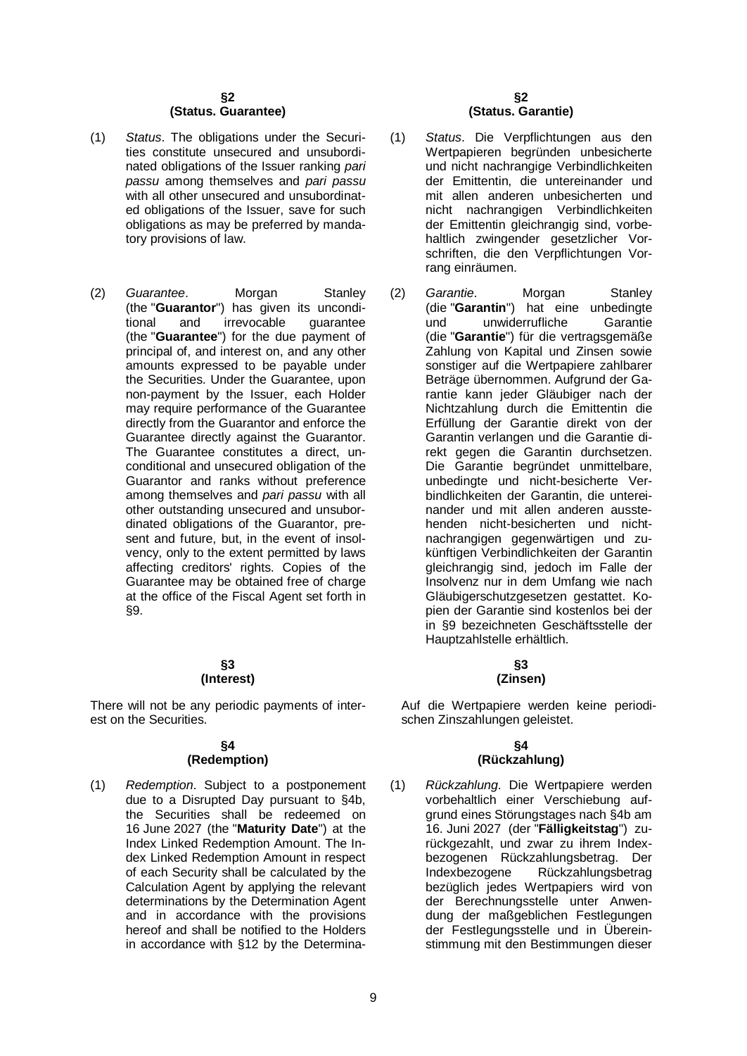#### **§2 (Status. Guarantee)**

- (1) *Status*. The obligations under the Securities constitute unsecured and unsubordinated obligations of the Issuer ranking *pari passu* among themselves and *pari passu* with all other unsecured and unsubordinated obligations of the Issuer, save for such obligations as may be preferred by mandatory provisions of law.
- (2) *Guarantee*. Morgan Stanley (the "**Guarantor**") has given its unconditional and irrevocable quarantee irrevocable (the "**Guarantee**") for the due payment of principal of, and interest on, and any other amounts expressed to be payable under the Securities. Under the Guarantee, upon non-payment by the Issuer, each Holder may require performance of the Guarantee directly from the Guarantor and enforce the Guarantee directly against the Guarantor. The Guarantee constitutes a direct, unconditional and unsecured obligation of the Guarantor and ranks without preference among themselves and *pari passu* with all other outstanding unsecured and unsubordinated obligations of the Guarantor, present and future, but, in the event of insolvency, only to the extent permitted by laws affecting creditors' rights. Copies of the Guarantee may be obtained free of charge at the office of the Fiscal Agent set forth in §9.

#### **§3 (Interest)**

There will not be any periodic payments of interest on the Securities.

#### **§4 (Redemption)**

(1) *Redemption*. Subject to a postponement due to a Disrupted Day pursuant to §4b, the Securities shall be redeemed on 16 June 2027 (the "**Maturity Date**") at the Index Linked Redemption Amount. The Index Linked Redemption Amount in respect of each Security shall be calculated by the Calculation Agent by applying the relevant determinations by the Determination Agent and in accordance with the provisions hereof and shall be notified to the Holders in accordance with §12 by the Determina-

#### **§2 (Status. Garantie)**

- (1) *Status*. Die Verpflichtungen aus den Wertpapieren begründen unbesicherte und nicht nachrangige Verbindlichkeiten der Emittentin, die untereinander und mit allen anderen unbesicherten und nicht nachrangigen Verbindlichkeiten der Emittentin gleichrangig sind, vorbehaltlich zwingender gesetzlicher Vorschriften, die den Verpflichtungen Vorrang einräumen.
- (2) *Garantie*. Morgan Stanley (die "**Garantin**") hat eine unbedingte und unwiderrufliche (die "**Garantie**") für die vertragsgemäße Zahlung von Kapital und Zinsen sowie sonstiger auf die Wertpapiere zahlbarer Beträge übernommen. Aufgrund der Garantie kann jeder Gläubiger nach der Nichtzahlung durch die Emittentin die Erfüllung der Garantie direkt von der Garantin verlangen und die Garantie direkt gegen die Garantin durchsetzen. Die Garantie begründet unmittelbare, unbedingte und nicht-besicherte Verbindlichkeiten der Garantin, die untereinander und mit allen anderen ausstehenden nicht-besicherten und nichtnachrangigen gegenwärtigen und zukünftigen Verbindlichkeiten der Garantin gleichrangig sind, jedoch im Falle der Insolvenz nur in dem Umfang wie nach Gläubigerschutzgesetzen gestattet. Kopien der Garantie sind kostenlos bei der in §9 bezeichneten Geschäftsstelle der Hauptzahlstelle erhältlich.

#### **§3 (Zinsen)**

Auf die Wertpapiere werden keine periodischen Zinszahlungen geleistet.

#### **§4 (Rückzahlung)**

(1) *Rückzahlung*. Die Wertpapiere werden vorbehaltlich einer Verschiebung aufgrund eines Störungstages nach §4b am 16. Juni 2027 (der "**Fälligkeitstag**") zurückgezahlt, und zwar zu ihrem Indexbezogenen Rückzahlungsbetrag. Der Indexbezogene Rückzahlungsbetrag bezüglich jedes Wertpapiers wird von der Berechnungsstelle unter Anwendung der maßgeblichen Festlegungen der Festlegungsstelle und in Übereinstimmung mit den Bestimmungen dieser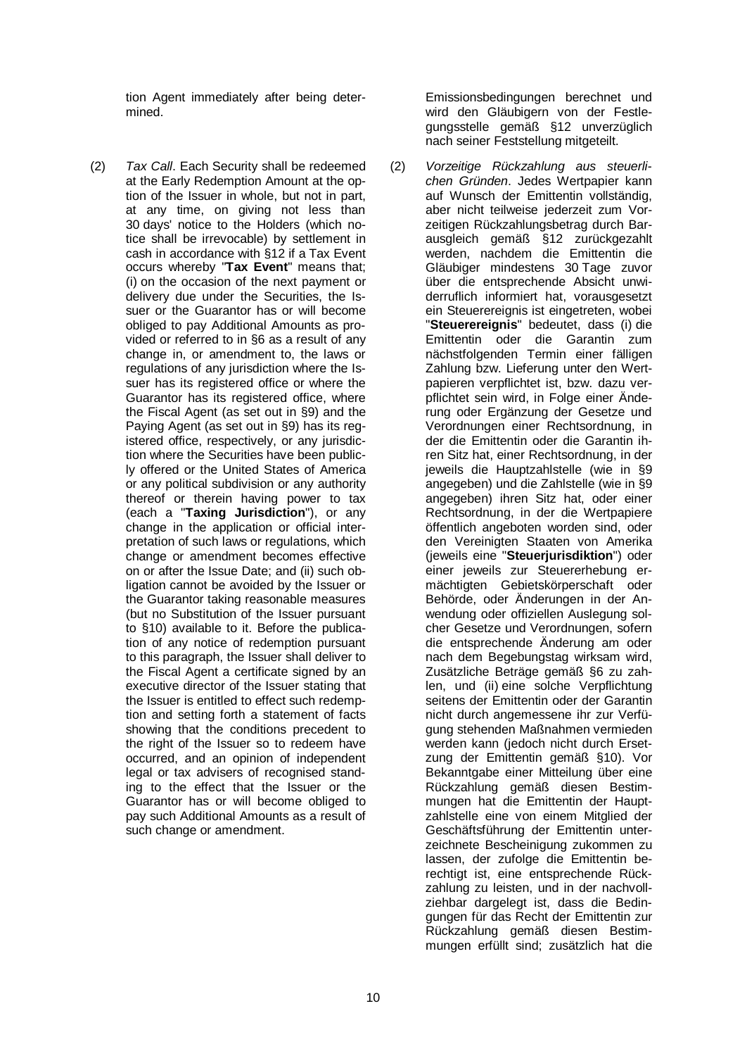tion Agent immediately after being determined.

(2) *Tax Call*. Each Security shall be redeemed at the Early Redemption Amount at the option of the Issuer in whole, but not in part, at any time, on giving not less than 30 days' notice to the Holders (which notice shall be irrevocable) by settlement in cash in accordance with §12 if a Tax Event occurs whereby "**Tax Event**" means that; (i) on the occasion of the next payment or delivery due under the Securities, the Issuer or the Guarantor has or will become obliged to pay Additional Amounts as provided or referred to in §6 as a result of any change in, or amendment to, the laws or regulations of any jurisdiction where the Issuer has its registered office or where the Guarantor has its registered office, where the Fiscal Agent (as set out in §9) and the Paying Agent (as set out in §9) has its registered office, respectively, or any jurisdiction where the Securities have been publicly offered or the United States of America or any political subdivision or any authority thereof or therein having power to tax (each a "**Taxing Jurisdiction**"), or any change in the application or official interpretation of such laws or regulations, which change or amendment becomes effective on or after the Issue Date; and (ii) such obligation cannot be avoided by the Issuer or the Guarantor taking reasonable measures (but no Substitution of the Issuer pursuant to §10) available to it. Before the publication of any notice of redemption pursuant to this paragraph, the Issuer shall deliver to the Fiscal Agent a certificate signed by an executive director of the Issuer stating that the Issuer is entitled to effect such redemption and setting forth a statement of facts showing that the conditions precedent to the right of the Issuer so to redeem have occurred, and an opinion of independent legal or tax advisers of recognised standing to the effect that the Issuer or the Guarantor has or will become obliged to pay such Additional Amounts as a result of such change or amendment.

Emissionsbedingungen berechnet und wird den Gläubigern von der Festlegungsstelle gemäß §12 unverzüglich nach seiner Feststellung mitgeteilt.

(2) *Vorzeitige Rückzahlung aus steuerlichen Gründen*. Jedes Wertpapier kann auf Wunsch der Emittentin vollständig, aber nicht teilweise jederzeit zum Vorzeitigen Rückzahlungsbetrag durch Barausgleich gemäß §12 zurückgezahlt werden, nachdem die Emittentin die Gläubiger mindestens 30 Tage zuvor über die entsprechende Absicht unwiderruflich informiert hat, vorausgesetzt ein Steuerereignis ist eingetreten, wobei "**Steuerereignis**" bedeutet, dass (i) die Emittentin oder die Garantin zum nächstfolgenden Termin einer fälligen Zahlung bzw. Lieferung unter den Wertpapieren verpflichtet ist, bzw. dazu verpflichtet sein wird, in Folge einer Änderung oder Ergänzung der Gesetze und Verordnungen einer Rechtsordnung, in der die Emittentin oder die Garantin ihren Sitz hat, einer Rechtsordnung, in der jeweils die Hauptzahlstelle (wie in §9 angegeben) und die Zahlstelle (wie in §9 angegeben) ihren Sitz hat, oder einer Rechtsordnung, in der die Wertpapiere öffentlich angeboten worden sind, oder den Vereinigten Staaten von Amerika (jeweils eine "**Steuerjurisdiktion**") oder einer jeweils zur Steuererhebung ermächtigten Gebietskörperschaft oder Behörde, oder Änderungen in der Anwendung oder offiziellen Auslegung solcher Gesetze und Verordnungen, sofern die entsprechende Änderung am oder nach dem Begebungstag wirksam wird, Zusätzliche Beträge gemäß §6 zu zahlen, und (ii) eine solche Verpflichtung seitens der Emittentin oder der Garantin nicht durch angemessene ihr zur Verfügung stehenden Maßnahmen vermieden werden kann (jedoch nicht durch Ersetzung der Emittentin gemäß §10). Vor Bekanntgabe einer Mitteilung über eine Rückzahlung gemäß diesen Bestimmungen hat die Emittentin der Hauptzahlstelle eine von einem Mitglied der Geschäftsführung der Emittentin unterzeichnete Bescheinigung zukommen zu lassen, der zufolge die Emittentin berechtigt ist, eine entsprechende Rückzahlung zu leisten, und in der nachvollziehbar dargelegt ist, dass die Bedingungen für das Recht der Emittentin zur Rückzahlung gemäß diesen Bestimmungen erfüllt sind; zusätzlich hat die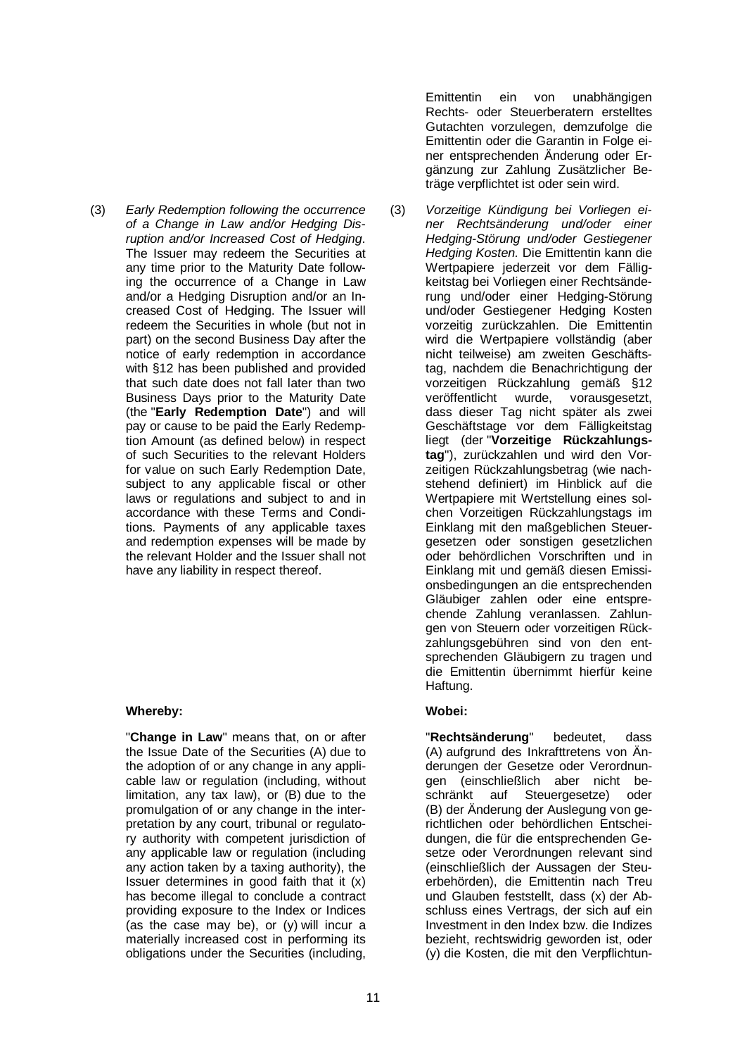(3) *Early Redemption following the occurrence of a Change in Law and/or Hedging Disruption and/or Increased Cost of Hedging*. The Issuer may redeem the Securities at any time prior to the Maturity Date following the occurrence of a Change in Law and/or a Hedging Disruption and/or an Increased Cost of Hedging. The Issuer will redeem the Securities in whole (but not in part) on the second Business Day after the notice of early redemption in accordance with §12 has been published and provided that such date does not fall later than two Business Days prior to the Maturity Date (the "**Early Redemption Date**") and will pay or cause to be paid the Early Redemption Amount (as defined below) in respect of such Securities to the relevant Holders for value on such Early Redemption Date, subject to any applicable fiscal or other laws or regulations and subject to and in accordance with these Terms and Conditions. Payments of any applicable taxes and redemption expenses will be made by the relevant Holder and the Issuer shall not have any liability in respect thereof.

# **Whereby: Wobei:**

"**Change in Law**" means that, on or after the Issue Date of the Securities (A) due to the adoption of or any change in any applicable law or regulation (including, without limitation, any tax law), or (B) due to the promulgation of or any change in the interpretation by any court, tribunal or regulatory authority with competent jurisdiction of any applicable law or regulation (including any action taken by a taxing authority), the Issuer determines in good faith that it (x) has become illegal to conclude a contract providing exposure to the Index or Indices (as the case may be), or (y) will incur a materially increased cost in performing its obligations under the Securities (including, Emittentin ein von unabhängigen Rechts- oder Steuerberatern erstelltes Gutachten vorzulegen, demzufolge die Emittentin oder die Garantin in Folge einer entsprechenden Änderung oder Ergänzung zur Zahlung Zusätzlicher Beträge verpflichtet ist oder sein wird.

(3) *Vorzeitige Kündigung bei Vorliegen einer Rechtsänderung und/oder einer Hedging-Störung und/oder Gestiegener Hedging Kosten.* Die Emittentin kann die Wertpapiere jederzeit vor dem Fälligkeitstag bei Vorliegen einer Rechtsänderung und/oder einer Hedging-Störung und/oder Gestiegener Hedging Kosten vorzeitig zurückzahlen. Die Emittentin wird die Wertpapiere vollständig (aber nicht teilweise) am zweiten Geschäftstag, nachdem die Benachrichtigung der vorzeitigen Rückzahlung gemäß §12<br>veröffentlicht wurde, vorausgesetzt. veröffentlicht wurde, vorausgesetzt, dass dieser Tag nicht später als zwei Geschäftstage vor dem Fälligkeitstag liegt (der "**Vorzeitige Rückzahlungstag**"), zurückzahlen und wird den Vorzeitigen Rückzahlungsbetrag (wie nachstehend definiert) im Hinblick auf die Wertpapiere mit Wertstellung eines solchen Vorzeitigen Rückzahlungstags im Einklang mit den maßgeblichen Steuergesetzen oder sonstigen gesetzlichen oder behördlichen Vorschriften und in Einklang mit und gemäß diesen Emissionsbedingungen an die entsprechenden Gläubiger zahlen oder eine entsprechende Zahlung veranlassen. Zahlungen von Steuern oder vorzeitigen Rückzahlungsgebühren sind von den entsprechenden Gläubigern zu tragen und die Emittentin übernimmt hierfür keine Haftung.

"**Rechtsänderung**" bedeutet, dass (A) aufgrund des Inkrafttretens von Änderungen der Gesetze oder Verordnungen (einschließlich aber nicht beschränkt auf Steuergesetze) oder (B) der Änderung der Auslegung von gerichtlichen oder behördlichen Entscheidungen, die für die entsprechenden Gesetze oder Verordnungen relevant sind (einschließlich der Aussagen der Steuerbehörden), die Emittentin nach Treu und Glauben feststellt, dass (x) der Abschluss eines Vertrags, der sich auf ein Investment in den Index bzw. die Indizes bezieht, rechtswidrig geworden ist, oder (y) die Kosten, die mit den Verpflichtun-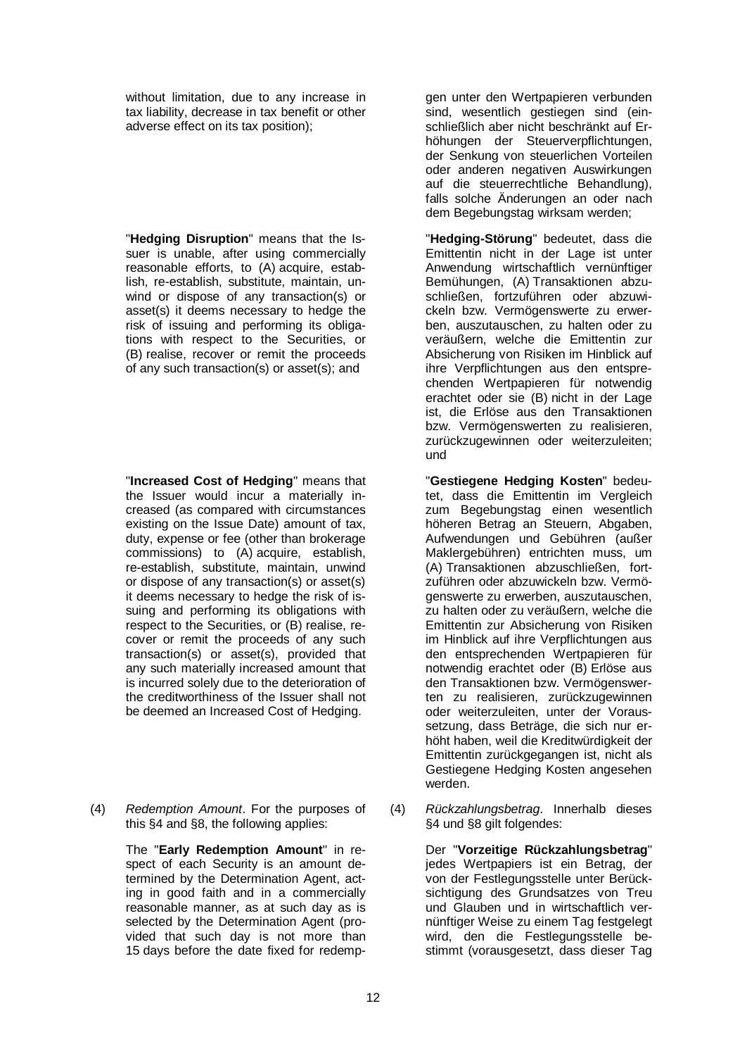without limitation, due to any increase in tax liability, decrease in tax benefit or other adverse effect on its tax position);

"**Hedging Disruption**" means that the Issuer is unable, after using commercially reasonable efforts, to (A) acquire, establish, re-establish, substitute, maintain, unwind or dispose of any transaction(s) or asset(s) it deems necessary to hedge the risk of issuing and performing its obligations with respect to the Securities, or (B) realise, recover or remit the proceeds of any such transaction(s) or asset(s); and

"**Increased Cost of Hedging**" means that the Issuer would incur a materially increased (as compared with circumstances existing on the Issue Date) amount of tax, duty, expense or fee (other than brokerage commissions) to (A) acquire, establish, re-establish, substitute, maintain, unwind or dispose of any transaction(s) or asset(s) it deems necessary to hedge the risk of issuing and performing its obligations with respect to the Securities, or (B) realise, recover or remit the proceeds of any such transaction(s) or asset(s), provided that any such materially increased amount that is incurred solely due to the deterioration of the creditworthiness of the Issuer shall not be deemed an Increased Cost of Hedging.

(4) *Redemption Amount*. For the purposes of this §4 and §8, the following applies:

> The "**Early Redemption Amount**" in respect of each Security is an amount determined by the Determination Agent, acting in good faith and in a commercially reasonable manner, as at such day as is selected by the Determination Agent (provided that such day is not more than 15 days before the date fixed for redemp

gen unter den Wertpapieren verbunden sind, wesentlich gestiegen sind (einschließlich aber nicht beschränkt auf Erhöhungen der Steuerverpflichtungen, der Senkung von steuerlichen Vorteilen oder anderen negativen Auswirkungen auf die steuerrechtliche Behandlung), falls solche Änderungen an oder nach dem Begebungstag wirksam werden;

"**Hedging-Störung**" bedeutet, dass die Emittentin nicht in der Lage ist unter Anwendung wirtschaftlich vernünftiger Bemühungen, (A) Transaktionen abzuschließen, fortzuführen oder abzuwickeln bzw. Vermögenswerte zu erwerben, auszutauschen, zu halten oder zu veräußern, welche die Emittentin zur Absicherung von Risiken im Hinblick auf ihre Verpflichtungen aus den entsprechenden Wertpapieren für notwendig erachtet oder sie (B) nicht in der Lage ist, die Erlöse aus den Transaktionen bzw. Vermögenswerten zu realisieren, zurückzugewinnen oder weiterzuleiten; und

"**Gestiegene Hedging Kosten**" bedeutet, dass die Emittentin im Vergleich zum Begebungstag einen wesentlich höheren Betrag an Steuern, Abgaben, Aufwendungen und Gebühren (außer Maklergebühren) entrichten muss, um (A) Transaktionen abzuschließen, fortzuführen oder abzuwickeln bzw. Vermögenswerte zu erwerben, auszutauschen, zu halten oder zu veräußern, welche die Emittentin zur Absicherung von Risiken im Hinblick auf ihre Verpflichtungen aus den entsprechenden Wertpapieren für notwendig erachtet oder (B) Erlöse aus den Transaktionen bzw. Vermögenswerten zu realisieren, zurückzugewinnen oder weiterzuleiten, unter der Voraussetzung, dass Beträge, die sich nur erhöht haben, weil die Kreditwürdigkeit der Emittentin zurückgegangen ist, nicht als Gestiegene Hedging Kosten angesehen werden.

(4) *Rückzahlungsbetrag*. Innerhalb dieses §4 und §8 gilt folgendes:

> Der "**Vorzeitige Rückzahlungsbetrag**" jedes Wertpapiers ist ein Betrag, der von der Festlegungsstelle unter Berücksichtigung des Grundsatzes von Treu und Glauben und in wirtschaftlich vernünftiger Weise zu einem Tag festgelegt wird, den die Festlegungsstelle bestimmt (vorausgesetzt, dass dieser Tag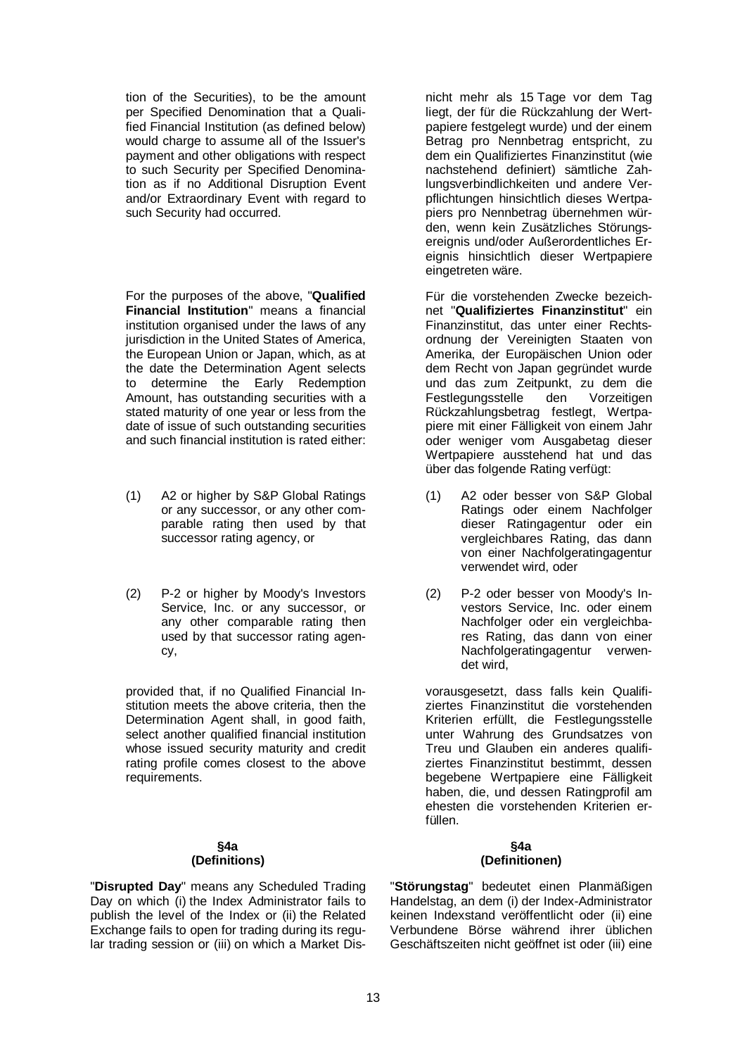tion of the Securities), to be the amount per Specified Denomination that a Qualified Financial Institution (as defined below) would charge to assume all of the Issuer's payment and other obligations with respect to such Security per Specified Denomination as if no Additional Disruption Event and/or Extraordinary Event with regard to such Security had occurred.

For the purposes of the above, "**Qualified Financial Institution**" means a financial institution organised under the laws of any jurisdiction in the United States of America, the European Union or Japan, which, as at the date the Determination Agent selects to determine the Early Redemption Amount, has outstanding securities with a stated maturity of one year or less from the date of issue of such outstanding securities and such financial institution is rated either:

- (1) A2 or higher by S&P Global Ratings or any successor, or any other comparable rating then used by that successor rating agency, or
- (2) P-2 or higher by Moody's Investors Service, Inc. or any successor, or any other comparable rating then used by that successor rating agency,

provided that, if no Qualified Financial Institution meets the above criteria, then the Determination Agent shall, in good faith, select another qualified financial institution whose issued security maturity and credit rating profile comes closest to the above requirements.

#### **§4a (Definitions)**

"**Disrupted Day**" means any Scheduled Trading Day on which (i) the Index Administrator fails to publish the level of the Index or (ii) the Related Exchange fails to open for trading during its regular trading session or (iii) on which a Market Disnicht mehr als 15 Tage vor dem Tag liegt, der für die Rückzahlung der Wertpapiere festgelegt wurde) und der einem Betrag pro Nennbetrag entspricht, zu dem ein Qualifiziertes Finanzinstitut (wie nachstehend definiert) sämtliche Zahlungsverbindlichkeiten und andere Verpflichtungen hinsichtlich dieses Wertpapiers pro Nennbetrag übernehmen würden, wenn kein Zusätzliches Störungsereignis und/oder Außerordentliches Ereignis hinsichtlich dieser Wertpapiere eingetreten wäre.

Für die vorstehenden Zwecke bezeichnet "**Qualifiziertes Finanzinstitut**" ein Finanzinstitut, das unter einer Rechtsordnung der Vereinigten Staaten von Amerika, der Europäischen Union oder dem Recht von Japan gegründet wurde und das zum Zeitpunkt, zu dem die Festlegungsstelle den Vorzeitigen Rückzahlungsbetrag festlegt, Wertpapiere mit einer Fälligkeit von einem Jahr oder weniger vom Ausgabetag dieser Wertpapiere ausstehend hat und das über das folgende Rating verfügt:

- (1) A2 oder besser von S&P Global Ratings oder einem Nachfolger dieser Ratingagentur oder ein vergleichbares Rating, das dann von einer Nachfolgeratingagentur verwendet wird, oder
- (2) P-2 oder besser von Moody's Investors Service, Inc. oder einem Nachfolger oder ein vergleichbares Rating, das dann von einer Nachfolgeratingagentur verwendet wird,

vorausgesetzt, dass falls kein Qualifiziertes Finanzinstitut die vorstehenden Kriterien erfüllt, die Festlegungsstelle unter Wahrung des Grundsatzes von Treu und Glauben ein anderes qualifiziertes Finanzinstitut bestimmt, dessen begebene Wertpapiere eine Fälligkeit haben, die, und dessen Ratingprofil am ehesten die vorstehenden Kriterien erfüllen.

#### **§4a (Definitionen)**

"**Störungstag**" bedeutet einen Planmäßigen Handelstag, an dem (i) der Index-Administrator keinen Indexstand veröffentlicht oder (ii) eine Verbundene Börse während ihrer üblichen Geschäftszeiten nicht geöffnet ist oder (iii) eine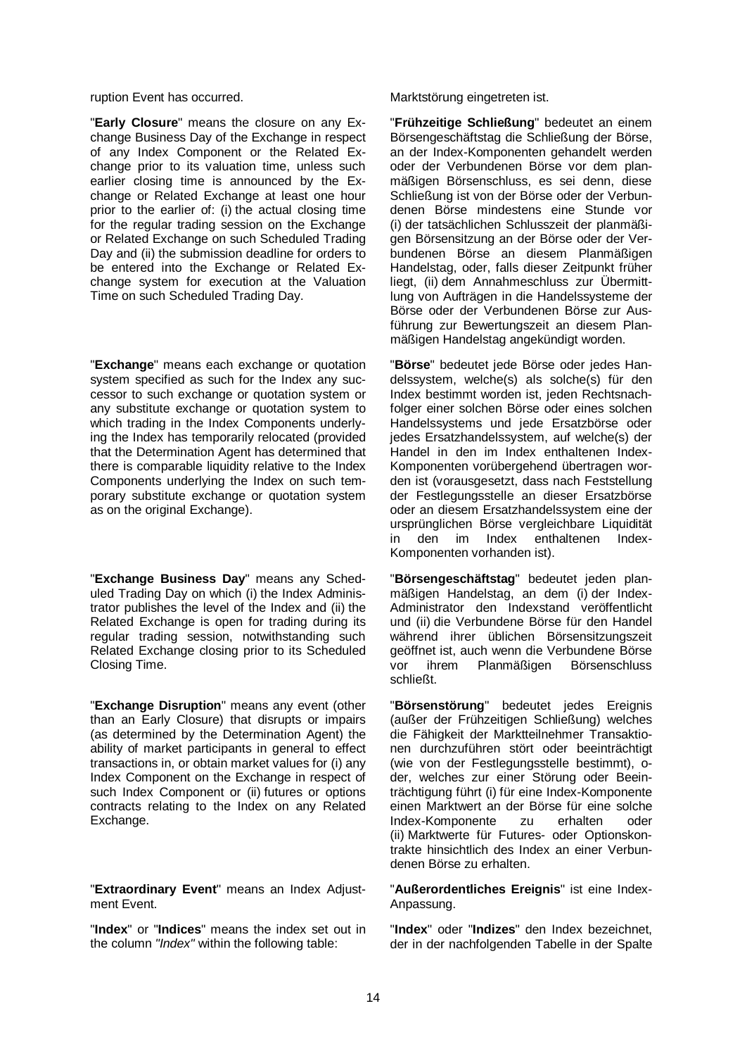"**Early Closure**" means the closure on any Exchange Business Day of the Exchange in respect of any Index Component or the Related Exchange prior to its valuation time, unless such earlier closing time is announced by the Exchange or Related Exchange at least one hour prior to the earlier of: (i) the actual closing time for the regular trading session on the Exchange or Related Exchange on such Scheduled Trading Day and (ii) the submission deadline for orders to be entered into the Exchange or Related Exchange system for execution at the Valuation Time on such Scheduled Trading Day.

"**Exchange**" means each exchange or quotation system specified as such for the Index any successor to such exchange or quotation system or any substitute exchange or quotation system to which trading in the Index Components underlying the Index has temporarily relocated (provided that the Determination Agent has determined that there is comparable liquidity relative to the Index Components underlying the Index on such temporary substitute exchange or quotation system as on the original Exchange).

"**Exchange Business Day**" means any Scheduled Trading Day on which (i) the Index Administrator publishes the level of the Index and (ii) the Related Exchange is open for trading during its regular trading session, notwithstanding such Related Exchange closing prior to its Scheduled Closing Time.

"**Exchange Disruption**" means any event (other than an Early Closure) that disrupts or impairs (as determined by the Determination Agent) the ability of market participants in general to effect transactions in, or obtain market values for (i) any Index Component on the Exchange in respect of such Index Component or (ii) futures or options contracts relating to the Index on any Related Exchange.

"**Extraordinary Event**" means an Index Adjustment Event.

"**Index**" or "**Indices**" means the index set out in the column *"Index"* within the following table:

ruption Event has occurred. The Marktstörung eingetreten ist.

"**Frühzeitige Schließung**" bedeutet an einem Börsengeschäftstag die Schließung der Börse, an der Index-Komponenten gehandelt werden oder der Verbundenen Börse vor dem planmäßigen Börsenschluss, es sei denn, diese Schließung ist von der Börse oder der Verbundenen Börse mindestens eine Stunde vor (i) der tatsächlichen Schlusszeit der planmäßigen Börsensitzung an der Börse oder der Verbundenen Börse an diesem Planmäßigen Handelstag, oder, falls dieser Zeitpunkt früher liegt, (ii) dem Annahmeschluss zur Übermittlung von Aufträgen in die Handelssysteme der Börse oder der Verbundenen Börse zur Ausführung zur Bewertungszeit an diesem Planmäßigen Handelstag angekündigt worden.

"**Börse**" bedeutet jede Börse oder jedes Handelssystem, welche(s) als solche(s) für den Index bestimmt worden ist, jeden Rechtsnachfolger einer solchen Börse oder eines solchen Handelssystems und jede Ersatzbörse oder jedes Ersatzhandelssystem, auf welche(s) der Handel in den im Index enthaltenen Index-Komponenten vorübergehend übertragen worden ist (vorausgesetzt, dass nach Feststellung der Festlegungsstelle an dieser Ersatzbörse oder an diesem Ersatzhandelssystem eine der ursprünglichen Börse vergleichbare Liquidität in den im Index enthaltenen Index-Komponenten vorhanden ist).

"**Börsengeschäftstag**" bedeutet jeden planmäßigen Handelstag, an dem (i) der Index-Administrator den Indexstand veröffentlicht und (ii) die Verbundene Börse für den Handel während ihrer üblichen Börsensitzungszeit geöffnet ist, auch wenn die Verbundene Börse<br>vor ihrem Planmäßigen Börsenschluss **Börsenschluss** schließt.

"**Börsenstörung**" bedeutet jedes Ereignis (außer der Frühzeitigen Schließung) welches die Fähigkeit der Marktteilnehmer Transaktionen durchzuführen stört oder beeinträchtigt (wie von der Festlegungsstelle bestimmt), oder, welches zur einer Störung oder Beeinträchtigung führt (i) für eine Index-Komponente einen Marktwert an der Börse für eine solche Index-Komponente zu erhalten oder (ii) Marktwerte für Futures- oder Optionskontrakte hinsichtlich des Index an einer Verbundenen Börse zu erhalten.

"**Außerordentliches Ereignis**" ist eine Index-Anpassung.

"**Index**" oder "**Indizes**" den Index bezeichnet, der in der nachfolgenden Tabelle in der Spalte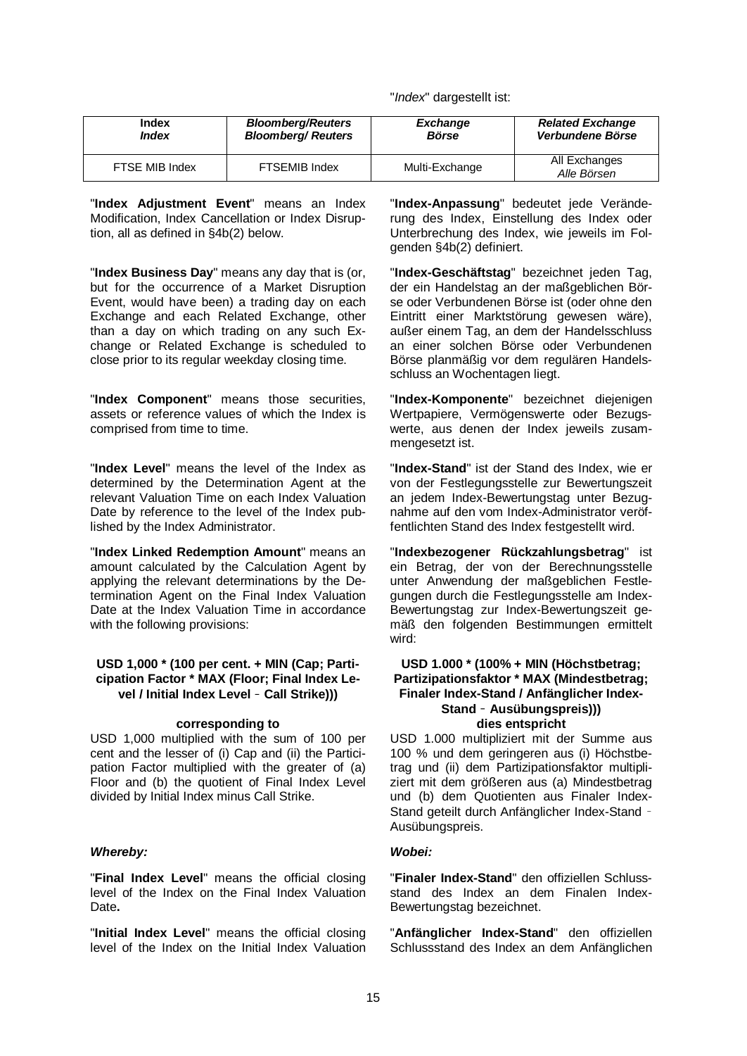"*Index*" dargestellt ist:

| Index               | <b>Bloomberg/Reuters</b>  | <b>Exchange</b> | <b>Related Exchange</b>      |
|---------------------|---------------------------|-----------------|------------------------------|
| <i><b>Index</b></i> | <b>Bloomberg/ Reuters</b> | <b>Börse</b>    | Verbundene Börse             |
| FTSE MIB Index      | <b>FTSEMIB Index</b>      | Multi-Exchange  | All Exchanges<br>Alle Börsen |

"**Index Adjustment Event**" means an Index Modification, Index Cancellation or Index Disruption, all as defined in §4b(2) below.

"**Index Business Day**" means any day that is (or, but for the occurrence of a Market Disruption Event, would have been) a trading day on each Exchange and each Related Exchange, other than a day on which trading on any such Exchange or Related Exchange is scheduled to close prior to its regular weekday closing time.

"**Index Component**" means those securities, assets or reference values of which the Index is comprised from time to time.

"**Index Level**" means the level of the Index as determined by the Determination Agent at the relevant Valuation Time on each Index Valuation Date by reference to the level of the Index published by the Index Administrator.

"**Index Linked Redemption Amount**" means an amount calculated by the Calculation Agent by applying the relevant determinations by the Determination Agent on the Final Index Valuation Date at the Index Valuation Time in accordance with the following provisions:

#### **USD 1,000 \* (100 per cent. + MIN (Cap; Participation Factor \* MAX (Floor; Final Index Level / Initial Index Level** – **Call Strike)))**

USD 1,000 multiplied with the sum of 100 per cent and the lesser of (i) Cap and (ii) the Participation Factor multiplied with the greater of (a) Floor and (b) the quotient of Final Index Level divided by Initial Index minus Call Strike.

#### *Whereby: Wobei:*

"**Final Index Level**" means the official closing level of the Index on the Final Index Valuation Date**.**

"**Initial Index Level**" means the official closing level of the Index on the Initial Index Valuation "**Index-Anpassung**" bedeutet jede Veränderung des Index, Einstellung des Index oder Unterbrechung des Index, wie jeweils im Folgenden §4b(2) definiert.

"**Index-Geschäftstag**" bezeichnet jeden Tag, der ein Handelstag an der maßgeblichen Börse oder Verbundenen Börse ist (oder ohne den Eintritt einer Marktstörung gewesen wäre), außer einem Tag, an dem der Handelsschluss an einer solchen Börse oder Verbundenen Börse planmäßig vor dem regulären Handelsschluss an Wochentagen liegt.

"**Index-Komponente**" bezeichnet diejenigen Wertpapiere, Vermögenswerte oder Bezugswerte, aus denen der Index jeweils zusammengesetzt ist.

"**Index-Stand**" ist der Stand des Index, wie er von der Festlegungsstelle zur Bewertungszeit an jedem Index-Bewertungstag unter Bezugnahme auf den vom Index-Administrator veröffentlichten Stand des Index festgestellt wird.

"**Indexbezogener Rückzahlungsbetrag**" ist ein Betrag, der von der Berechnungsstelle unter Anwendung der maßgeblichen Festlegungen durch die Festlegungsstelle am Index-Bewertungstag zur Index-Bewertungszeit gemäß den folgenden Bestimmungen ermittelt wird:

#### **USD 1.000 \* (100% + MIN (Höchstbetrag; Partizipationsfaktor \* MAX (Mindestbetrag; Finaler Index-Stand / Anfänglicher Index-Stand** – **Ausübungspreis))) corresponding to dies entspricht**

USD 1.000 multipliziert mit der Summe aus 100 % und dem geringeren aus (i) Höchstbetrag und (ii) dem Partizipationsfaktor multipliziert mit dem größeren aus (a) Mindestbetrag und (b) dem Quotienten aus Finaler Index-Stand geteilt durch Anfänglicher Index-Stand – Ausübungspreis.

"**Finaler Index-Stand**" den offiziellen Schlussstand des Index an dem Finalen Index-Bewertungstag bezeichnet.

"**Anfänglicher Index-Stand**" den offiziellen Schlussstand des Index an dem Anfänglichen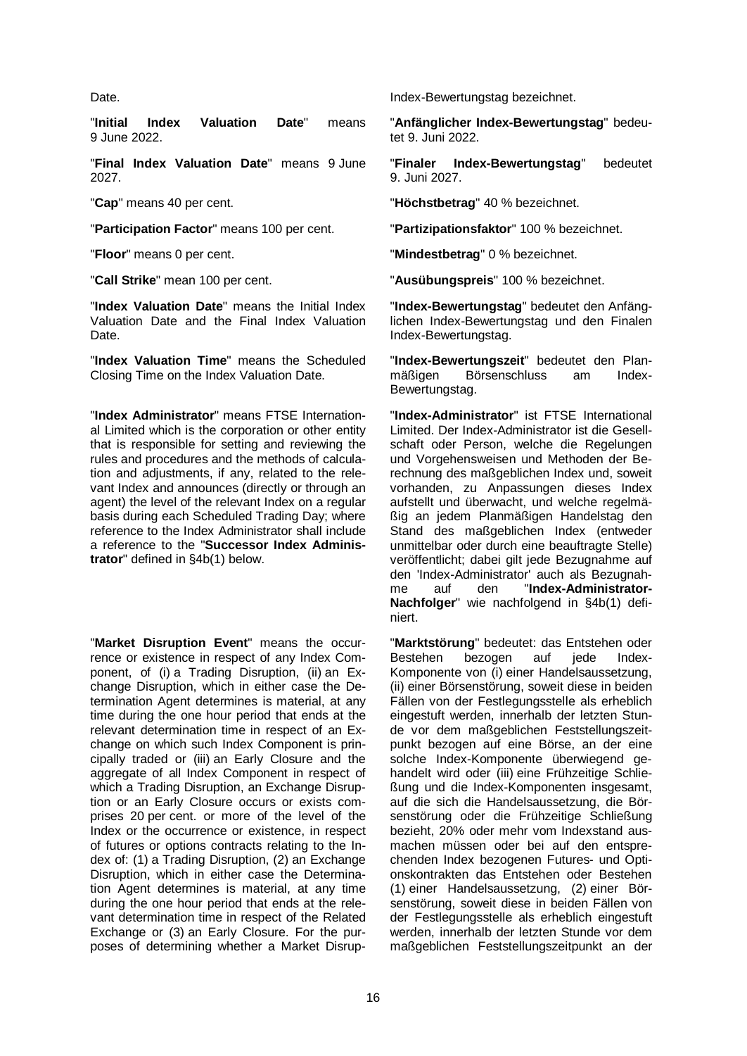"**Initial Index Valuation Date**" means 9 June 2022.

"**Final Index Valuation Date**" means 9 June 2027.

"**Participation Factor**" means 100 per cent. "**Partizipationsfaktor**" 100 % bezeichnet.

"**Index Valuation Date**" means the Initial Index Valuation Date and the Final Index Valuation Date.

"**Index Valuation Time**" means the Scheduled Closing Time on the Index Valuation Date.

"**Index Administrator**" means FTSE International Limited which is the corporation or other entity that is responsible for setting and reviewing the rules and procedures and the methods of calculation and adjustments, if any, related to the relevant Index and announces (directly or through an agent) the level of the relevant Index on a regular basis during each Scheduled Trading Day; where reference to the Index Administrator shall include a reference to the "**Successor Index Administrator**" defined in §4b(1) below.

"**Market Disruption Event**" means the occurrence or existence in respect of any Index Component, of (i) a Trading Disruption, (ii) an Exchange Disruption, which in either case the Determination Agent determines is material, at any time during the one hour period that ends at the relevant determination time in respect of an Exchange on which such Index Component is principally traded or (iii) an Early Closure and the aggregate of all Index Component in respect of which a Trading Disruption, an Exchange Disruption or an Early Closure occurs or exists comprises 20 per cent. or more of the level of the Index or the occurrence or existence, in respect of futures or options contracts relating to the Index of: (1) a Trading Disruption, (2) an Exchange Disruption, which in either case the Determination Agent determines is material, at any time during the one hour period that ends at the relevant determination time in respect of the Related Exchange or (3) an Early Closure. For the purposes of determining whether a Market Disrup-

Date. **Index-Bewertungstag bezeichnet.** The late of the late of the late of the late of the late of the late of the late of the late of the late of the late of the late of the late of the late of the late of the late of th

"**Anfänglicher Index-Bewertungstag**" bedeutet 9. Juni 2022.

"**Finaler Index-Bewertungstag**" bedeutet 9. Juni 2027.

"**Cap**" means 40 per cent. "**Höchstbetrag**" 40 % bezeichnet.

"**Floor**" means 0 per cent. "**Mindestbetrag**" 0 % bezeichnet.

"**Call Strike**" mean 100 per cent. "**Ausübungspreis**" 100 % bezeichnet.

"**Index-Bewertungstag**" bedeutet den Anfänglichen Index-Bewertungstag und den Finalen Index-Bewertungstag.

"**Index-Bewertungszeit**" bedeutet den Plan-Börsenschluss Bewertungstag.

"**Index-Administrator**" ist FTSE International Limited. Der Index-Administrator ist die Gesellschaft oder Person, welche die Regelungen und Vorgehensweisen und Methoden der Berechnung des maßgeblichen Index und, soweit vorhanden, zu Anpassungen dieses Index aufstellt und überwacht, und welche regelmäßig an jedem Planmäßigen Handelstag den Stand des maßgeblichen Index (entweder unmittelbar oder durch eine beauftragte Stelle) veröffentlicht; dabei gilt jede Bezugnahme auf den 'Index-Administrator' auch als Bezugnahme auf den "**Index-Administrator-Nachfolger**" wie nachfolgend in §4b(1) definiert.

"**Marktstörung**" bedeutet: das Entstehen oder Bestehen bezogen Komponente von (i) einer Handelsaussetzung, (ii) einer Börsenstörung, soweit diese in beiden Fällen von der Festlegungsstelle als erheblich eingestuft werden, innerhalb der letzten Stunde vor dem maßgeblichen Feststellungszeitpunkt bezogen auf eine Börse, an der eine solche Index-Komponente überwiegend gehandelt wird oder (iii) eine Frühzeitige Schließung und die Index-Komponenten insgesamt, auf die sich die Handelsaussetzung, die Börsenstörung oder die Frühzeitige Schließung bezieht, 20% oder mehr vom Indexstand ausmachen müssen oder bei auf den entsprechenden Index bezogenen Futures- und Optionskontrakten das Entstehen oder Bestehen (1) einer Handelsaussetzung, (2) einer Börsenstörung, soweit diese in beiden Fällen von der Festlegungsstelle als erheblich eingestuft werden, innerhalb der letzten Stunde vor dem maßgeblichen Feststellungszeitpunkt an der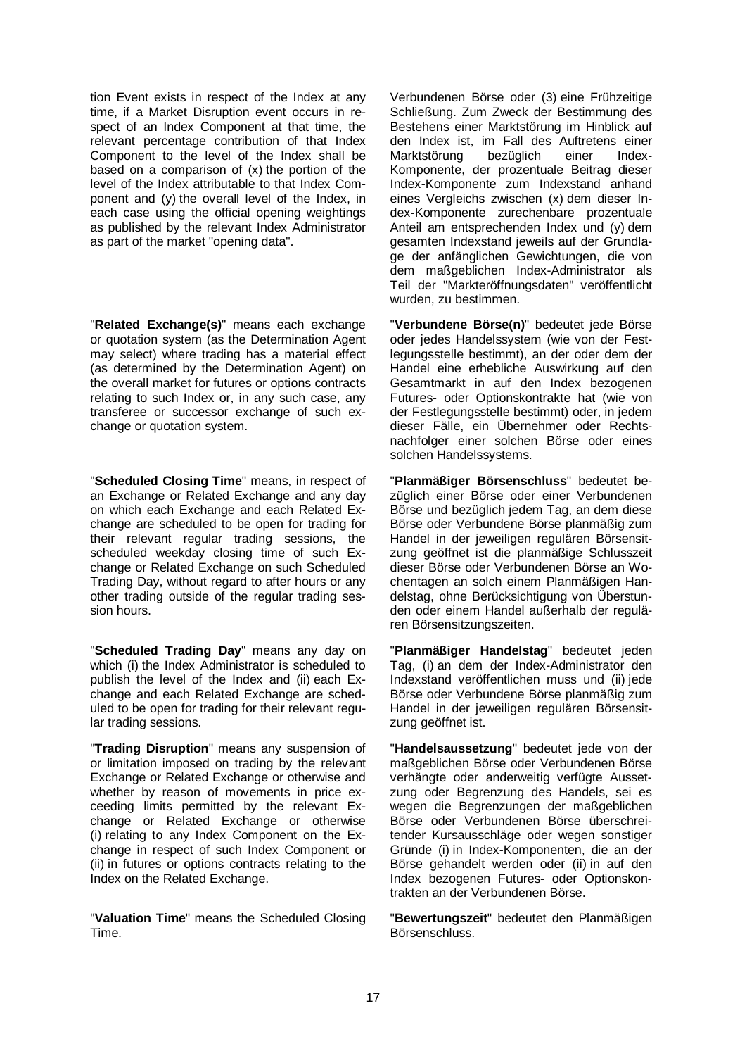tion Event exists in respect of the Index at any time, if a Market Disruption event occurs in respect of an Index Component at that time, the relevant percentage contribution of that Index Component to the level of the Index shall be based on a comparison of (x) the portion of the level of the Index attributable to that Index Component and (y) the overall level of the Index, in each case using the official opening weightings as published by the relevant Index Administrator as part of the market "opening data".

"**Related Exchange(s)**" means each exchange or quotation system (as the Determination Agent may select) where trading has a material effect (as determined by the Determination Agent) on the overall market for futures or options contracts relating to such Index or, in any such case, any transferee or successor exchange of such exchange or quotation system.

"**Scheduled Closing Time**" means, in respect of an Exchange or Related Exchange and any day on which each Exchange and each Related Exchange are scheduled to be open for trading for their relevant regular trading sessions, the scheduled weekday closing time of such Exchange or Related Exchange on such Scheduled Trading Day, without regard to after hours or any other trading outside of the regular trading session hours.

"**Scheduled Trading Day**" means any day on which (i) the Index Administrator is scheduled to publish the level of the Index and (ii) each Exchange and each Related Exchange are scheduled to be open for trading for their relevant regular trading sessions.

"**Trading Disruption**" means any suspension of or limitation imposed on trading by the relevant Exchange or Related Exchange or otherwise and whether by reason of movements in price exceeding limits permitted by the relevant Exchange or Related Exchange or otherwise (i) relating to any Index Component on the Exchange in respect of such Index Component or (ii) in futures or options contracts relating to the Index on the Related Exchange.

"**Valuation Time**" means the Scheduled Closing Time.

Verbundenen Börse oder (3) eine Frühzeitige Schließung. Zum Zweck der Bestimmung des Bestehens einer Marktstörung im Hinblick auf den Index ist, im Fall des Auftretens einer<br>Marktstörung bezüglich einer Index-Marktstörung bezüglich einer Index-Komponente, der prozentuale Beitrag dieser Index-Komponente zum Indexstand anhand eines Vergleichs zwischen (x) dem dieser Index-Komponente zurechenbare prozentuale Anteil am entsprechenden Index und (y) dem gesamten Indexstand jeweils auf der Grundlage der anfänglichen Gewichtungen, die von dem maßgeblichen Index-Administrator als Teil der "Markteröffnungsdaten" veröffentlicht wurden, zu bestimmen.

"**Verbundene Börse(n)**" bedeutet jede Börse oder jedes Handelssystem (wie von der Festlegungsstelle bestimmt), an der oder dem der Handel eine erhebliche Auswirkung auf den Gesamtmarkt in auf den Index bezogenen Futures- oder Optionskontrakte hat (wie von der Festlegungsstelle bestimmt) oder, in jedem dieser Fälle, ein Übernehmer oder Rechtsnachfolger einer solchen Börse oder eines solchen Handelssystems.

"**Planmäßiger Börsenschluss**" bedeutet bezüglich einer Börse oder einer Verbundenen Börse und bezüglich jedem Tag, an dem diese Börse oder Verbundene Börse planmäßig zum Handel in der jeweiligen regulären Börsensitzung geöffnet ist die planmäßige Schlusszeit dieser Börse oder Verbundenen Börse an Wochentagen an solch einem Planmäßigen Handelstag, ohne Berücksichtigung von Überstunden oder einem Handel außerhalb der regulären Börsensitzungszeiten.

"**Planmäßiger Handelstag**" bedeutet jeden Tag, (i) an dem der Index-Administrator den Indexstand veröffentlichen muss und (ii) jede Börse oder Verbundene Börse planmäßig zum Handel in der jeweiligen regulären Börsensitzung geöffnet ist.

"**Handelsaussetzung**" bedeutet jede von der maßgeblichen Börse oder Verbundenen Börse verhängte oder anderweitig verfügte Aussetzung oder Begrenzung des Handels, sei es wegen die Begrenzungen der maßgeblichen Börse oder Verbundenen Börse überschreitender Kursausschläge oder wegen sonstiger Gründe (i) in Index-Komponenten, die an der Börse gehandelt werden oder (ii) in auf den Index bezogenen Futures- oder Optionskontrakten an der Verbundenen Börse.

"**Bewertungszeit**" bedeutet den Planmäßigen Börsenschluss.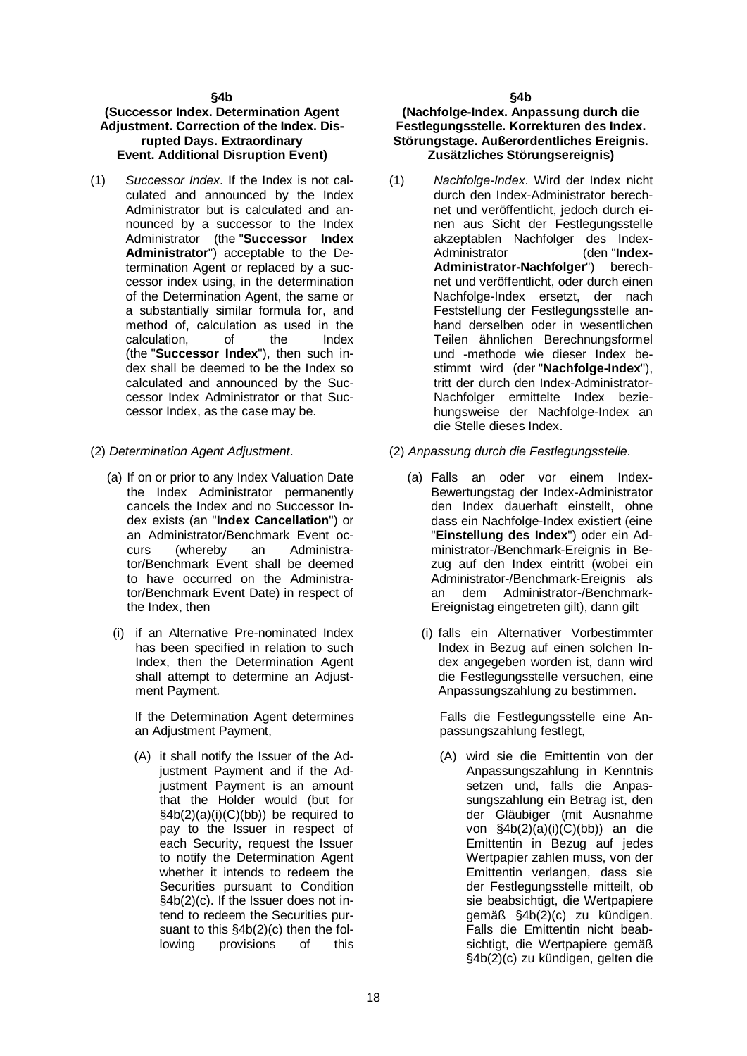#### **§4b**

#### **(Successor Index. Determination Agent Adjustment. Correction of the Index. Disrupted Days. Extraordinary Event. Additional Disruption Event)**

- (1) *Successor Index*. If the Index is not calculated and announced by the Index Administrator but is calculated and announced by a successor to the Index Administrator (the "**Successor Index Administrator**") acceptable to the Determination Agent or replaced by a successor index using, in the determination of the Determination Agent, the same or a substantially similar formula for, and method of, calculation as used in the calculation, of the Index (the "**Successor Index**"), then such index shall be deemed to be the Index so calculated and announced by the Successor Index Administrator or that Successor Index, as the case may be.
- - (a) If on or prior to any Index Valuation Date the Index Administrator permanently cancels the Index and no Successor Index exists (an "**Index Cancellation**") or an Administrator/Benchmark Event oc-<br>curs (whereby an Administracurs (whereby an Administrator/Benchmark Event shall be deemed to have occurred on the Administrator/Benchmark Event Date) in respect of the Index, then
	- (i) if an Alternative Pre-nominated Index has been specified in relation to such Index, then the Determination Agent shall attempt to determine an Adjustment Payment.

If the Determination Agent determines an Adjustment Payment,

(A) it shall notify the Issuer of the Adjustment Payment and if the Adjustment Payment is an amount that the Holder would (but for  $§4b(2)(a)(i)(C)(bb))$  be required to pay to the Issuer in respect of each Security, request the Issuer to notify the Determination Agent whether it intends to redeem the Securities pursuant to Condition §4b(2)(c). If the Issuer does not intend to redeem the Securities pursuant to this §4b(2)(c) then the following provisions of this

#### **(Nachfolge-Index. Anpassung durch die Festlegungsstelle. Korrekturen des Index. Störungstage. Außerordentliches Ereignis. Zusätzliches Störungsereignis)**

- (1) *Nachfolge-Index*. Wird der Index nicht durch den Index-Administrator berechnet und veröffentlicht, jedoch durch einen aus Sicht der Festlegungsstelle akzeptablen Nachfolger des Index-Administrator (den "**Index-Administrator-Nachfolger**") berechnet und veröffentlicht, oder durch einen Nachfolge-Index ersetzt, der nach Feststellung der Festlegungsstelle anhand derselben oder in wesentlichen Teilen ähnlichen Berechnungsformel und -methode wie dieser Index bestimmt wird (der "**Nachfolge-Index**"), tritt der durch den Index-Administrator-Nachfolger ermittelte Index beziehungsweise der Nachfolge-Index an die Stelle dieses Index.
- (2) *Determination Agent Adjustment*. (2) *Anpassung durch die Festlegungsstelle*.
	- (a) Falls an oder vor einem Index-Bewertungstag der Index-Administrator den Index dauerhaft einstellt, ohne dass ein Nachfolge-Index existiert (eine "**Einstellung des Index**") oder ein Administrator-/Benchmark-Ereignis in Bezug auf den Index eintritt (wobei ein Administrator-/Benchmark-Ereignis als an dem Administrator-/Benchmark-Ereignistag eingetreten gilt), dann gilt
		- (i) falls ein Alternativer Vorbestimmter Index in Bezug auf einen solchen Index angegeben worden ist, dann wird die Festlegungsstelle versuchen, eine Anpassungszahlung zu bestimmen.

Falls die Festlegungsstelle eine Anpassungszahlung festlegt,

(A) wird sie die Emittentin von der Anpassungszahlung in Kenntnis setzen und, falls die Anpassungszahlung ein Betrag ist, den der Gläubiger (mit Ausnahme von §4b(2)(a)(i)(C)(bb)) an die Emittentin in Bezug auf jedes Wertpapier zahlen muss, von der Emittentin verlangen, dass sie der Festlegungsstelle mitteilt, ob sie beabsichtigt, die Wertpapiere gemäß §4b(2)(c) zu kündigen. Falls die Emittentin nicht beabsichtigt, die Wertpapiere gemäß §4b(2)(c) zu kündigen, gelten die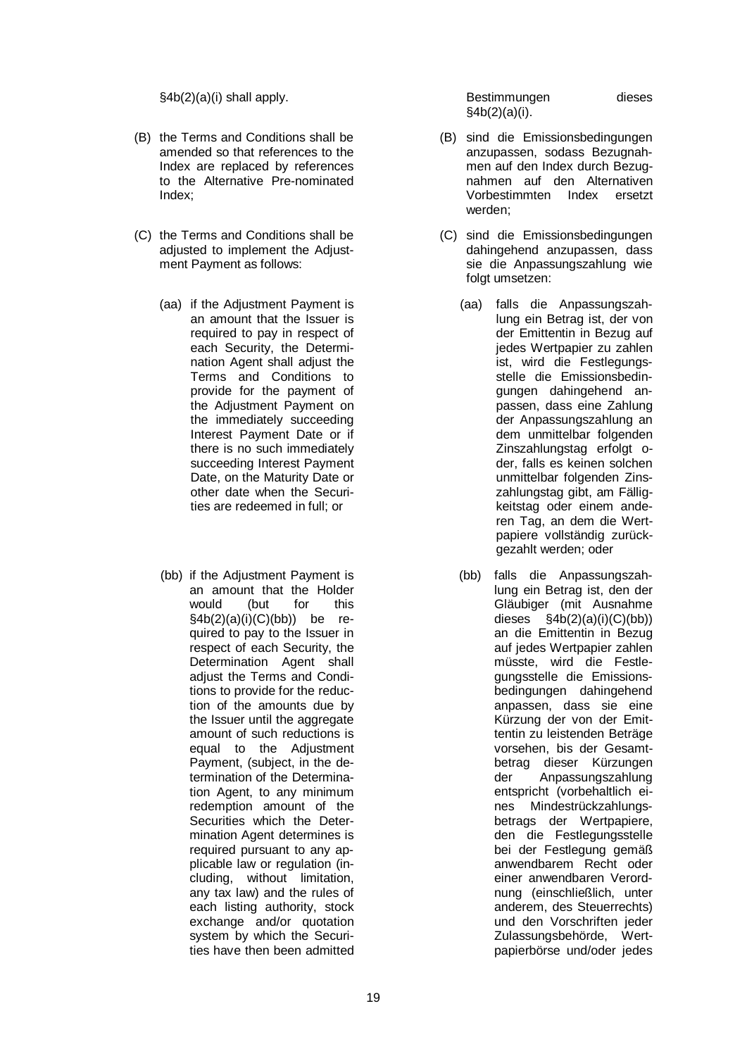§4b(2)(a)(i) shall apply. Bestimmungen dieses

- (B) the Terms and Conditions shall be amended so that references to the Index are replaced by references to the Alternative Pre-nominated Index;
- (C) the Terms and Conditions shall be adiusted to implement the Adiustment Payment as follows:
	- (aa) if the Adjustment Payment is an amount that the Issuer is required to pay in respect of each Security, the Determination Agent shall adjust the Terms and Conditions to provide for the payment of the Adjustment Payment on the immediately succeeding Interest Payment Date or if there is no such immediately succeeding Interest Payment Date, on the Maturity Date or other date when the Securities are redeemed in full; or
	- (bb) if the Adjustment Payment is an amount that the Holder<br>would (but for this would (but  $§4b(2)(a)(i)(C)(bb))$  be required to pay to the Issuer in respect of each Security, the Determination Agent shall adjust the Terms and Conditions to provide for the reduction of the amounts due by the Issuer until the aggregate amount of such reductions is equal to the Adjustment Payment, (subject, in the determination of the Determination Agent, to any minimum redemption amount of the Securities which the Determination Agent determines is required pursuant to any applicable law or regulation (including, without limitation, any tax law) and the rules of each listing authority, stock exchange and/or quotation system by which the Securities have then been admitted

§4b(2)(a)(i).

- (B) sind die Emissionsbedingungen anzupassen, sodass Bezugnahmen auf den Index durch Bezugnahmen auf den Alternativen Vorbestimmten Index ersetzt werden;
- (C) sind die Emissionsbedingungen dahingehend anzupassen, dass sie die Anpassungszahlung wie folgt umsetzen:
	- (aa) falls die Anpassungszahlung ein Betrag ist, der von der Emittentin in Bezug auf jedes Wertpapier zu zahlen ist, wird die Festlegungsstelle die Emissionsbedingungen dahingehend anpassen, dass eine Zahlung der Anpassungszahlung an dem unmittelbar folgenden Zinszahlungstag erfolgt oder, falls es keinen solchen unmittelbar folgenden Zinszahlungstag gibt, am Fälligkeitstag oder einem anderen Tag, an dem die Wertpapiere vollständig zurückgezahlt werden; oder
	- (bb) falls die Anpassungszahlung ein Betrag ist, den der Gläubiger (mit Ausnahme dieses  $\frac{\text{§4b}(2)(a)(i)(C)(bb)}{}$ an die Emittentin in Bezug auf jedes Wertpapier zahlen müsste, wird die Festlegungsstelle die Emissionsbedingungen dahingehend anpassen, dass sie eine Kürzung der von der Emittentin zu leistenden Beträge vorsehen, bis der Gesamtbetrag dieser Kürzungen der Anpassungszahlung entspricht (vorbehaltlich eines Mindestrückzahlungsbetrags der Wertpapiere, den die Festlegungsstelle bei der Festlegung gemäß anwendbarem Recht oder einer anwendbaren Verordnung (einschließlich, unter anderem, des Steuerrechts) und den Vorschriften jeder Zulassungsbehörde, Wertpapierbörse und/oder jedes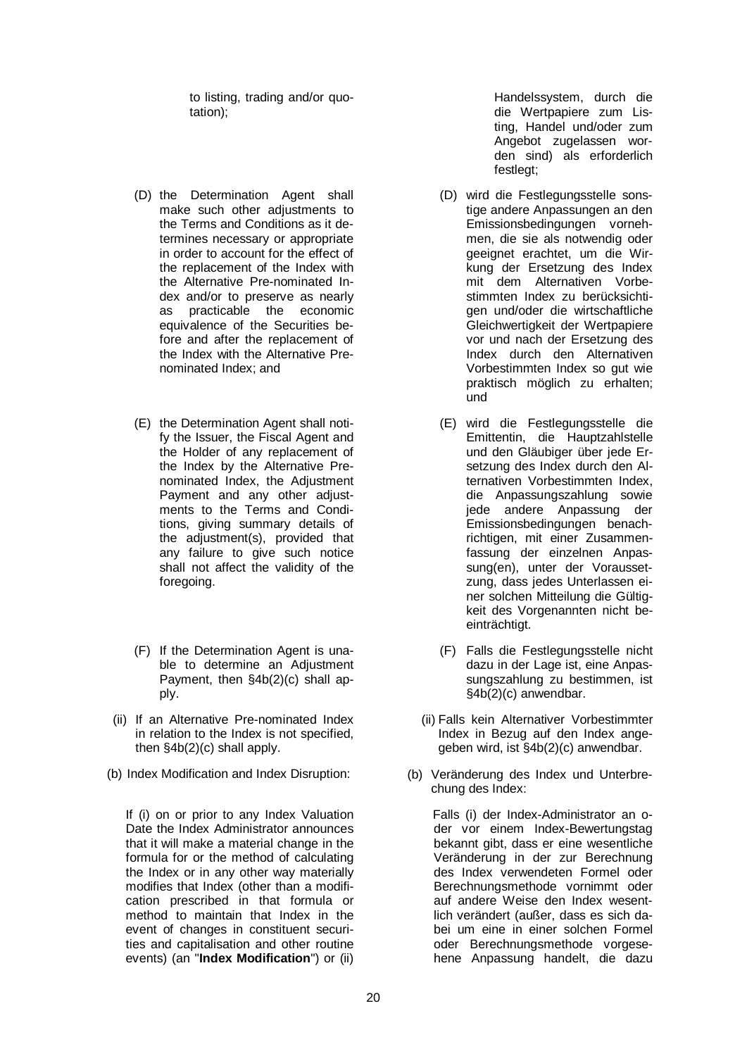to listing, trading and/or quotation);

- (D) the Determination Agent shall make such other adjustments to the Terms and Conditions as it determines necessary or appropriate in order to account for the effect of the replacement of the Index with the Alternative Pre-nominated Index and/or to preserve as nearly as practicable the economic equivalence of the Securities before and after the replacement of the Index with the Alternative Prenominated Index; and
- (E) the Determination Agent shall notify the Issuer, the Fiscal Agent and the Holder of any replacement of the Index by the Alternative Prenominated Index, the Adjustment Payment and any other adjustments to the Terms and Conditions, giving summary details of the adjustment(s), provided that any failure to give such notice shall not affect the validity of the foregoing.
- (F) If the Determination Agent is unable to determine an Adjustment Payment, then §4b(2)(c) shall apply.
- (ii) If an Alternative Pre-nominated Index in relation to the Index is not specified, then §4b(2)(c) shall apply.
- 

If (i) on or prior to any Index Valuation Date the Index Administrator announces that it will make a material change in the formula for or the method of calculating the Index or in any other way materially modifies that Index (other than a modification prescribed in that formula or method to maintain that Index in the event of changes in constituent securities and capitalisation and other routine events) (an "**Index Modification**") or (ii)

Handelssystem, durch die die Wertpapiere zum Listing, Handel und/oder zum Angebot zugelassen worden sind) als erforderlich festlegt;

- (D) wird die Festlegungsstelle sonstige andere Anpassungen an den Emissionsbedingungen vornehmen, die sie als notwendig oder geeignet erachtet, um die Wirkung der Ersetzung des Index mit dem Alternativen Vorbestimmten Index zu berücksichtigen und/oder die wirtschaftliche Gleichwertigkeit der Wertpapiere vor und nach der Ersetzung des Index durch den Alternativen Vorbestimmten Index so gut wie praktisch möglich zu erhalten; und
- (E) wird die Festlegungsstelle die Emittentin, die Hauptzahlstelle und den Gläubiger über jede Ersetzung des Index durch den Alternativen Vorbestimmten Index, die Anpassungszahlung sowie jede andere Anpassung der Emissionsbedingungen benachrichtigen, mit einer Zusammenfassung der einzelnen Anpassung(en), unter der Voraussetzung, dass jedes Unterlassen einer solchen Mitteilung die Gültigkeit des Vorgenannten nicht beeinträchtigt.
- (F) Falls die Festlegungsstelle nicht dazu in der Lage ist, eine Anpassungszahlung zu bestimmen, ist §4b(2)(c) anwendbar.
- (ii) Falls kein Alternativer Vorbestimmter Index in Bezug auf den Index angegeben wird, ist §4b(2)(c) anwendbar.
- (b) Index Modification and Index Disruption: (b) Veränderung des Index und Unterbrechung des Index:

Falls (i) der Index-Administrator an oder vor einem Index-Bewertungstag bekannt gibt, dass er eine wesentliche Veränderung in der zur Berechnung des Index verwendeten Formel oder Berechnungsmethode vornimmt oder auf andere Weise den Index wesentlich verändert (außer, dass es sich dabei um eine in einer solchen Formel oder Berechnungsmethode vorgesehene Anpassung handelt, die dazu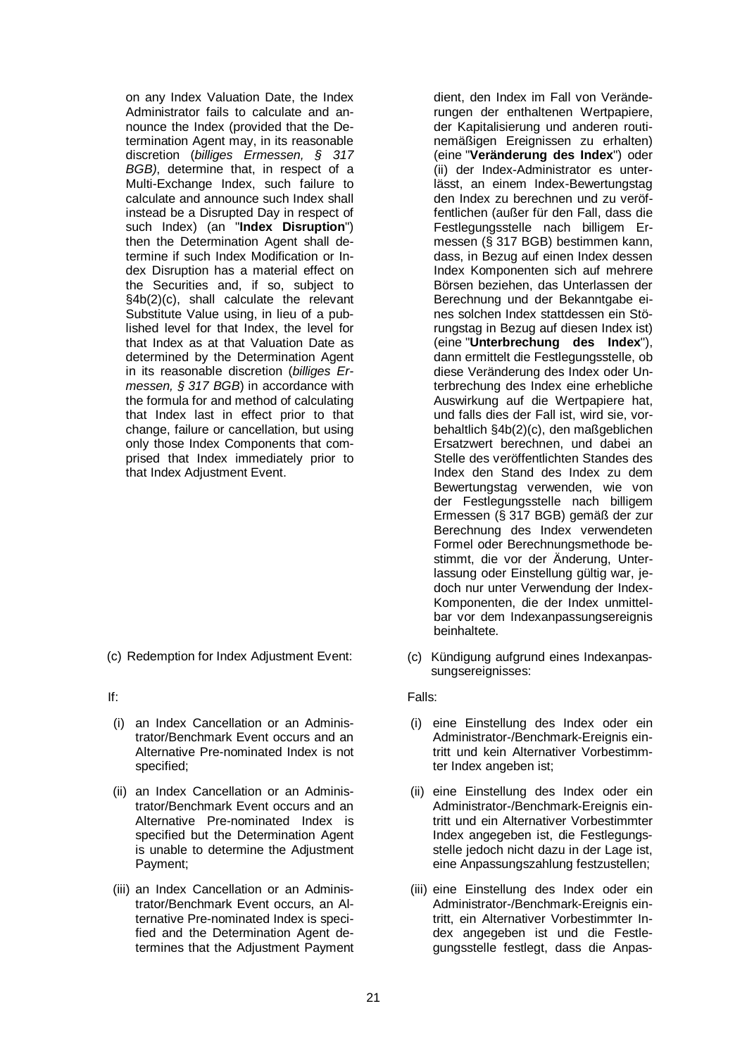on any Index Valuation Date, the Index Administrator fails to calculate and announce the Index (provided that the Determination Agent may, in its reasonable discretion (*billiges Ermessen, § 317 BGB)*, determine that, in respect of a Multi-Exchange Index, such failure to calculate and announce such Index shall instead be a Disrupted Day in respect of such Index) (an "**Index Disruption**") then the Determination Agent shall determine if such Index Modification or Index Disruption has a material effect on the Securities and, if so, subject to §4b(2)(c), shall calculate the relevant Substitute Value using, in lieu of a published level for that Index, the level for that Index as at that Valuation Date as determined by the Determination Agent in its reasonable discretion (*billiges Ermessen, § 317 BGB*) in accordance with the formula for and method of calculating that Index last in effect prior to that change, failure or cancellation, but using only those Index Components that comprised that Index immediately prior to that Index Adjustment Event.

(c) Redemption for Index Adjustment Event: (c) Kündigung aufgrund eines Indexanpas-

- (i) an Index Cancellation or an Administrator/Benchmark Event occurs and an Alternative Pre-nominated Index is not specified;
- (ii) an Index Cancellation or an Administrator/Benchmark Event occurs and an Alternative Pre-nominated Index is specified but the Determination Agent is unable to determine the Adjustment Payment;
- (iii) an Index Cancellation or an Administrator/Benchmark Event occurs, an Alternative Pre-nominated Index is specified and the Determination Agent determines that the Adjustment Payment

dient, den Index im Fall von Veränderungen der enthaltenen Wertpapiere, der Kapitalisierung und anderen routinemäßigen Ereignissen zu erhalten) (eine "**Veränderung des Index**") oder (ii) der Index-Administrator es unterlässt, an einem Index-Bewertungstag den Index zu berechnen und zu veröffentlichen (außer für den Fall, dass die Festlegungsstelle nach billigem Ermessen (§ 317 BGB) bestimmen kann, dass, in Bezug auf einen Index dessen Index Komponenten sich auf mehrere Börsen beziehen, das Unterlassen der Berechnung und der Bekanntgabe eines solchen Index stattdessen ein Störungstag in Bezug auf diesen Index ist) (eine "**Unterbrechung des Index**"), dann ermittelt die Festlegungsstelle, ob diese Veränderung des Index oder Unterbrechung des Index eine erhebliche Auswirkung auf die Wertpapiere hat, und falls dies der Fall ist, wird sie, vorbehaltlich §4b(2)(c), den maßgeblichen Ersatzwert berechnen, und dabei an Stelle des veröffentlichten Standes des Index den Stand des Index zu dem Bewertungstag verwenden, wie von der Festlegungsstelle nach billigem Ermessen (§ 317 BGB) gemäß der zur Berechnung des Index verwendeten Formel oder Berechnungsmethode bestimmt, die vor der Änderung, Unterlassung oder Einstellung gültig war, jedoch nur unter Verwendung der Index-Komponenten, die der Index unmittelbar vor dem Indexanpassungsereignis beinhaltete.

sungsereignisses:

If: Falls:

- (i) eine Einstellung des Index oder ein Administrator-/Benchmark-Ereignis eintritt und kein Alternativer Vorbestimmter Index angeben ist;
- (ii) eine Einstellung des Index oder ein Administrator-/Benchmark-Ereignis eintritt und ein Alternativer Vorbestimmter Index angegeben ist, die Festlegungsstelle jedoch nicht dazu in der Lage ist, eine Anpassungszahlung festzustellen;
- (iii) eine Einstellung des Index oder ein Administrator-/Benchmark-Ereignis eintritt, ein Alternativer Vorbestimmter Index angegeben ist und die Festlegungsstelle festlegt, dass die Anpas-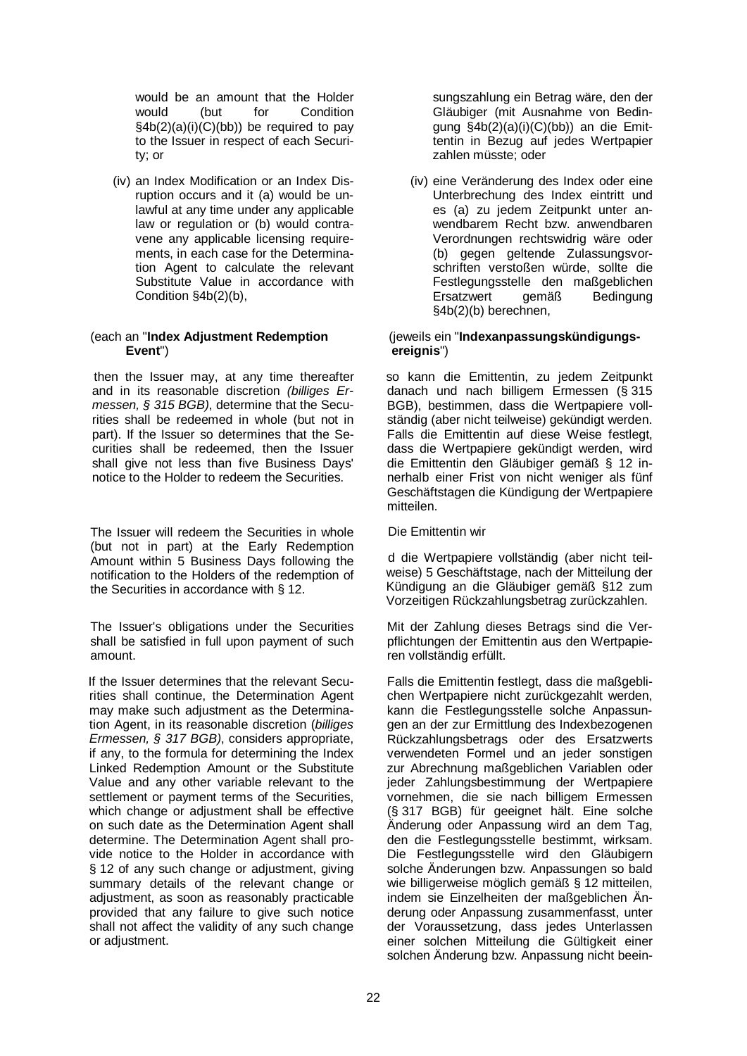would be an amount that the Holder would (but for Condition §4b(2)(a)(i)(C)(bb)) be required to pay to the Issuer in respect of each Security; or

(iv) an Index Modification or an Index Disruption occurs and it (a) would be unlawful at any time under any applicable law or regulation or (b) would contravene any applicable licensing requirements, in each case for the Determination Agent to calculate the relevant Substitute Value in accordance with Condition §4b(2)(b),

#### (each an "**Index Adjustment Redemption Event**")

then the Issuer may, at any time thereafter and in its reasonable discretion *(billiges Ermessen, § 315 BGB)*, determine that the Securities shall be redeemed in whole (but not in part). If the Issuer so determines that the Securities shall be redeemed, then the Issuer shall give not less than five Business Days' notice to the Holder to redeem the Securities.

The Issuer will redeem the Securities in whole (but not in part) at the Early Redemption Amount within 5 Business Days following the notification to the Holders of the redemption of the Securities in accordance with § 12.

The Issuer's obligations under the Securities shall be satisfied in full upon payment of such amount.

If the Issuer determines that the relevant Securities shall continue, the Determination Agent may make such adjustment as the Determination Agent, in its reasonable discretion (*billiges Ermessen, § 317 BGB)*, considers appropriate, if any, to the formula for determining the Index Linked Redemption Amount or the Substitute Value and any other variable relevant to the settlement or payment terms of the Securities, which change or adjustment shall be effective on such date as the Determination Agent shall determine. The Determination Agent shall provide notice to the Holder in accordance with § 12 of any such change or adjustment, giving summary details of the relevant change or adjustment, as soon as reasonably practicable provided that any failure to give such notice shall not affect the validity of any such change or adjustment.

sungszahlung ein Betrag wäre, den der Gläubiger (mit Ausnahme von Bedingung §4b(2)(a)(i)(C)(bb)) an die Emittentin in Bezug auf jedes Wertpapier zahlen müsste; oder

(iv) eine Veränderung des Index oder eine Unterbrechung des Index eintritt und es (a) zu jedem Zeitpunkt unter anwendbarem Recht bzw. anwendbaren Verordnungen rechtswidrig wäre oder (b) gegen geltende Zulassungsvorschriften verstoßen würde, sollte die Festlegungsstelle den maßgeblichen Ersatzwert gemäß Bedingung §4b(2)(b) berechnen,

#### (jeweils ein "**Indexanpassungskündigungsereignis**")

so kann die Emittentin, zu jedem Zeitpunkt danach und nach billigem Ermessen (§ 315 BGB), bestimmen, dass die Wertpapiere vollständig (aber nicht teilweise) gekündigt werden. Falls die Emittentin auf diese Weise festlegt, dass die Wertpapiere gekündigt werden, wird die Emittentin den Gläubiger gemäß § 12 innerhalb einer Frist von nicht weniger als fünf Geschäftstagen die Kündigung der Wertpapiere mitteilen.

Die Emittentin wir

d die Wertpapiere vollständig (aber nicht teilweise) 5 Geschäftstage, nach der Mitteilung der Kündigung an die Gläubiger gemäß §12 zum Vorzeitigen Rückzahlungsbetrag zurückzahlen.

Mit der Zahlung dieses Betrags sind die Verpflichtungen der Emittentin aus den Wertpapieren vollständig erfüllt.

Falls die Emittentin festlegt, dass die maßgeblichen Wertpapiere nicht zurückgezahlt werden, kann die Festlegungsstelle solche Anpassungen an der zur Ermittlung des Indexbezogenen Rückzahlungsbetrags oder des Ersatzwerts verwendeten Formel und an jeder sonstigen zur Abrechnung maßgeblichen Variablen oder jeder Zahlungsbestimmung der Wertpapiere vornehmen, die sie nach billigem Ermessen (§ 317 BGB) für geeignet hält. Eine solche Änderung oder Anpassung wird an dem Tag, den die Festlegungsstelle bestimmt, wirksam. Die Festlegungsstelle wird den Gläubigern solche Änderungen bzw. Anpassungen so bald wie billigerweise möglich gemäß § 12 mitteilen, indem sie Einzelheiten der maßgeblichen Änderung oder Anpassung zusammenfasst, unter der Voraussetzung, dass jedes Unterlassen einer solchen Mitteilung die Gültigkeit einer solchen Änderung bzw. Anpassung nicht beein-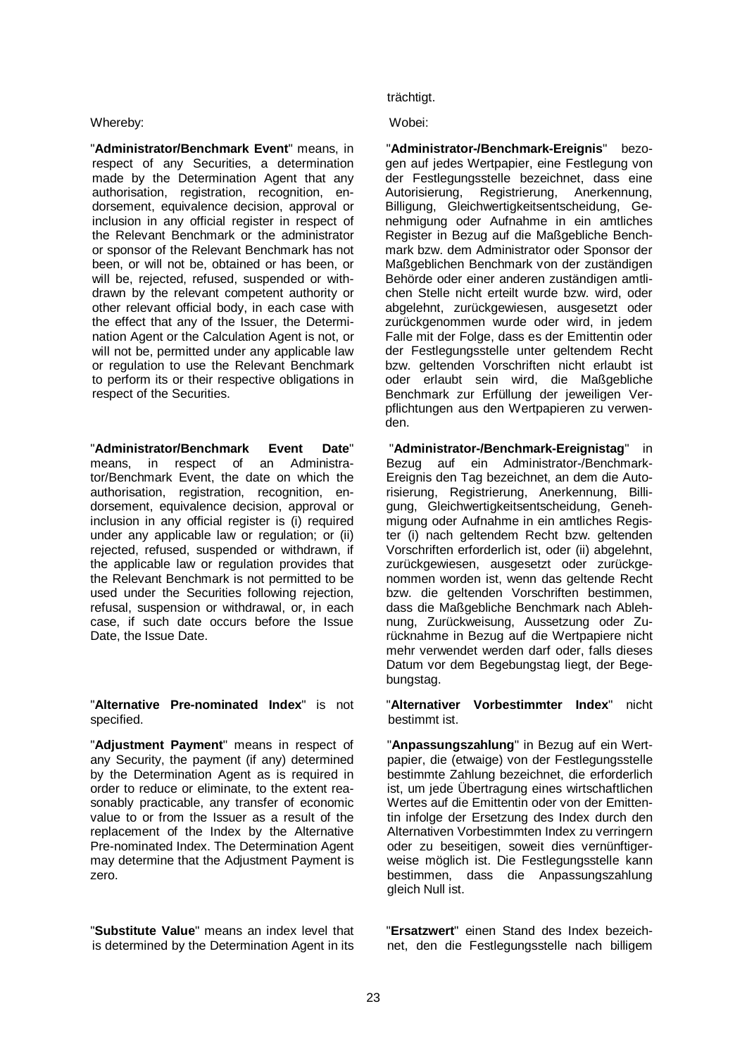#### Whereby: Wobei:

"**Administrator/Benchmark Event**" means, in respect of any Securities, a determination made by the Determination Agent that any authorisation, registration, recognition, endorsement, equivalence decision, approval or inclusion in any official register in respect of the Relevant Benchmark or the administrator or sponsor of the Relevant Benchmark has not been, or will not be, obtained or has been, or will be, rejected, refused, suspended or withdrawn by the relevant competent authority or other relevant official body, in each case with the effect that any of the Issuer, the Determination Agent or the Calculation Agent is not, or will not be, permitted under any applicable law or regulation to use the Relevant Benchmark to perform its or their respective obligations in respect of the Securities.

"**Administrator/Benchmark Event Date**" means, in respect of an Administrator/Benchmark Event, the date on which the authorisation, registration, recognition, endorsement, equivalence decision, approval or inclusion in any official register is (i) required under any applicable law or regulation; or (ii) rejected, refused, suspended or withdrawn, if the applicable law or regulation provides that the Relevant Benchmark is not permitted to be used under the Securities following rejection, refusal, suspension or withdrawal, or, in each case, if such date occurs before the Issue Date, the Issue Date.

#### "**Alternative Pre-nominated Index**" is not specified.

"**Adjustment Payment**" means in respect of any Security, the payment (if any) determined by the Determination Agent as is required in order to reduce or eliminate, to the extent reasonably practicable, any transfer of economic value to or from the Issuer as a result of the replacement of the Index by the Alternative Pre-nominated Index. The Determination Agent may determine that the Adjustment Payment is zero.

"**Substitute Value**" means an index level that is determined by the Determination Agent in its

# trächtigt.

"**Administrator-/Benchmark-Ereignis**" bezogen auf jedes Wertpapier, eine Festlegung von der Festlegungsstelle bezeichnet, dass eine<br>Autorisierung, Registrierung, Anerkennung, Autorisierung, Registrierung, Billigung, Gleichwertigkeitsentscheidung, Genehmigung oder Aufnahme in ein amtliches Register in Bezug auf die Maßgebliche Benchmark bzw. dem Administrator oder Sponsor der Maßgeblichen Benchmark von der zuständigen Behörde oder einer anderen zuständigen amtlichen Stelle nicht erteilt wurde bzw. wird, oder abgelehnt, zurückgewiesen, ausgesetzt oder zurückgenommen wurde oder wird, in jedem Falle mit der Folge, dass es der Emittentin oder der Festlegungsstelle unter geltendem Recht bzw. geltenden Vorschriften nicht erlaubt ist oder erlaubt sein wird, die Maßgebliche Benchmark zur Erfüllung der jeweiligen Verpflichtungen aus den Wertpapieren zu verwenden.

"**Administrator-/Benchmark-Ereignistag**" in Bezug auf ein Administrator-/Benchmark-Ereignis den Tag bezeichnet, an dem die Autorisierung, Registrierung, Anerkennung, Billigung, Gleichwertigkeitsentscheidung, Genehmigung oder Aufnahme in ein amtliches Register (i) nach geltendem Recht bzw. geltenden Vorschriften erforderlich ist, oder (ii) abgelehnt, zurückgewiesen, ausgesetzt oder zurückgenommen worden ist, wenn das geltende Recht bzw. die geltenden Vorschriften bestimmen, dass die Maßgebliche Benchmark nach Ablehnung, Zurückweisung, Aussetzung oder Zurücknahme in Bezug auf die Wertpapiere nicht mehr verwendet werden darf oder, falls dieses Datum vor dem Begebungstag liegt, der Begebungstag.

"**Alternativer Vorbestimmter Index**" nicht bestimmt ist.

"**Anpassungszahlung**" in Bezug auf ein Wertpapier, die (etwaige) von der Festlegungsstelle bestimmte Zahlung bezeichnet, die erforderlich ist, um jede Übertragung eines wirtschaftlichen Wertes auf die Emittentin oder von der Emittentin infolge der Ersetzung des Index durch den Alternativen Vorbestimmten Index zu verringern oder zu beseitigen, soweit dies vernünftigerweise möglich ist. Die Festlegungsstelle kann bestimmen, dass die Anpassungszahlung gleich Null ist.

"**Ersatzwert**" einen Stand des Index bezeichnet, den die Festlegungsstelle nach billigem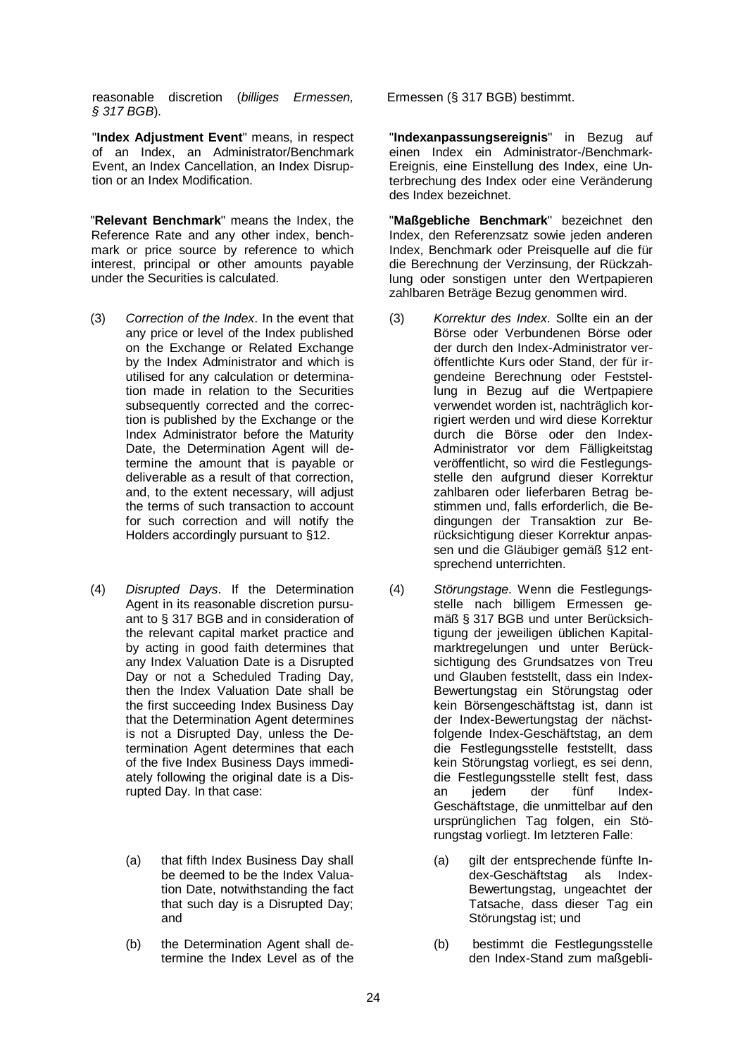reasonable discretion (*billiges Ermessen, § 317 BGB*).

"**Index Adjustment Event**" means, in respect of an Index, an Administrator/Benchmark Event, an Index Cancellation, an Index Disruption or an Index Modification.

"**Relevant Benchmark**" means the Index, the Reference Rate and any other index, benchmark or price source by reference to which interest, principal or other amounts payable under the Securities is calculated.

- (3) *Correction of the Index*. In the event that any price or level of the Index published on the Exchange or Related Exchange by the Index Administrator and which is utilised for any calculation or determination made in relation to the Securities subsequently corrected and the correction is published by the Exchange or the Index Administrator before the Maturity Date, the Determination Agent will determine the amount that is payable or deliverable as a result of that correction, and, to the extent necessary, will adjust the terms of such transaction to account for such correction and will notify the Holders accordingly pursuant to §12.
- (4) *Disrupted Days*. If the Determination Agent in its reasonable discretion pursuant to § 317 BGB and in consideration of the relevant capital market practice and by acting in good faith determines that any Index Valuation Date is a Disrupted Day or not a Scheduled Trading Day, then the Index Valuation Date shall be the first succeeding Index Business Day that the Determination Agent determines is not a Disrupted Day, unless the Determination Agent determines that each of the five Index Business Days immediately following the original date is a Disrupted Day. In that case:
	- (a) that fifth Index Business Day shall be deemed to be the Index Valuation Date, notwithstanding the fact that such day is a Disrupted Day; and
	- (b) the Determination Agent shall determine the Index Level as of the

Ermessen (§ 317 BGB) bestimmt.

"**Indexanpassungsereignis**" in Bezug auf einen Index ein Administrator-/Benchmark-Ereignis, eine Einstellung des Index, eine Unterbrechung des Index oder eine Veränderung des Index bezeichnet.

"**Maßgebliche Benchmark**" bezeichnet den Index, den Referenzsatz sowie jeden anderen Index, Benchmark oder Preisquelle auf die für die Berechnung der Verzinsung, der Rückzahlung oder sonstigen unter den Wertpapieren zahlbaren Beträge Bezug genommen wird.

- (3) *Korrektur des Index*. Sollte ein an der Börse oder Verbundenen Börse oder der durch den Index-Administrator veröffentlichte Kurs oder Stand, der für irgendeine Berechnung oder Feststellung in Bezug auf die Wertpapiere verwendet worden ist, nachträglich korrigiert werden und wird diese Korrektur durch die Börse oder den Index-Administrator vor dem Fälligkeitstag veröffentlicht, so wird die Festlegungsstelle den aufgrund dieser Korrektur zahlbaren oder lieferbaren Betrag bestimmen und, falls erforderlich, die Bedingungen der Transaktion zur Berücksichtigung dieser Korrektur anpassen und die Gläubiger gemäß §12 entsprechend unterrichten.
- (4) *Störungstage*. Wenn die Festlegungsstelle nach billigem Ermessen gemäß § 317 BGB und unter Berücksichtigung der jeweiligen üblichen Kapitalmarktregelungen und unter Berücksichtigung des Grundsatzes von Treu und Glauben feststellt, dass ein Index-Bewertungstag ein Störungstag oder kein Börsengeschäftstag ist, dann ist der Index-Bewertungstag der nächstfolgende Index-Geschäftstag, an dem die Festlegungsstelle feststellt, dass kein Störungstag vorliegt, es sei denn, die Festlegungsstelle stellt fest, dass an jedem der fünf Index-Geschäftstage, die unmittelbar auf den ursprünglichen Tag folgen, ein Störungstag vorliegt. Im letzteren Falle:
	- (a) gilt der entsprechende fünfte In-<br>dex-Geschäftstag als Indexdex-Geschäftstag Bewertungstag, ungeachtet der Tatsache, dass dieser Tag ein Störungstag ist; und
	- (b) bestimmt die Festlegungsstelle den Index-Stand zum maßgebli-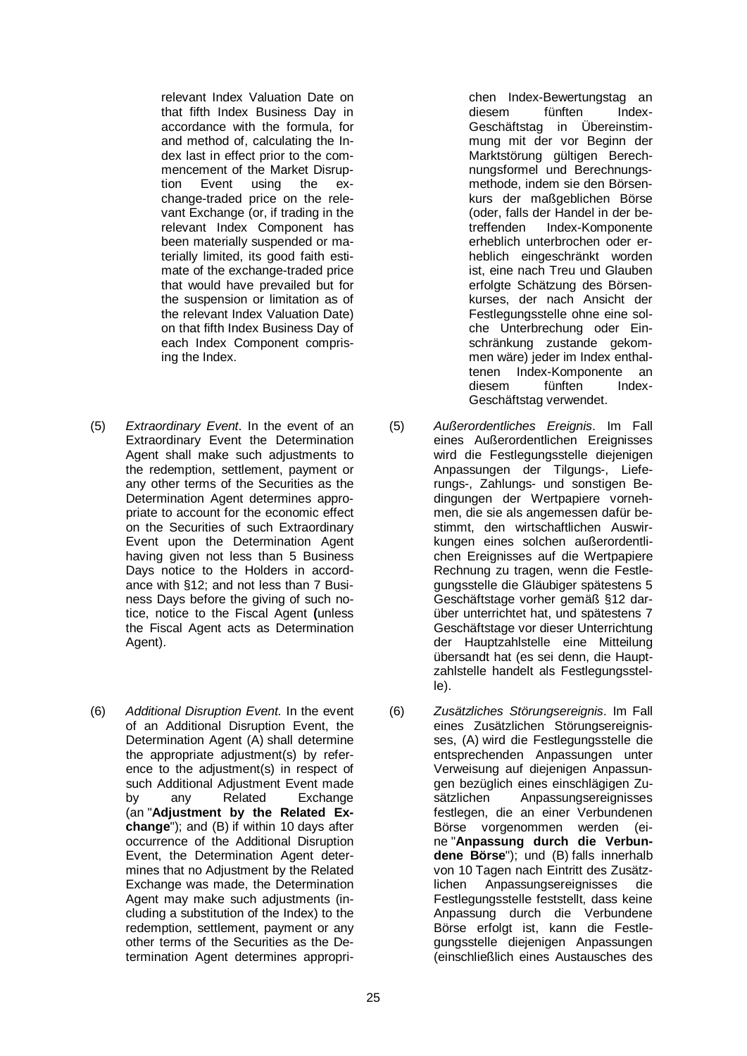relevant Index Valuation Date on that fifth Index Business Day in accordance with the formula, for and method of, calculating the Index last in effect prior to the commencement of the Market Disrup-<br>tion Event using the exusina change-traded price on the relevant Exchange (or, if trading in the relevant Index Component has been materially suspended or materially limited, its good faith estimate of the exchange-traded price that would have prevailed but for the suspension or limitation as of the relevant Index Valuation Date) on that fifth Index Business Day of each Index Component comprising the Index.

- (5) *Extraordinary Event*. In the event of an Extraordinary Event the Determination Agent shall make such adjustments to the redemption, settlement, payment or any other terms of the Securities as the Determination Agent determines appropriate to account for the economic effect on the Securities of such Extraordinary Event upon the Determination Agent having given not less than 5 Business Days notice to the Holders in accordance with §12; and not less than 7 Business Days before the giving of such notice, notice to the Fiscal Agent **(**unless the Fiscal Agent acts as Determination Agent).
- (6) *Additional Disruption Event.* In the event of an Additional Disruption Event, the Determination Agent (A) shall determine the appropriate adjustment(s) by reference to the adjustment(s) in respect of such Additional Adjustment Event made<br>by any Related Exchange by any Related Exchange (an "**Adjustment by the Related Exchange**"); and (B) if within 10 days after occurrence of the Additional Disruption Event, the Determination Agent determines that no Adjustment by the Related Exchange was made, the Determination Agent may make such adjustments (including a substitution of the Index) to the redemption, settlement, payment or any other terms of the Securities as the Determination Agent determines appropri-

chen Index-Bewertungstag an diesem fünften Index-Geschäftstag in Übereinstimmung mit der vor Beginn der Marktstörung gültigen Berechnungsformel und Berechnungsmethode, indem sie den Börsenkurs der maßgeblichen Börse (oder, falls der Handel in der be-Index-Komponente erheblich unterbrochen oder erheblich eingeschränkt worden ist, eine nach Treu und Glauben erfolgte Schätzung des Börsenkurses, der nach Ansicht der Festlegungsstelle ohne eine solche Unterbrechung oder Einschränkung zustande gekommen wäre) jeder im Index enthaltenen Index-Komponente an<br>diesem fünften Indexdiesem fünften Geschäftstag verwendet.

- (5) *Außerordentliches Ereignis*. Im Fall eines Außerordentlichen Ereignisses wird die Festlegungsstelle diejenigen Anpassungen der Tilgungs-, Lieferungs-, Zahlungs- und sonstigen Bedingungen der Wertpapiere vornehmen, die sie als angemessen dafür bestimmt, den wirtschaftlichen Auswirkungen eines solchen außerordentlichen Ereignisses auf die Wertpapiere Rechnung zu tragen, wenn die Festlegungsstelle die Gläubiger spätestens 5 Geschäftstage vorher gemäß §12 darüber unterrichtet hat, und spätestens 7 Geschäftstage vor dieser Unterrichtung der Hauptzahlstelle eine Mitteilung übersandt hat (es sei denn, die Hauptzahlstelle handelt als Festlegungsstelle).
- (6) *Zusätzliches Störungsereignis*. Im Fall eines Zusätzlichen Störungsereignisses, (A) wird die Festlegungsstelle die entsprechenden Anpassungen unter Verweisung auf diejenigen Anpassungen bezüglich eines einschlägigen Zusätzlichen Anpassungsereignisses festlegen, die an einer Verbundenen Börse vorgenommen werden (eine "**Anpassung durch die Verbundene Börse**"); und (B) falls innerhalb von 10 Tagen nach Eintritt des Zusätzlichen Anpassungsereignisses die Festlegungsstelle feststellt, dass keine Anpassung durch die Verbundene Börse erfolgt ist, kann die Festlegungsstelle diejenigen Anpassungen (einschließlich eines Austausches des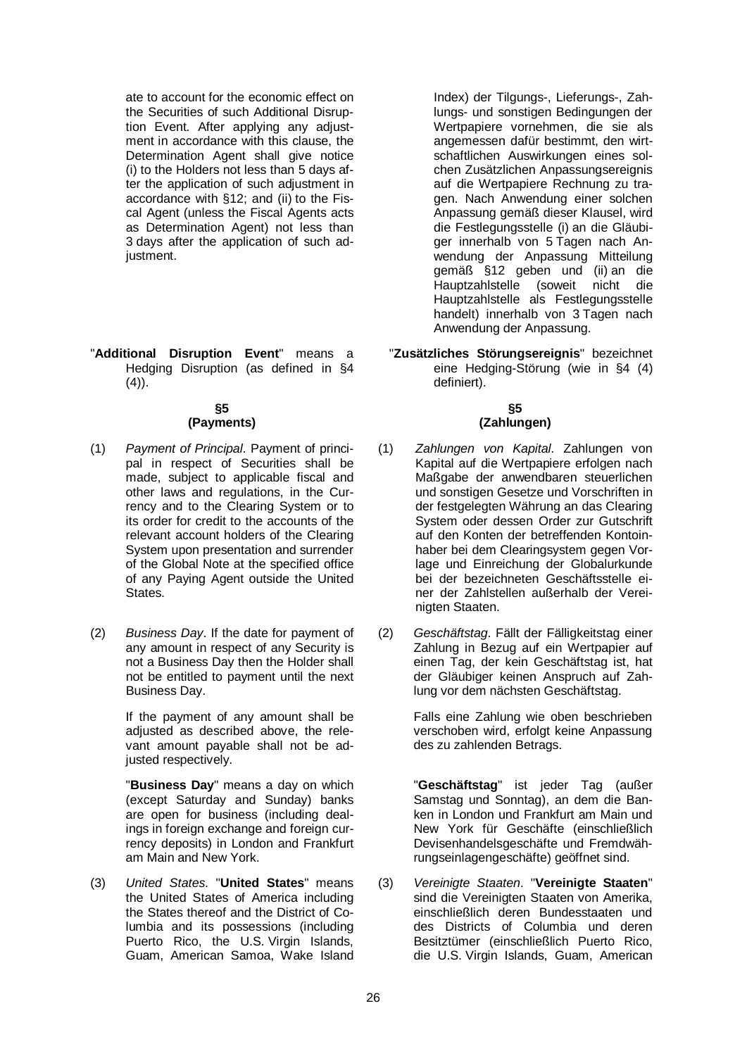ate to account for the economic effect on the Securities of such Additional Disruption Event. After applying any adjustment in accordance with this clause, the Determination Agent shall give notice (i) to the Holders not less than 5 days after the application of such adjustment in accordance with §12; and (ii) to the Fiscal Agent (unless the Fiscal Agents acts as Determination Agent) not less than 3 days after the application of such adjustment.

"**Additional Disruption Event**" means a Hedging Disruption (as defined in §4  $(4)$ ).

#### **§5 (Payments)**

- (1) *Payment of Principal*. Payment of principal in respect of Securities shall be made, subject to applicable fiscal and other laws and regulations, in the Currency and to the Clearing System or to its order for credit to the accounts of the relevant account holders of the Clearing System upon presentation and surrender of the Global Note at the specified office of any Paying Agent outside the United States.
- (2) *Business Day*. If the date for payment of any amount in respect of any Security is not a Business Day then the Holder shall not be entitled to payment until the next Business Day.

If the payment of any amount shall be adjusted as described above, the relevant amount payable shall not be adjusted respectively.

"**Business Day**" means a day on which (except Saturday and Sunday) banks are open for business (including dealings in foreign exchange and foreign currency deposits) in London and Frankfurt am Main and New York.

(3) *United States*. "**United States**" means the United States of America including the States thereof and the District of Columbia and its possessions (including Puerto Rico, the U.S. Virgin Islands, Guam, American Samoa, Wake Island

Index) der Tilgungs-, Lieferungs-, Zahlungs- und sonstigen Bedingungen der Wertpapiere vornehmen, die sie als angemessen dafür bestimmt, den wirtschaftlichen Auswirkungen eines solchen Zusätzlichen Anpassungsereignis auf die Wertpapiere Rechnung zu tragen. Nach Anwendung einer solchen Anpassung gemäß dieser Klausel, wird die Festlegungsstelle (i) an die Gläubiger innerhalb von 5 Tagen nach Anwendung der Anpassung Mitteilung gemäß §12 geben und (ii) an die Hauptzahlstelle (soweit nicht die Hauptzahlstelle als Festlegungsstelle handelt) innerhalb von 3 Tagen nach Anwendung der Anpassung.

"**Zusätzliches Störungsereignis**" bezeichnet eine Hedging-Störung (wie in §4 (4) definiert).

# **§5 (Zahlungen)**

- (1) *Zahlungen von Kapital*. Zahlungen von Kapital auf die Wertpapiere erfolgen nach Maßgabe der anwendbaren steuerlichen und sonstigen Gesetze und Vorschriften in der festgelegten Währung an das Clearing System oder dessen Order zur Gutschrift auf den Konten der betreffenden Kontoinhaber bei dem Clearingsystem gegen Vorlage und Einreichung der Globalurkunde bei der bezeichneten Geschäftsstelle einer der Zahlstellen außerhalb der Vereinigten Staaten.
- (2) *Geschäftstag*. Fällt der Fälligkeitstag einer Zahlung in Bezug auf ein Wertpapier auf einen Tag, der kein Geschäftstag ist, hat der Gläubiger keinen Anspruch auf Zahlung vor dem nächsten Geschäftstag.

Falls eine Zahlung wie oben beschrieben verschoben wird, erfolgt keine Anpassung des zu zahlenden Betrags.

"**Geschäftstag**" ist jeder Tag (außer Samstag und Sonntag), an dem die Banken in London und Frankfurt am Main und New York für Geschäfte (einschließlich Devisenhandelsgeschäfte und Fremdwährungseinlagengeschäfte) geöffnet sind.

(3) *Vereinigte Staaten*. "**Vereinigte Staaten**" sind die Vereinigten Staaten von Amerika, einschließlich deren Bundesstaaten und des Districts of Columbia und deren Besitztümer (einschließlich Puerto Rico, die U.S. Virgin Islands, Guam, American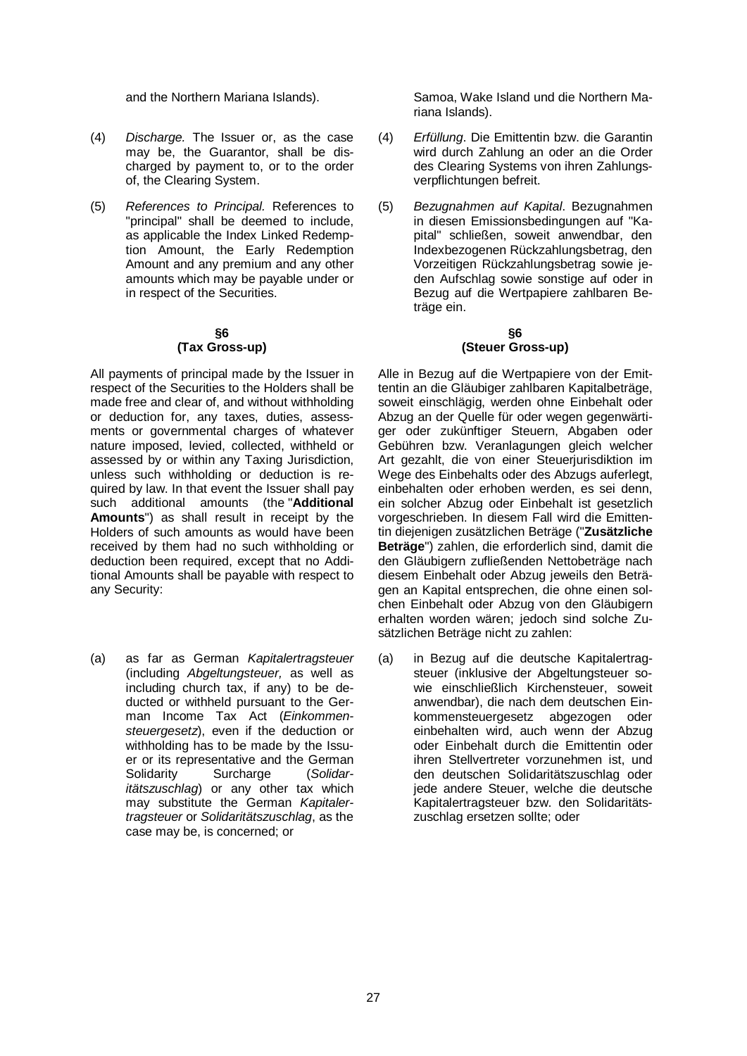- (4) *Discharge.* The Issuer or, as the case may be, the Guarantor, shall be discharged by payment to, or to the order of, the Clearing System.
- (5) *References to Principal.* References to "principal" shall be deemed to include, as applicable the Index Linked Redemption Amount, the Early Redemption Amount and any premium and any other amounts which may be payable under or in respect of the Securities.

#### **§6 (Tax Gross-up)**

All payments of principal made by the Issuer in respect of the Securities to the Holders shall be made free and clear of, and without withholding or deduction for, any taxes, duties, assessments or governmental charges of whatever nature imposed, levied, collected, withheld or assessed by or within any Taxing Jurisdiction, unless such withholding or deduction is required by law. In that event the Issuer shall pay such additional amounts (the "**Additional Amounts**") as shall result in receipt by the Holders of such amounts as would have been received by them had no such withholding or deduction been required, except that no Additional Amounts shall be payable with respect to any Security:

(a) as far as German *Kapitalertragsteuer* (including *Abgeltungsteuer,* as well as including church tax, if any) to be deducted or withheld pursuant to the German Income Tax Act (*Einkommensteuergesetz*), even if the deduction or withholding has to be made by the Issuer or its representative and the German<br>Solidarity Surcharge (Solidar-Surcharge *itätszuschlag*) or any other tax which may substitute the German *Kapitalertragsteuer* or *Solidaritätszuschlag*, as the case may be, is concerned; or

and the Northern Mariana Islands). Samoa, Wake Island und die Northern Mariana Islands).

- (4) *Erfüllung*. Die Emittentin bzw. die Garantin wird durch Zahlung an oder an die Order des Clearing Systems von ihren Zahlungsverpflichtungen befreit.
- (5) *Bezugnahmen auf Kapital*. Bezugnahmen in diesen Emissionsbedingungen auf "Kapital" schließen, soweit anwendbar, den Indexbezogenen Rückzahlungsbetrag, den Vorzeitigen Rückzahlungsbetrag sowie jeden Aufschlag sowie sonstige auf oder in Bezug auf die Wertpapiere zahlbaren Beträge ein.

#### **§6 (Steuer Gross-up)**

Alle in Bezug auf die Wertpapiere von der Emittentin an die Gläubiger zahlbaren Kapitalbeträge, soweit einschlägig, werden ohne Einbehalt oder Abzug an der Quelle für oder wegen gegenwärtiger oder zukünftiger Steuern, Abgaben oder Gebühren bzw. Veranlagungen gleich welcher Art gezahlt, die von einer Steuerjurisdiktion im Wege des Einbehalts oder des Abzugs auferlegt, einbehalten oder erhoben werden, es sei denn, ein solcher Abzug oder Einbehalt ist gesetzlich vorgeschrieben. In diesem Fall wird die Emittentin diejenigen zusätzlichen Beträge ("**Zusätzliche Beträge**") zahlen, die erforderlich sind, damit die den Gläubigern zufließenden Nettobeträge nach diesem Einbehalt oder Abzug jeweils den Beträgen an Kapital entsprechen, die ohne einen solchen Einbehalt oder Abzug von den Gläubigern erhalten worden wären; jedoch sind solche Zusätzlichen Beträge nicht zu zahlen:

(a) in Bezug auf die deutsche Kapitalertragsteuer (inklusive der Abgeltungsteuer sowie einschließlich Kirchensteuer, soweit anwendbar), die nach dem deutschen Einkommensteuergesetz abgezogen oder einbehalten wird, auch wenn der Abzug oder Einbehalt durch die Emittentin oder ihren Stellvertreter vorzunehmen ist, und den deutschen Solidaritätszuschlag oder jede andere Steuer, welche die deutsche Kapitalertragsteuer bzw. den Solidaritätszuschlag ersetzen sollte; oder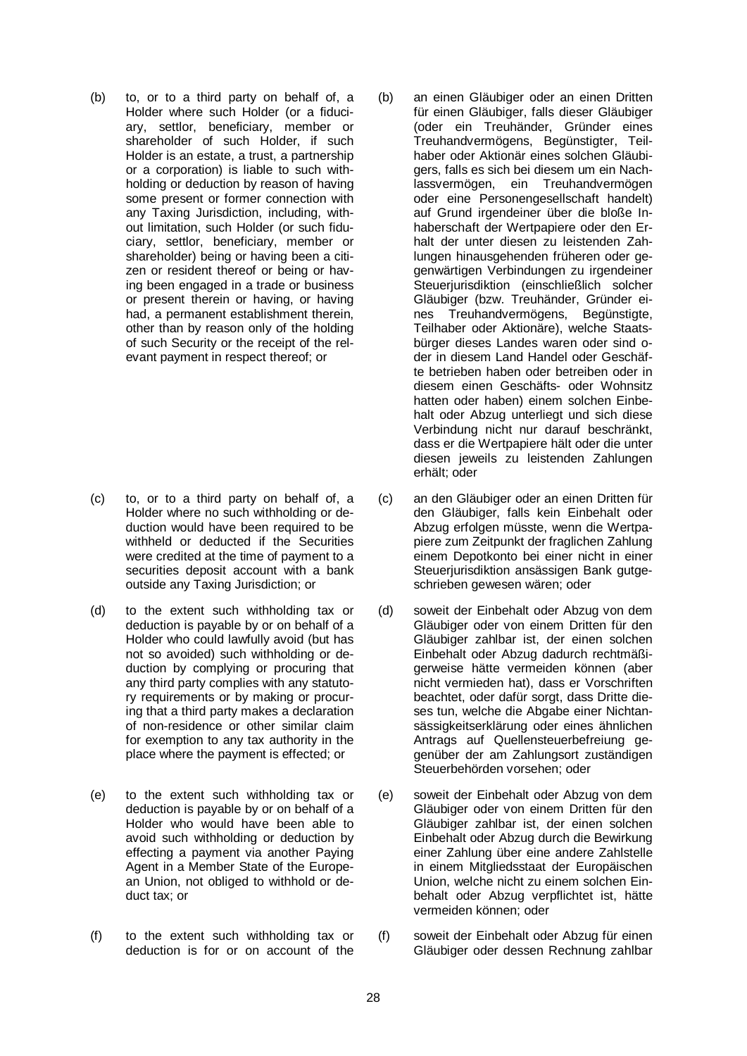(b) to, or to a third party on behalf of, a Holder where such Holder (or a fiduciary, settlor, beneficiary, member or shareholder of such Holder, if such Holder is an estate, a trust, a partnership or a corporation) is liable to such withholding or deduction by reason of having some present or former connection with any Taxing Jurisdiction, including, without limitation, such Holder (or such fiduciary, settlor, beneficiary, member or shareholder) being or having been a citizen or resident thereof or being or having been engaged in a trade or business or present therein or having, or having had, a permanent establishment therein, other than by reason only of the holding of such Security or the receipt of the relevant payment in respect thereof; or

- (c) to, or to a third party on behalf of, a Holder where no such withholding or deduction would have been required to be withheld or deducted if the Securities were credited at the time of payment to a securities deposit account with a bank outside any Taxing Jurisdiction; or
- (d) to the extent such withholding tax or deduction is payable by or on behalf of a Holder who could lawfully avoid (but has not so avoided) such withholding or deduction by complying or procuring that any third party complies with any statutory requirements or by making or procuring that a third party makes a declaration of non-residence or other similar claim for exemption to any tax authority in the place where the payment is effected; or
- (e) to the extent such withholding tax or deduction is payable by or on behalf of a Holder who would have been able to avoid such withholding or deduction by effecting a payment via another Paying Agent in a Member State of the European Union, not obliged to withhold or deduct tax; or
- (f) to the extent such withholding tax or deduction is for or on account of the
- (b) an einen Gläubiger oder an einen Dritten für einen Gläubiger, falls dieser Gläubiger (oder ein Treuhänder, Gründer eines Treuhandvermögens, Begünstigter, Teilhaber oder Aktionär eines solchen Gläubigers, falls es sich bei diesem um ein Nachlassvermögen, ein Treuhandvermögen oder eine Personengesellschaft handelt) auf Grund irgendeiner über die bloße Inhaberschaft der Wertpapiere oder den Erhalt der unter diesen zu leistenden Zahlungen hinausgehenden früheren oder gegenwärtigen Verbindungen zu irgendeiner Steueriurisdiktion (einschließlich solcher Gläubiger (bzw. Treuhänder, Gründer eines Treuhandvermögens, Begünstigte, Teilhaber oder Aktionäre), welche Staatsbürger dieses Landes waren oder sind oder in diesem Land Handel oder Geschäfte betrieben haben oder betreiben oder in diesem einen Geschäfts- oder Wohnsitz hatten oder haben) einem solchen Einbehalt oder Abzug unterliegt und sich diese Verbindung nicht nur darauf beschränkt, dass er die Wertpapiere hält oder die unter diesen jeweils zu leistenden Zahlungen erhält; oder
- (c) an den Gläubiger oder an einen Dritten für den Gläubiger, falls kein Einbehalt oder Abzug erfolgen müsste, wenn die Wertpapiere zum Zeitpunkt der fraglichen Zahlung einem Depotkonto bei einer nicht in einer Steuerjurisdiktion ansässigen Bank gutgeschrieben gewesen wären; oder
- (d) soweit der Einbehalt oder Abzug von dem Gläubiger oder von einem Dritten für den Gläubiger zahlbar ist, der einen solchen Einbehalt oder Abzug dadurch rechtmäßigerweise hätte vermeiden können (aber nicht vermieden hat), dass er Vorschriften beachtet, oder dafür sorgt, dass Dritte dieses tun, welche die Abgabe einer Nichtansässigkeitserklärung oder eines ähnlichen Antrags auf Quellensteuerbefreiung gegenüber der am Zahlungsort zuständigen Steuerbehörden vorsehen; oder
- (e) soweit der Einbehalt oder Abzug von dem Gläubiger oder von einem Dritten für den Gläubiger zahlbar ist, der einen solchen Einbehalt oder Abzug durch die Bewirkung einer Zahlung über eine andere Zahlstelle in einem Mitgliedsstaat der Europäischen Union, welche nicht zu einem solchen Einbehalt oder Abzug verpflichtet ist, hätte vermeiden können; oder
- (f) soweit der Einbehalt oder Abzug für einen Gläubiger oder dessen Rechnung zahlbar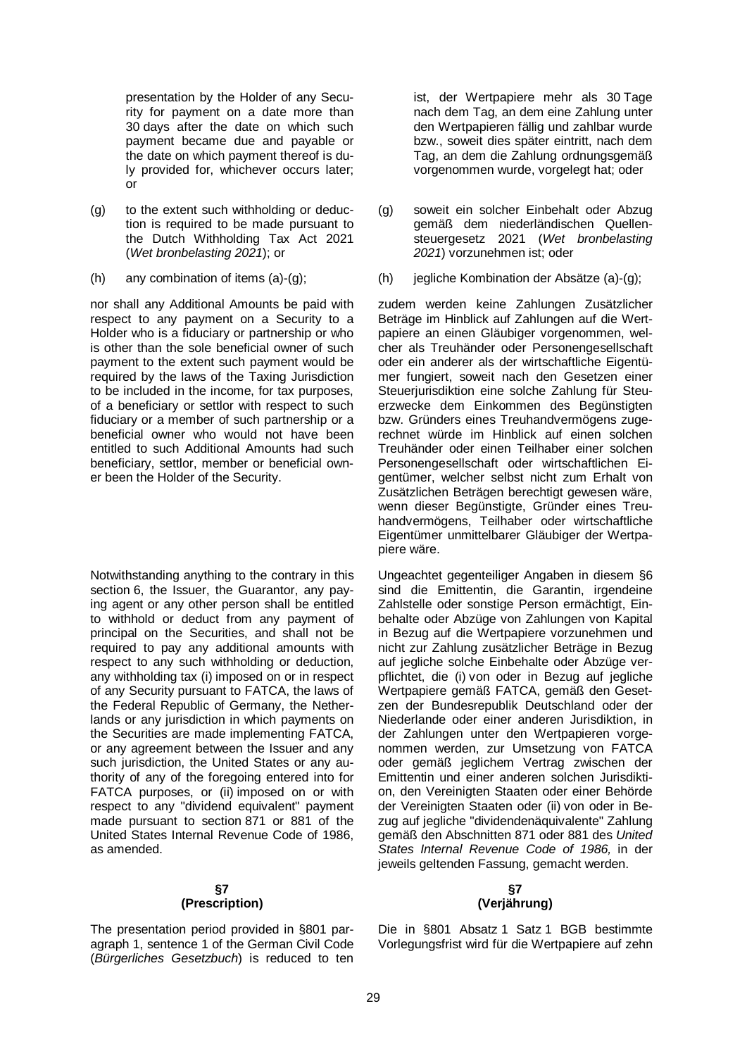presentation by the Holder of any Security for payment on a date more than 30 days after the date on which such payment became due and payable or the date on which payment thereof is duly provided for, whichever occurs later; or

- (g) to the extent such withholding or deduction is required to be made pursuant to the Dutch Withholding Tax Act 2021 (*Wet bronbelasting 2021*); or
- 

nor shall any Additional Amounts be paid with respect to any payment on a Security to a Holder who is a fiduciary or partnership or who is other than the sole beneficial owner of such payment to the extent such payment would be required by the laws of the Taxing Jurisdiction to be included in the income, for tax purposes, of a beneficiary or settlor with respect to such fiduciary or a member of such partnership or a beneficial owner who would not have been entitled to such Additional Amounts had such beneficiary, settlor, member or beneficial owner been the Holder of the Security.

Notwithstanding anything to the contrary in this section 6, the Issuer, the Guarantor, any paying agent or any other person shall be entitled to withhold or deduct from any payment of principal on the Securities, and shall not be required to pay any additional amounts with respect to any such withholding or deduction, any withholding tax (i) imposed on or in respect of any Security pursuant to FATCA, the laws of the Federal Republic of Germany, the Netherlands or any jurisdiction in which payments on the Securities are made implementing FATCA, or any agreement between the Issuer and any such jurisdiction, the United States or any authority of any of the foregoing entered into for FATCA purposes, or (ii) imposed on or with respect to any "dividend equivalent" payment made pursuant to section 871 or 881 of the United States Internal Revenue Code of 1986, as amended.

#### **§7 (Prescription)**

The presentation period provided in §801 paragraph 1, sentence 1 of the German Civil Code (*Bürgerliches Gesetzbuch*) is reduced to ten ist, der Wertpapiere mehr als 30 Tage nach dem Tag, an dem eine Zahlung unter den Wertpapieren fällig und zahlbar wurde bzw., soweit dies später eintritt, nach dem Tag, an dem die Zahlung ordnungsgemäß vorgenommen wurde, vorgelegt hat; oder

- (g) soweit ein solcher Einbehalt oder Abzug gemäß dem niederländischen Quellensteuergesetz 2021 (*Wet bronbelasting 2021*) vorzunehmen ist; oder
- (h) any combination of items (a)-(g); (h) jegliche Kombination der Absätze (a)-(g);

zudem werden keine Zahlungen Zusätzlicher Beträge im Hinblick auf Zahlungen auf die Wertpapiere an einen Gläubiger vorgenommen, welcher als Treuhänder oder Personengesellschaft oder ein anderer als der wirtschaftliche Eigentümer fungiert, soweit nach den Gesetzen einer Steuerjurisdiktion eine solche Zahlung für Steuerzwecke dem Einkommen des Begünstigten bzw. Gründers eines Treuhandvermögens zugerechnet würde im Hinblick auf einen solchen Treuhänder oder einen Teilhaber einer solchen Personengesellschaft oder wirtschaftlichen Eigentümer, welcher selbst nicht zum Erhalt von Zusätzlichen Beträgen berechtigt gewesen wäre, wenn dieser Begünstigte, Gründer eines Treuhandvermögens, Teilhaber oder wirtschaftliche Eigentümer unmittelbarer Gläubiger der Wertpapiere wäre.

Ungeachtet gegenteiliger Angaben in diesem §6 sind die Emittentin, die Garantin, irgendeine Zahlstelle oder sonstige Person ermächtigt, Einbehalte oder Abzüge von Zahlungen von Kapital in Bezug auf die Wertpapiere vorzunehmen und nicht zur Zahlung zusätzlicher Beträge in Bezug auf jegliche solche Einbehalte oder Abzüge verpflichtet, die (i) von oder in Bezug auf jegliche Wertpapiere gemäß FATCA, gemäß den Gesetzen der Bundesrepublik Deutschland oder der Niederlande oder einer anderen Jurisdiktion, in der Zahlungen unter den Wertpapieren vorgenommen werden, zur Umsetzung von FATCA oder gemäß jeglichem Vertrag zwischen der Emittentin und einer anderen solchen Jurisdiktion, den Vereinigten Staaten oder einer Behörde der Vereinigten Staaten oder (ii) von oder in Bezug auf jegliche "dividendenäquivalente" Zahlung gemäß den Abschnitten 871 oder 881 des *United States Internal Revenue Code of 1986,* in der jeweils geltenden Fassung, gemacht werden.

#### **§7 (Verjährung)**

Die in §801 Absatz 1 Satz 1 BGB bestimmte Vorlegungsfrist wird für die Wertpapiere auf zehn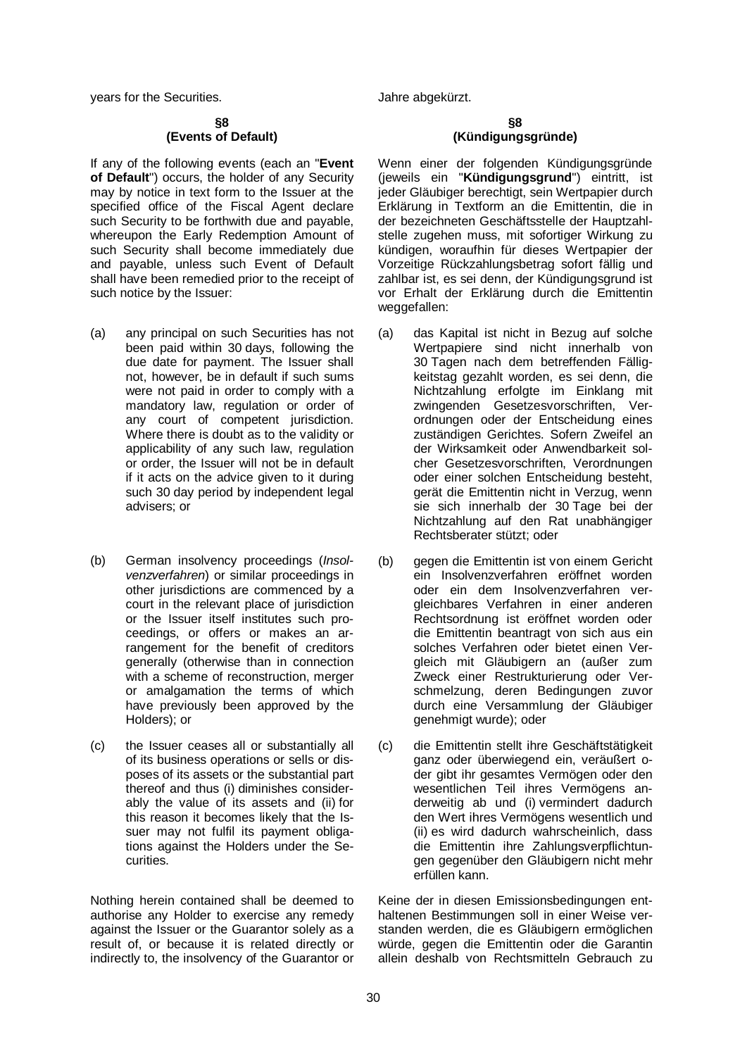years for the Securities. The state of the Securities of the securities of the state of the state of the state of the state of the state of the state of the state of the state of the state of the state of the state of the

#### **§8 (Events of Default)**

If any of the following events (each an "**Event of Default**") occurs, the holder of any Security may by notice in text form to the Issuer at the specified office of the Fiscal Agent declare such Security to be forthwith due and payable, whereupon the Early Redemption Amount of such Security shall become immediately due and payable, unless such Event of Default shall have been remedied prior to the receipt of such notice by the Issuer:

- (a) any principal on such Securities has not been paid within 30 days, following the due date for payment. The Issuer shall not, however, be in default if such sums were not paid in order to comply with a mandatory law, regulation or order of any court of competent jurisdiction. Where there is doubt as to the validity or applicability of any such law, regulation or order, the Issuer will not be in default if it acts on the advice given to it during such 30 day period by independent legal advisers; or
- (b) German insolvency proceedings (*Insolvenzverfahren*) or similar proceedings in other jurisdictions are commenced by a court in the relevant place of jurisdiction or the Issuer itself institutes such proceedings, or offers or makes an arrangement for the benefit of creditors generally (otherwise than in connection with a scheme of reconstruction, merger or amalgamation the terms of which have previously been approved by the Holders); or
- (c) the Issuer ceases all or substantially all of its business operations or sells or disposes of its assets or the substantial part thereof and thus (i) diminishes considerably the value of its assets and (ii) for this reason it becomes likely that the Issuer may not fulfil its payment obligations against the Holders under the Securities.

Nothing herein contained shall be deemed to authorise any Holder to exercise any remedy against the Issuer or the Guarantor solely as a result of, or because it is related directly or indirectly to, the insolvency of the Guarantor or

#### **§8 (Kündigungsgründe)**

Wenn einer der folgenden Kündigungsgründe (jeweils ein "**Kündigungsgrund**") eintritt, ist jeder Gläubiger berechtigt, sein Wertpapier durch Erklärung in Textform an die Emittentin, die in der bezeichneten Geschäftsstelle der Hauptzahlstelle zugehen muss, mit sofortiger Wirkung zu kündigen, woraufhin für dieses Wertpapier der Vorzeitige Rückzahlungsbetrag sofort fällig und zahlbar ist, es sei denn, der Kündigungsgrund ist vor Erhalt der Erklärung durch die Emittentin weggefallen:

- (a) das Kapital ist nicht in Bezug auf solche Wertpapiere sind nicht innerhalb von 30 Tagen nach dem betreffenden Fälligkeitstag gezahlt worden, es sei denn, die Nichtzahlung erfolgte im Einklang mit zwingenden Gesetzesvorschriften, Verordnungen oder der Entscheidung eines zuständigen Gerichtes. Sofern Zweifel an der Wirksamkeit oder Anwendbarkeit solcher Gesetzesvorschriften, Verordnungen oder einer solchen Entscheidung besteht, gerät die Emittentin nicht in Verzug, wenn sie sich innerhalb der 30 Tage bei der Nichtzahlung auf den Rat unabhängiger Rechtsberater stützt; oder
- (b) gegen die Emittentin ist von einem Gericht ein Insolvenzverfahren eröffnet worden oder ein dem Insolvenzverfahren vergleichbares Verfahren in einer anderen Rechtsordnung ist eröffnet worden oder die Emittentin beantragt von sich aus ein solches Verfahren oder bietet einen Vergleich mit Gläubigern an (außer zum Zweck einer Restrukturierung oder Verschmelzung, deren Bedingungen zuvor durch eine Versammlung der Gläubiger genehmigt wurde); oder
- (c) die Emittentin stellt ihre Geschäftstätigkeit ganz oder überwiegend ein, veräußert oder gibt ihr gesamtes Vermögen oder den wesentlichen Teil ihres Vermögens anderweitig ab und (i) vermindert dadurch den Wert ihres Vermögens wesentlich und (ii) es wird dadurch wahrscheinlich, dass die Emittentin ihre Zahlungsverpflichtungen gegenüber den Gläubigern nicht mehr erfüllen kann.

Keine der in diesen Emissionsbedingungen enthaltenen Bestimmungen soll in einer Weise verstanden werden, die es Gläubigern ermöglichen würde, gegen die Emittentin oder die Garantin allein deshalb von Rechtsmitteln Gebrauch zu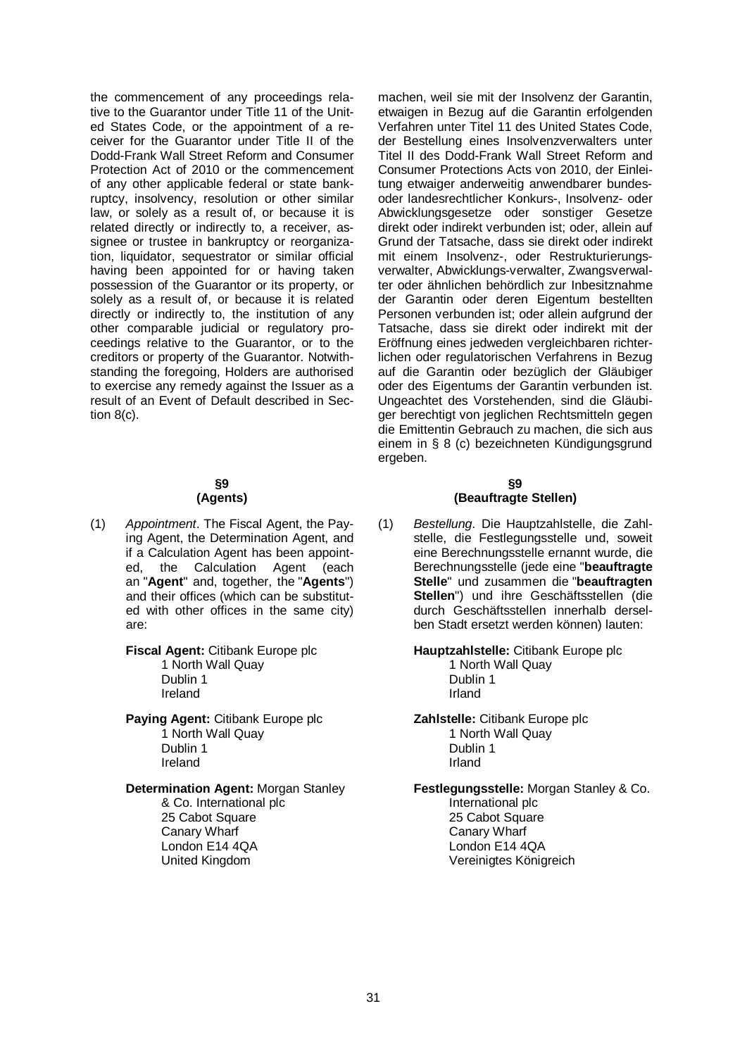the commencement of any proceedings relative to the Guarantor under Title 11 of the United States Code, or the appointment of a receiver for the Guarantor under Title II of the Dodd-Frank Wall Street Reform and Consumer Protection Act of 2010 or the commencement of any other applicable federal or state bankruptcy, insolvency, resolution or other similar law, or solely as a result of, or because it is related directly or indirectly to, a receiver, assignee or trustee in bankruptcy or reorganization, liquidator, sequestrator or similar official having been appointed for or having taken possession of the Guarantor or its property, or solely as a result of, or because it is related directly or indirectly to, the institution of any other comparable judicial or regulatory proceedings relative to the Guarantor, or to the creditors or property of the Guarantor. Notwithstanding the foregoing, Holders are authorised to exercise any remedy against the Issuer as a result of an Event of Default described in Section 8(c).

#### **§9 (Agents)**

(1) *Appointment*. The Fiscal Agent, the Paying Agent, the Determination Agent, and if a Calculation Agent has been appointed, the Calculation Agent (each an "**Agent**" and, together, the "**Agents**") and their offices (which can be substituted with other offices in the same city) are:

> **Fiscal Agent:** Citibank Europe plc 1 North Wall Quay Dublin 1 Ireland

Paying Agent: Citibank Europe plc 1 North Wall Quay Dublin 1 Ireland

**Determination Agent:** Morgan Stanley

& Co. International plc 25 Cabot Square Canary Wharf London E14 4QA United Kingdom

machen, weil sie mit der Insolvenz der Garantin, etwaigen in Bezug auf die Garantin erfolgenden Verfahren unter Titel 11 des United States Code, der Bestellung eines Insolvenzverwalters unter Titel II des Dodd-Frank Wall Street Reform and Consumer Protections Acts von 2010, der Einleitung etwaiger anderweitig anwendbarer bundesoder landesrechtlicher Konkurs-, Insolvenz- oder Abwicklungsgesetze oder sonstiger Gesetze direkt oder indirekt verbunden ist; oder, allein auf Grund der Tatsache, dass sie direkt oder indirekt mit einem Insolvenz-, oder Restrukturierungsverwalter, Abwicklungs-verwalter, Zwangsverwalter oder ähnlichen behördlich zur Inbesitznahme der Garantin oder deren Eigentum bestellten Personen verbunden ist; oder allein aufgrund der Tatsache, dass sie direkt oder indirekt mit der Eröffnung eines jedweden vergleichbaren richterlichen oder regulatorischen Verfahrens in Bezug auf die Garantin oder bezüglich der Gläubiger oder des Eigentums der Garantin verbunden ist. Ungeachtet des Vorstehenden, sind die Gläubiger berechtigt von jeglichen Rechtsmitteln gegen die Emittentin Gebrauch zu machen, die sich aus einem in § 8 (c) bezeichneten Kündigungsgrund ergeben.

#### **§9 (Beauftragte Stellen)**

(1) *Bestellung*. Die Hauptzahlstelle, die Zahlstelle, die Festlegungsstelle und, soweit eine Berechnungsstelle ernannt wurde, die Berechnungsstelle (jede eine "**beauftragte Stelle**" und zusammen die "**beauftragten Stellen**") und ihre Geschäftsstellen (die durch Geschäftsstellen innerhalb derselben Stadt ersetzt werden können) lauten:

**Hauptzahlstelle:** Citibank Europe plc

1 North Wall Quay Dublin 1 Irland

**Zahlstelle:** Citibank Europe plc 1 North Wall Quay Dublin 1 Irland

**Festlegungsstelle:** Morgan Stanley & Co.

International plc 25 Cabot Square Canary Wharf London E14 4QA Vereinigtes Königreich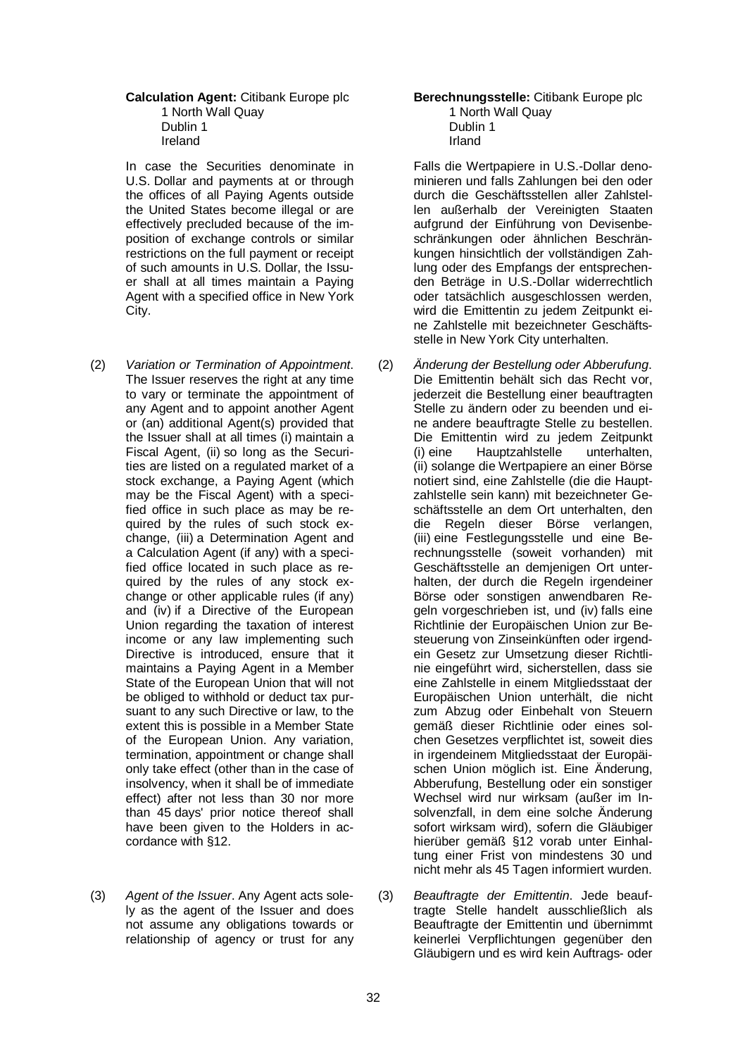#### **Calculation Agent:** Citibank Europe plc 1 North Wall Quay Dublin 1 Ireland

In case the Securities denominate in U.S. Dollar and payments at or through the offices of all Paying Agents outside the United States become illegal or are effectively precluded because of the imposition of exchange controls or similar restrictions on the full payment or receipt of such amounts in U.S. Dollar, the Issuer shall at all times maintain a Paying Agent with a specified office in New York City.

- (2) *Variation or Termination of Appointment*. The Issuer reserves the right at any time to vary or terminate the appointment of any Agent and to appoint another Agent or (an) additional Agent(s) provided that the Issuer shall at all times (i) maintain a Fiscal Agent, (ii) so long as the Securities are listed on a regulated market of a stock exchange, a Paying Agent (which may be the Fiscal Agent) with a specified office in such place as may be required by the rules of such stock exchange, (iii) a Determination Agent and a Calculation Agent (if any) with a specified office located in such place as required by the rules of any stock exchange or other applicable rules (if any) and (iv) if a Directive of the European Union regarding the taxation of interest income or any law implementing such Directive is introduced, ensure that it maintains a Paying Agent in a Member State of the European Union that will not be obliged to withhold or deduct tax pursuant to any such Directive or law, to the extent this is possible in a Member State of the European Union. Any variation, termination, appointment or change shall only take effect (other than in the case of insolvency, when it shall be of immediate effect) after not less than 30 nor more than 45 days' prior notice thereof shall have been given to the Holders in accordance with §12.
- (3) *Agent of the Issuer*. Any Agent acts solely as the agent of the Issuer and does not assume any obligations towards or relationship of agency or trust for any

#### **Berechnungsstelle:** Citibank Europe plc 1 North Wall Quay Dublin 1 Irland

Falls die Wertpapiere in U.S.-Dollar denominieren und falls Zahlungen bei den oder durch die Geschäftsstellen aller Zahlstellen außerhalb der Vereinigten Staaten aufgrund der Einführung von Devisenbeschränkungen oder ähnlichen Beschränkungen hinsichtlich der vollständigen Zahlung oder des Empfangs der entsprechenden Beträge in U.S.-Dollar widerrechtlich oder tatsächlich ausgeschlossen werden, wird die Emittentin zu jedem Zeitpunkt eine Zahlstelle mit bezeichneter Geschäftsstelle in New York City unterhalten.

- (2) *Änderung der Bestellung oder Abberufung*. Die Emittentin behält sich das Recht vor, jederzeit die Bestellung einer beauftragten Stelle zu ändern oder zu beenden und eine andere beauftragte Stelle zu bestellen. Die Emittentin wird zu jedem Zeitpunkt<br>(i) eine Hauptzahlstelle unterhalten. Hauptzahlstelle (ii) solange die Wertpapiere an einer Börse notiert sind, eine Zahlstelle (die die Hauptzahlstelle sein kann) mit bezeichneter Geschäftsstelle an dem Ort unterhalten, den die Regeln dieser Börse verlangen, (iii) eine Festlegungsstelle und eine Berechnungsstelle (soweit vorhanden) mit Geschäftsstelle an demjenigen Ort unterhalten, der durch die Regeln irgendeiner Börse oder sonstigen anwendbaren Regeln vorgeschrieben ist, und (iv) falls eine Richtlinie der Europäischen Union zur Besteuerung von Zinseinkünften oder irgendein Gesetz zur Umsetzung dieser Richtlinie eingeführt wird, sicherstellen, dass sie eine Zahlstelle in einem Mitgliedsstaat der Europäischen Union unterhält, die nicht zum Abzug oder Einbehalt von Steuern gemäß dieser Richtlinie oder eines solchen Gesetzes verpflichtet ist, soweit dies in irgendeinem Mitgliedsstaat der Europäischen Union möglich ist. Eine Änderung, Abberufung, Bestellung oder ein sonstiger Wechsel wird nur wirksam (außer im Insolvenzfall, in dem eine solche Änderung sofort wirksam wird), sofern die Gläubiger hierüber gemäß §12 vorab unter Einhaltung einer Frist von mindestens 30 und nicht mehr als 45 Tagen informiert wurden.
- (3) *Beauftragte der Emittentin*. Jede beauftragte Stelle handelt ausschließlich als Beauftragte der Emittentin und übernimmt keinerlei Verpflichtungen gegenüber den Gläubigern und es wird kein Auftrags- oder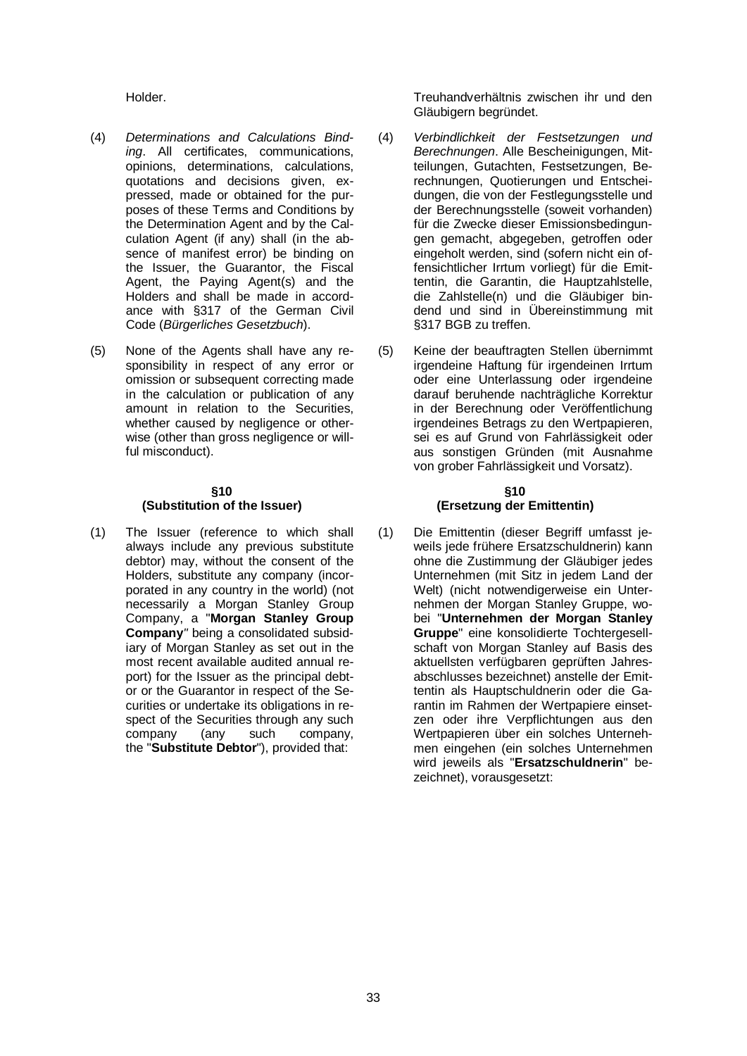- (4) *Determinations and Calculations Binding*. All certificates, communications, opinions, determinations, calculations, quotations and decisions given, expressed, made or obtained for the purposes of these Terms and Conditions by the Determination Agent and by the Calculation Agent (if any) shall (in the absence of manifest error) be binding on the Issuer, the Guarantor, the Fiscal Agent, the Paying Agent(s) and the Holders and shall be made in accordance with §317 of the German Civil Code (*Bürgerliches Gesetzbuch*).
- (5) None of the Agents shall have any responsibility in respect of any error or omission or subsequent correcting made in the calculation or publication of any amount in relation to the Securities, whether caused by negligence or otherwise (other than gross negligence or willful misconduct).

#### **§10 (Substitution of the Issuer)**

(1) The Issuer (reference to which shall always include any previous substitute debtor) may, without the consent of the Holders, substitute any company (incorporated in any country in the world) (not necessarily a Morgan Stanley Group Company, a "**Morgan Stanley Group Company***"* being a consolidated subsidiary of Morgan Stanley as set out in the most recent available audited annual report) for the Issuer as the principal debtor or the Guarantor in respect of the Securities or undertake its obligations in respect of the Securities through any such<br>company (any such company, company. the "Substitute Debtor"), provided that:

Holder. Treuhandverhältnis zwischen ihr und den Gläubigern begründet.

- (4) *Verbindlichkeit der Festsetzungen und Berechnungen*. Alle Bescheinigungen, Mitteilungen, Gutachten, Festsetzungen, Berechnungen, Quotierungen und Entscheidungen, die von der Festlegungsstelle und der Berechnungsstelle (soweit vorhanden) für die Zwecke dieser Emissionsbedingungen gemacht, abgegeben, getroffen oder eingeholt werden, sind (sofern nicht ein offensichtlicher Irrtum vorliegt) für die Emittentin, die Garantin, die Hauptzahlstelle, die Zahlstelle(n) und die Gläubiger bindend und sind in Übereinstimmung mit §317 BGB zu treffen.
- (5) Keine der beauftragten Stellen übernimmt irgendeine Haftung für irgendeinen Irrtum oder eine Unterlassung oder irgendeine darauf beruhende nachträgliche Korrektur in der Berechnung oder Veröffentlichung irgendeines Betrags zu den Wertpapieren, sei es auf Grund von Fahrlässigkeit oder aus sonstigen Gründen (mit Ausnahme von grober Fahrlässigkeit und Vorsatz).

#### **§10 (Ersetzung der Emittentin)**

(1) Die Emittentin (dieser Begriff umfasst jeweils jede frühere Ersatzschuldnerin) kann ohne die Zustimmung der Gläubiger jedes Unternehmen (mit Sitz in jedem Land der Welt) (nicht notwendigerweise ein Unternehmen der Morgan Stanley Gruppe, wobei "**Unternehmen der Morgan Stanley Gruppe**" eine konsolidierte Tochtergesellschaft von Morgan Stanley auf Basis des aktuellsten verfügbaren geprüften Jahresabschlusses bezeichnet) anstelle der Emittentin als Hauptschuldnerin oder die Garantin im Rahmen der Wertpapiere einsetzen oder ihre Verpflichtungen aus den Wertpapieren über ein solches Unternehmen eingehen (ein solches Unternehmen wird jeweils als "**Ersatzschuldnerin**" bezeichnet), vorausgesetzt: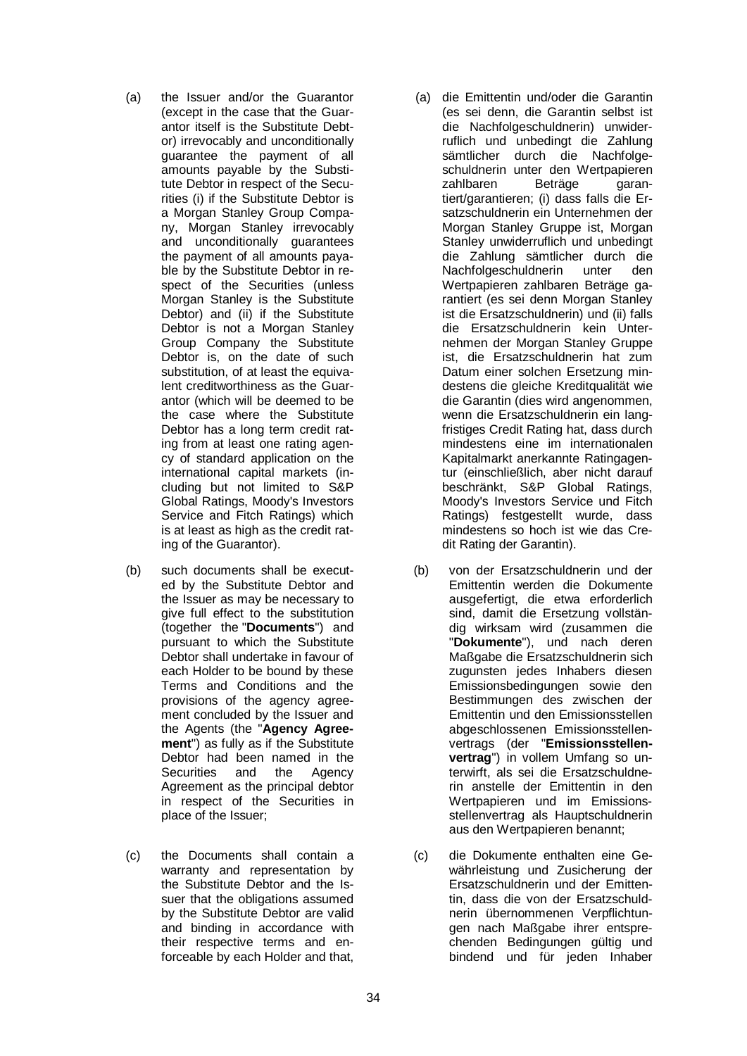- (a) the Issuer and/or the Guarantor (except in the case that the Guarantor itself is the Substitute Debtor) irrevocably and unconditionally guarantee the payment of all amounts payable by the Substitute Debtor in respect of the Securities (i) if the Substitute Debtor is a Morgan Stanley Group Company, Morgan Stanley irrevocably and unconditionally guarantees the payment of all amounts payable by the Substitute Debtor in respect of the Securities (unless Morgan Stanley is the Substitute Debtor) and (ii) if the Substitute Debtor is not a Morgan Stanley Group Company the Substitute Debtor is, on the date of such substitution, of at least the equivalent creditworthiness as the Guarantor (which will be deemed to be the case where the Substitute Debtor has a long term credit rating from at least one rating agency of standard application on the international capital markets (including but not limited to S&P Global Ratings, Moody's Investors Service and Fitch Ratings) which is at least as high as the credit rating of the Guarantor).
- (b) such documents shall be executed by the Substitute Debtor and the Issuer as may be necessary to give full effect to the substitution (together the "**Documents**") and pursuant to which the Substitute Debtor shall undertake in favour of each Holder to be bound by these Terms and Conditions and the provisions of the agency agreement concluded by the Issuer and the Agents (the "**Agency Agreement**") as fully as if the Substitute Debtor had been named in the Securities and the Agency Agreement as the principal debtor in respect of the Securities in place of the Issuer;
- (c) the Documents shall contain a warranty and representation by the Substitute Debtor and the Issuer that the obligations assumed by the Substitute Debtor are valid and binding in accordance with their respective terms and enforceable by each Holder and that,
- (a) die Emittentin und/oder die Garantin (es sei denn, die Garantin selbst ist die Nachfolgeschuldnerin) unwiderruflich und unbedingt die Zahlung sämtlicher durch die Nachfolgeschuldnerin unter den Wertpapieren<br>zahlbaren Beträge aranzahlbaren Beträge garantiert/garantieren; (i) dass falls die Ersatzschuldnerin ein Unternehmen der Morgan Stanley Gruppe ist, Morgan Stanley unwiderruflich und unbedingt die Zahlung sämtlicher durch die Nachfolgeschuldnerin unter den Wertpapieren zahlbaren Beträge garantiert (es sei denn Morgan Stanley ist die Ersatzschuldnerin) und (ii) falls die Ersatzschuldnerin kein Unternehmen der Morgan Stanley Gruppe ist, die Ersatzschuldnerin hat zum Datum einer solchen Ersetzung mindestens die gleiche Kreditqualität wie die Garantin (dies wird angenommen, wenn die Ersatzschuldnerin ein langfristiges Credit Rating hat, dass durch mindestens eine im internationalen Kapitalmarkt anerkannte Ratingagentur (einschließlich, aber nicht darauf beschränkt, S&P Global Ratings, Moody's Investors Service und Fitch Ratings) festgestellt wurde, dass mindestens so hoch ist wie das Credit Rating der Garantin).
- (b) von der Ersatzschuldnerin und der Emittentin werden die Dokumente ausgefertigt, die etwa erforderlich sind, damit die Ersetzung vollständig wirksam wird (zusammen die "**Dokumente**"), und nach deren Maßgabe die Ersatzschuldnerin sich zugunsten jedes Inhabers diesen Emissionsbedingungen sowie den Bestimmungen des zwischen der Emittentin und den Emissionsstellen abgeschlossenen Emissionsstellenvertrags (der "**Emissionsstellenvertrag**") in vollem Umfang so unterwirft, als sei die Ersatzschuldnerin anstelle der Emittentin in den Wertpapieren und im Emissionsstellenvertrag als Hauptschuldnerin aus den Wertpapieren benannt;
- (c) die Dokumente enthalten eine Gewährleistung und Zusicherung der Ersatzschuldnerin und der Emittentin, dass die von der Ersatzschuldnerin übernommenen Verpflichtungen nach Maßgabe ihrer entsprechenden Bedingungen gültig und bindend und für jeden Inhaber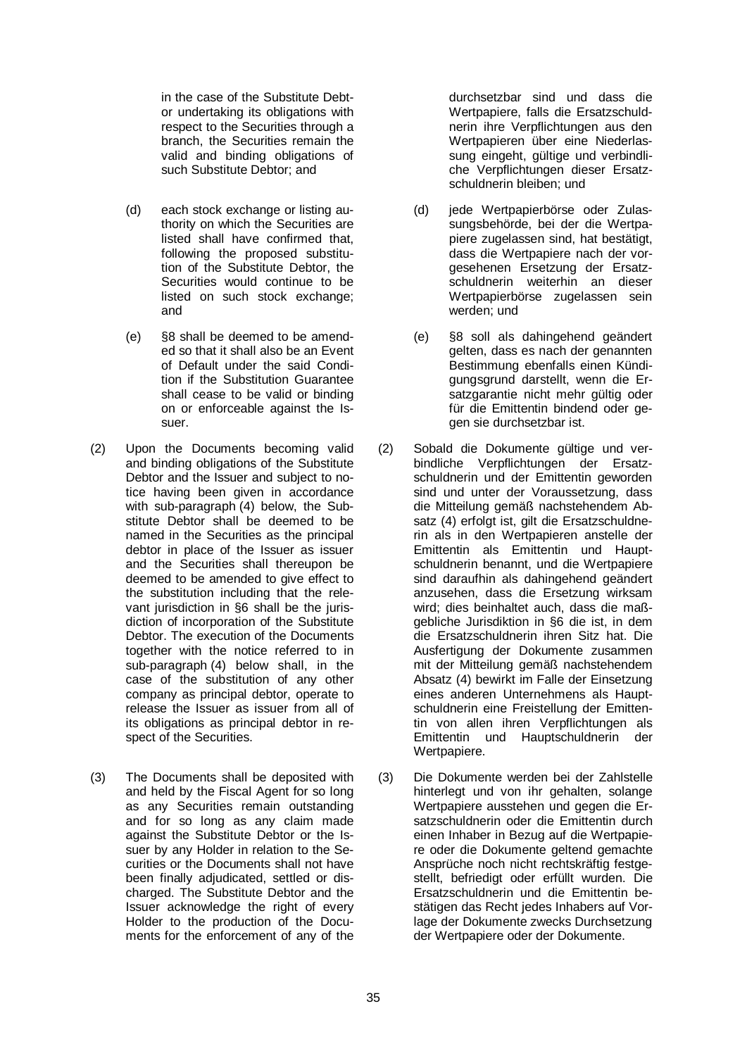in the case of the Substitute Debtor undertaking its obligations with respect to the Securities through a branch, the Securities remain the valid and binding obligations of such Substitute Debtor; and

- (d) each stock exchange or listing authority on which the Securities are listed shall have confirmed that, following the proposed substitution of the Substitute Debtor, the Securities would continue to be listed on such stock exchange: and
- (e) §8 shall be deemed to be amended so that it shall also be an Event of Default under the said Condition if the Substitution Guarantee shall cease to be valid or binding on or enforceable against the Issuer.
- (2) Upon the Documents becoming valid and binding obligations of the Substitute Debtor and the Issuer and subject to notice having been given in accordance with sub-paragraph (4) below, the Substitute Debtor shall be deemed to be named in the Securities as the principal debtor in place of the Issuer as issuer and the Securities shall thereupon be deemed to be amended to give effect to the substitution including that the relevant jurisdiction in §6 shall be the jurisdiction of incorporation of the Substitute Debtor. The execution of the Documents together with the notice referred to in sub-paragraph (4) below shall, in the case of the substitution of any other company as principal debtor, operate to release the Issuer as issuer from all of its obligations as principal debtor in respect of the Securities.
- (3) The Documents shall be deposited with and held by the Fiscal Agent for so long as any Securities remain outstanding and for so long as any claim made against the Substitute Debtor or the Issuer by any Holder in relation to the Securities or the Documents shall not have been finally adjudicated, settled or discharged. The Substitute Debtor and the Issuer acknowledge the right of every Holder to the production of the Documents for the enforcement of any of the

durchsetzbar sind und dass die Wertpapiere, falls die Ersatzschuldnerin ihre Verpflichtungen aus den Wertpapieren über eine Niederlassung eingeht, gültige und verbindliche Verpflichtungen dieser Ersatzschuldnerin bleiben; und

- (d) jede Wertpapierbörse oder Zulassungsbehörde, bei der die Wertpapiere zugelassen sind, hat bestätigt, dass die Wertpapiere nach der vorgesehenen Ersetzung der Ersatzschuldnerin weiterhin an dieser Wertpapierbörse zugelassen sein werden; und
- (e) §8 soll als dahingehend geändert gelten, dass es nach der genannten Bestimmung ebenfalls einen Kündigungsgrund darstellt, wenn die Ersatzgarantie nicht mehr gültig oder für die Emittentin bindend oder gegen sie durchsetzbar ist.
- (2) Sobald die Dokumente gültige und verbindliche Verpflichtungen der Ersatzschuldnerin und der Emittentin geworden sind und unter der Voraussetzung, dass die Mitteilung gemäß nachstehendem Absatz (4) erfolgt ist, gilt die Ersatzschuldnerin als in den Wertpapieren anstelle der Emittentin als Emittentin und Hauptschuldnerin benannt, und die Wertpapiere sind daraufhin als dahingehend geändert anzusehen, dass die Ersetzung wirksam wird; dies beinhaltet auch, dass die maßgebliche Jurisdiktion in §6 die ist, in dem die Ersatzschuldnerin ihren Sitz hat. Die Ausfertigung der Dokumente zusammen mit der Mitteilung gemäß nachstehendem Absatz (4) bewirkt im Falle der Einsetzung eines anderen Unternehmens als Hauptschuldnerin eine Freistellung der Emittentin von allen ihren Verpflichtungen als Emittentin und Hauptschuldnerin der Wertpapiere.
- (3) Die Dokumente werden bei der Zahlstelle hinterlegt und von ihr gehalten, solange Wertpapiere ausstehen und gegen die Ersatzschuldnerin oder die Emittentin durch einen Inhaber in Bezug auf die Wertpapiere oder die Dokumente geltend gemachte Ansprüche noch nicht rechtskräftig festgestellt, befriedigt oder erfüllt wurden. Die Ersatzschuldnerin und die Emittentin bestätigen das Recht jedes Inhabers auf Vorlage der Dokumente zwecks Durchsetzung der Wertpapiere oder der Dokumente.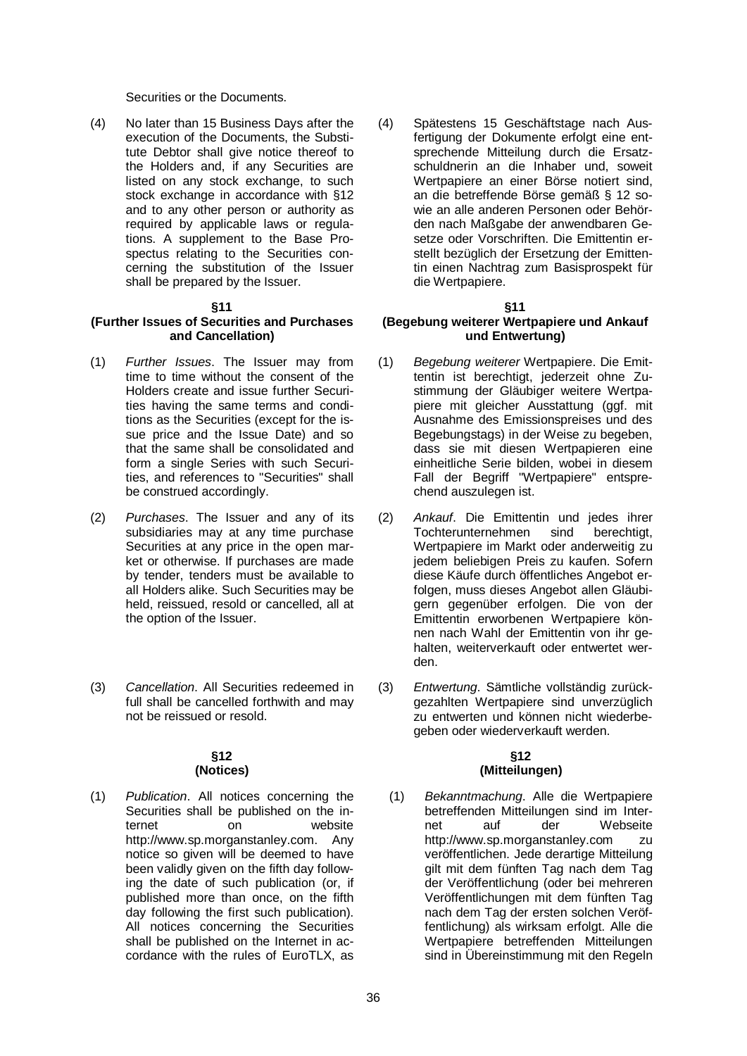Securities or the Documents.

(4) No later than 15 Business Days after the execution of the Documents, the Substitute Debtor shall give notice thereof to the Holders and, if any Securities are listed on any stock exchange, to such stock exchange in accordance with §12 and to any other person or authority as required by applicable laws or regulations. A supplement to the Base Prospectus relating to the Securities concerning the substitution of the Issuer shall be prepared by the Issuer.

#### **§11**

#### **(Further Issues of Securities and Purchases and Cancellation)**

- (1) *Further Issues*. The Issuer may from time to time without the consent of the Holders create and issue further Securities having the same terms and conditions as the Securities (except for the issue price and the Issue Date) and so that the same shall be consolidated and form a single Series with such Securities, and references to "Securities" shall be construed accordingly.
- (2) *Purchases*. The Issuer and any of its subsidiaries may at any time purchase Securities at any price in the open market or otherwise. If purchases are made by tender, tenders must be available to all Holders alike. Such Securities may be held, reissued, resold or cancelled, all at the option of the Issuer.
- (3) *Cancellation*. All Securities redeemed in full shall be cancelled forthwith and may not be reissued or resold.

#### **§12 (Notices)**

(1) *Publication*. All notices concerning the Securities shall be published on the internet on website [http://www.sp.morganstanley.com.](http://www.sp.morganstanley.com/) Any notice so given will be deemed to have been validly given on the fifth day following the date of such publication (or, if published more than once, on the fifth day following the first such publication). All notices concerning the Securities shall be published on the Internet in accordance with the rules of EuroTLX, as

(4) Spätestens 15 Geschäftstage nach Ausfertigung der Dokumente erfolgt eine entsprechende Mitteilung durch die Ersatzschuldnerin an die Inhaber und, soweit Wertpapiere an einer Börse notiert sind, an die betreffende Börse gemäß § 12 sowie an alle anderen Personen oder Behörden nach Maßgabe der anwendbaren Gesetze oder Vorschriften. Die Emittentin erstellt bezüglich der Ersetzung der Emittentin einen Nachtrag zum Basisprospekt für die Wertpapiere.

#### **§11**

#### **(Begebung weiterer Wertpapiere und Ankauf und Entwertung)**

- (1) *Begebung weiterer* Wertpapiere. Die Emittentin ist berechtigt, jederzeit ohne Zustimmung der Gläubiger weitere Wertpapiere mit gleicher Ausstattung (ggf. mit Ausnahme des Emissionspreises und des Begebungstags) in der Weise zu begeben, dass sie mit diesen Wertpapieren eine einheitliche Serie bilden, wobei in diesem Fall der Begriff "Wertpapiere" entsprechend auszulegen ist.
- (2) *Ankauf*. Die Emittentin und jedes ihrer Tochterunternehmen sind berechtigt, Wertpapiere im Markt oder anderweitig zu jedem beliebigen Preis zu kaufen. Sofern diese Käufe durch öffentliches Angebot erfolgen, muss dieses Angebot allen Gläubigern gegenüber erfolgen. Die von der Emittentin erworbenen Wertpapiere können nach Wahl der Emittentin von ihr gehalten, weiterverkauft oder entwertet werden.
- (3) *Entwertung*. Sämtliche vollständig zurückgezahlten Wertpapiere sind unverzüglich zu entwerten und können nicht wiederbegeben oder wiederverkauft werden.

#### **§12 (Mitteilungen)**

(1) *Bekanntmachung*. Alle die Wertpapiere betreffenden Mitteilungen sind im Internet auf der Webseite [http://www.sp.morganstanley.com](http://www.sp.morganstanley.com/) zu veröffentlichen. Jede derartige Mitteilung gilt mit dem fünften Tag nach dem Tag der Veröffentlichung (oder bei mehreren Veröffentlichungen mit dem fünften Tag nach dem Tag der ersten solchen Veröffentlichung) als wirksam erfolgt. Alle die Wertpapiere betreffenden Mitteilungen sind in Übereinstimmung mit den Regeln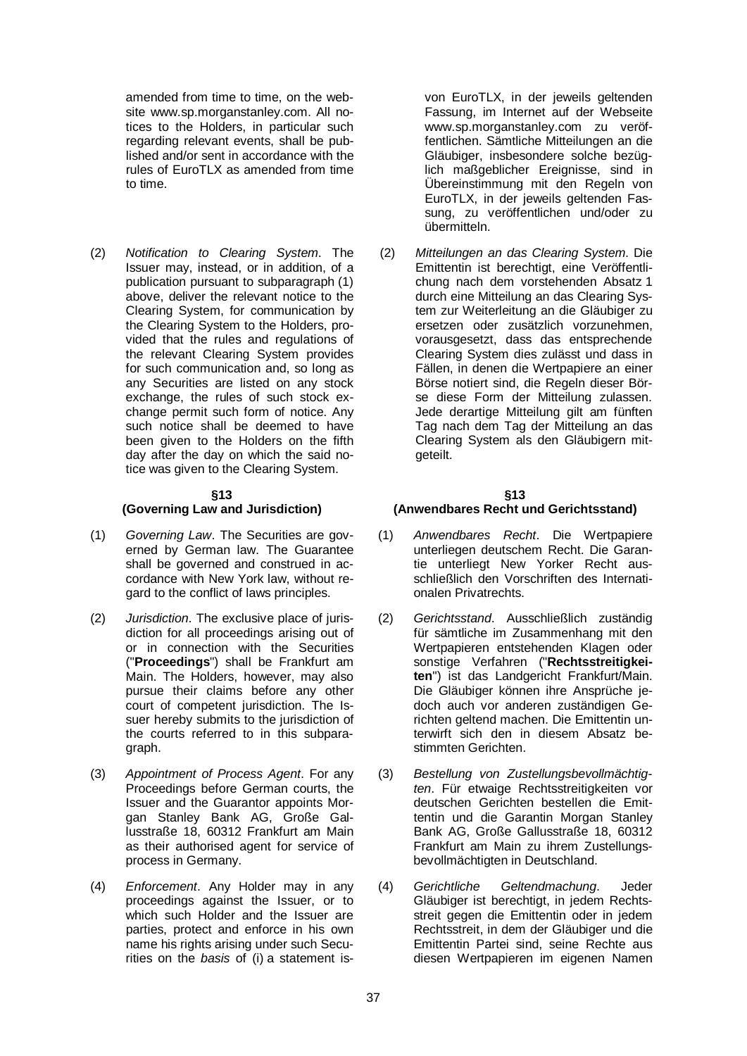amended from time to time, on the website [www.sp.morganstanley.com.](http://www.sp.morganstanley.com/) All notices to the Holders, in particular such regarding relevant events, shall be published and/or sent in accordance with the rules of EuroTLX as amended from time to time.

(2) *Notification to Clearing System*. The Issuer may, instead, or in addition, of a publication pursuant to subparagraph (1) above, deliver the relevant notice to the Clearing System, for communication by the Clearing System to the Holders, provided that the rules and regulations of the relevant Clearing System provides for such communication and, so long as any Securities are listed on any stock exchange, the rules of such stock exchange permit such form of notice. Any such notice shall be deemed to have been given to the Holders on the fifth day after the day on which the said notice was given to the Clearing System.

#### **§13**

#### **(Governing Law and Jurisdiction)**

- (1) *Governing Law*. The Securities are governed by German law. The Guarantee shall be governed and construed in accordance with New York law, without regard to the conflict of laws principles.
- (2) *Jurisdiction*. The exclusive place of jurisdiction for all proceedings arising out of or in connection with the Securities ("**Proceedings**") shall be Frankfurt am Main. The Holders, however, may also pursue their claims before any other court of competent jurisdiction. The Issuer hereby submits to the jurisdiction of the courts referred to in this subparagraph.
- (3) *Appointment of Process Agent*. For any Proceedings before German courts, the Issuer and the Guarantor appoints Morgan Stanley Bank AG, Große Gallusstraße 18, 60312 Frankfurt am Main as their authorised agent for service of process in Germany.
- (4) *Enforcement*. Any Holder may in any proceedings against the Issuer, or to which such Holder and the Issuer are parties, protect and enforce in his own name his rights arising under such Securities on the *basis* of (i) a statement is-

von EuroTLX, in der jeweils geltenden Fassung, im Internet auf der Webseite [www.sp.morganstanley.com](http://www.sp.morganstanley.com/) zu veröffentlichen. Sämtliche Mitteilungen an die Gläubiger, insbesondere solche bezüglich maßgeblicher Ereignisse, sind in Übereinstimmung mit den Regeln von EuroTLX, in der jeweils geltenden Fassung, zu veröffentlichen und/oder zu übermitteln.

(2) *Mitteilungen an das Clearing System*. Die Emittentin ist berechtigt, eine Veröffentlichung nach dem vorstehenden Absatz 1 durch eine Mitteilung an das Clearing System zur Weiterleitung an die Gläubiger zu ersetzen oder zusätzlich vorzunehmen, vorausgesetzt, dass das entsprechende Clearing System dies zulässt und dass in Fällen, in denen die Wertpapiere an einer Börse notiert sind, die Regeln dieser Börse diese Form der Mitteilung zulassen. Jede derartige Mitteilung gilt am fünften Tag nach dem Tag der Mitteilung an das Clearing System als den Gläubigern mitgeteilt.

#### **§13 (Anwendbares Recht und Gerichtsstand)**

- (1) *Anwendbares Recht*. Die Wertpapiere unterliegen deutschem Recht. Die Garantie unterliegt New Yorker Recht ausschließlich den Vorschriften des Internationalen Privatrechts.
- (2) *Gerichtsstand*. Ausschließlich zuständig für sämtliche im Zusammenhang mit den Wertpapieren entstehenden Klagen oder sonstige Verfahren ("**Rechtsstreitigkeiten**") ist das Landgericht Frankfurt/Main. Die Gläubiger können ihre Ansprüche jedoch auch vor anderen zuständigen Gerichten geltend machen. Die Emittentin unterwirft sich den in diesem Absatz bestimmten Gerichten.
- (3) *Bestellung von Zustellungsbevollmächtigten*. Für etwaige Rechtsstreitigkeiten vor deutschen Gerichten bestellen die Emittentin und die Garantin Morgan Stanley Bank AG, Große Gallusstraße 18, 60312 Frankfurt am Main zu ihrem Zustellungsbevollmächtigten in Deutschland.
- (4) *Gerichtliche Geltendmachung*. Jeder Gläubiger ist berechtigt, in jedem Rechtsstreit gegen die Emittentin oder in jedem Rechtsstreit, in dem der Gläubiger und die Emittentin Partei sind, seine Rechte aus diesen Wertpapieren im eigenen Namen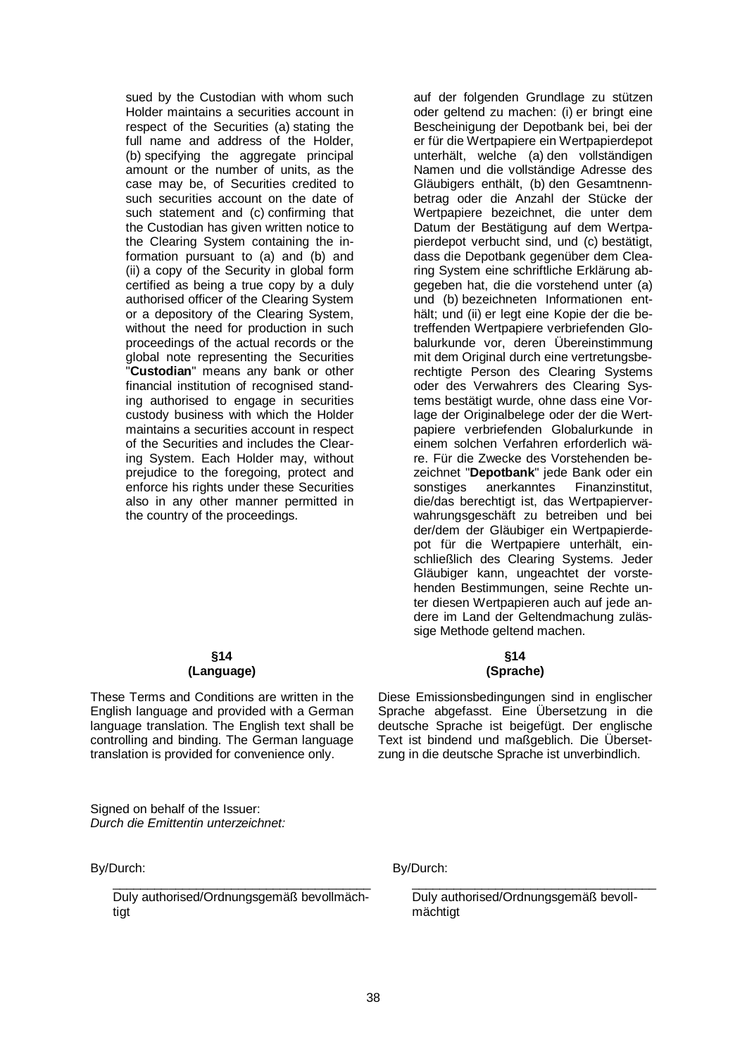sued by the Custodian with whom such Holder maintains a securities account in respect of the Securities (a) stating the full name and address of the Holder, (b) specifying the aggregate principal amount or the number of units, as the case may be, of Securities credited to such securities account on the date of such statement and (c) confirming that the Custodian has given written notice to the Clearing System containing the information pursuant to (a) and (b) and (ii) a copy of the Security in global form certified as being a true copy by a duly authorised officer of the Clearing System or a depository of the Clearing System, without the need for production in such proceedings of the actual records or the global note representing the Securities "**Custodian**" means any bank or other financial institution of recognised standing authorised to engage in securities custody business with which the Holder maintains a securities account in respect of the Securities and includes the Clearing System. Each Holder may, without prejudice to the foregoing, protect and enforce his rights under these Securities also in any other manner permitted in the country of the proceedings.

#### **§14 (Language)**

These Terms and Conditions are written in the English language and provided with a German language translation. The English text shall be controlling and binding. The German language translation is provided for convenience only.

Signed on behalf of the Issuer: *Durch die Emittentin unterzeichnet:*

By/Durch:

\_\_\_\_\_\_\_\_\_\_\_\_\_\_\_\_\_\_\_\_\_\_\_\_\_\_\_\_\_\_\_\_\_\_\_\_\_ Duly authorised/Ordnungsgemäß bevollmächtigt

auf der folgenden Grundlage zu stützen oder geltend zu machen: (i) er bringt eine Bescheinigung der Depotbank bei, bei der er für die Wertpapiere ein Wertpapierdepot unterhält, welche (a) den vollständigen Namen und die vollständige Adresse des Gläubigers enthält, (b) den Gesamtnennbetrag oder die Anzahl der Stücke der Wertpapiere bezeichnet, die unter dem Datum der Bestätigung auf dem Wertpapierdepot verbucht sind, und (c) bestätigt, dass die Depotbank gegenüber dem Clearing System eine schriftliche Erklärung abgegeben hat, die die vorstehend unter (a) und (b) bezeichneten Informationen enthält; und (ii) er legt eine Kopie der die betreffenden Wertpapiere verbriefenden Globalurkunde vor, deren Übereinstimmung mit dem Original durch eine vertretungsberechtigte Person des Clearing Systems oder des Verwahrers des Clearing Systems bestätigt wurde, ohne dass eine Vorlage der Originalbelege oder der die Wertpapiere verbriefenden Globalurkunde in einem solchen Verfahren erforderlich wäre. Für die Zwecke des Vorstehenden bezeichnet "**Depotbank**" jede Bank oder ein sonstiges anerkanntes Finanzinstitut, die/das berechtigt ist, das Wertpapierverwahrungsgeschäft zu betreiben und bei der/dem der Gläubiger ein Wertpapierdepot für die Wertpapiere unterhält, einschließlich des Clearing Systems. Jeder Gläubiger kann, ungeachtet der vorstehenden Bestimmungen, seine Rechte unter diesen Wertpapieren auch auf jede andere im Land der Geltendmachung zulässige Methode geltend machen.

#### **§14 (Sprache)**

Diese Emissionsbedingungen sind in englischer Sprache abgefasst. Eine Übersetzung in die deutsche Sprache ist beigefügt. Der englische Text ist bindend und maßgeblich. Die Übersetzung in die deutsche Sprache ist unverbindlich.

By/Durch:

Duly authorised/Ordnungsgemäß bevollmächtigt

\_\_\_\_\_\_\_\_\_\_\_\_\_\_\_\_\_\_\_\_\_\_\_\_\_\_\_\_\_\_\_\_\_\_\_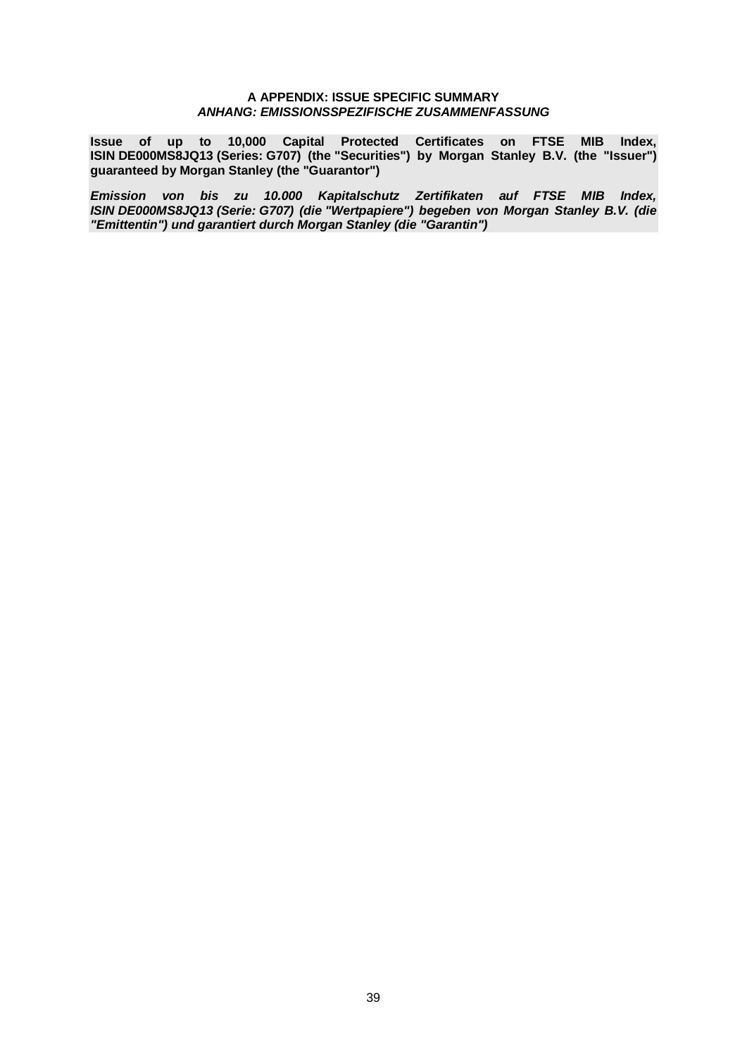#### **A APPENDIX: ISSUE SPECIFIC SUMMARY** *ANHANG: EMISSIONSSPEZIFISCHE ZUSAMMENFASSUNG*

**Issue of up to 10,000 Capital Protected Certificates on FTSE MIB Index, ISIN DE000MS8JQ13 (Series: G707) (the "Securities") by Morgan Stanley B.V. (the "Issuer") guaranteed by Morgan Stanley (the "Guarantor")**

*Emission von bis zu 10.000 Kapitalschutz Zertifikaten auf FTSE MIB Index, ISIN DE000MS8JQ13 (Serie: G707) (die "Wertpapiere") begeben von Morgan Stanley B.V. (die "Emittentin") und garantiert durch Morgan Stanley (die "Garantin")*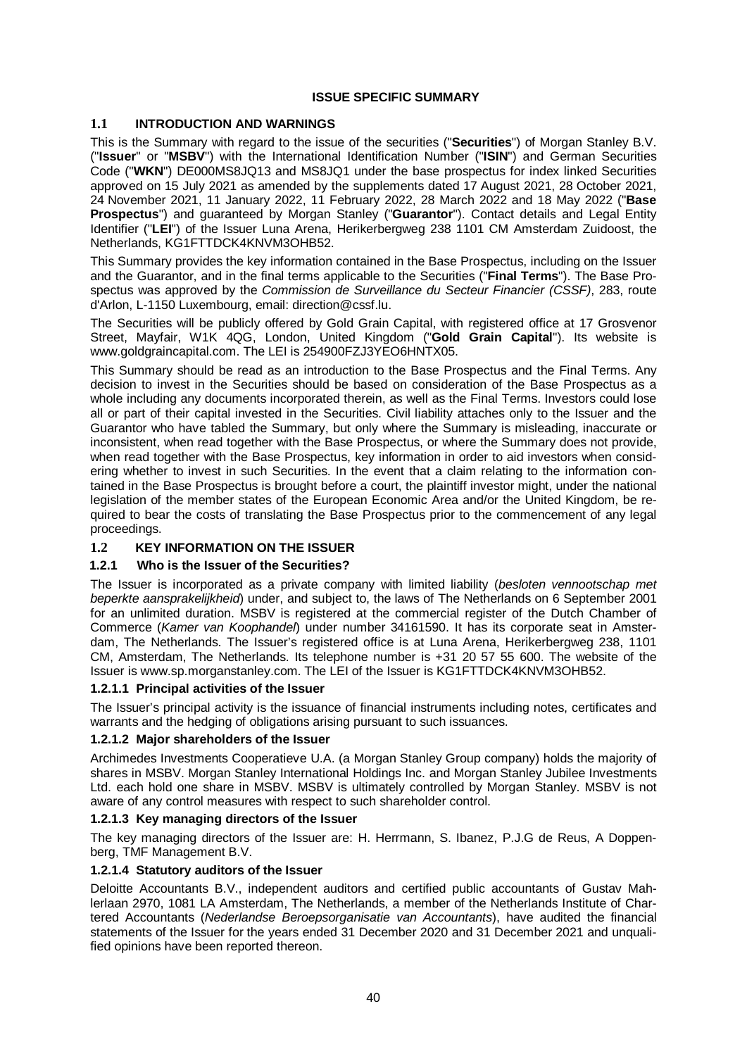# **ISSUE SPECIFIC SUMMARY**

# **1.1 INTRODUCTION AND WARNINGS**

This is the Summary with regard to the issue of the securities ("**Securities**") of Morgan Stanley B.V. ("**Issuer**" or "**MSBV**") with the International Identification Number ("**ISIN**") and German Securities Code ("**WKN**") DE000MS8JQ13 and MS8JQ1 under the base prospectus for index linked Securities approved on 15 July 2021 as amended by the supplements dated 17 August 2021, 28 October 2021, 24 November 2021, 11 January 2022, 11 February 2022, 28 March 2022 and 18 May 2022 ("**Base Prospectus**") and guaranteed by Morgan Stanley ("**Guarantor**"). Contact details and Legal Entity Identifier ("**LEI**") of the Issuer Luna Arena, Herikerbergweg 238 1101 CM Amsterdam Zuidoost, the Netherlands, KG1FTTDCK4KNVM3OHB52.

This Summary provides the key information contained in the Base Prospectus, including on the Issuer and the Guarantor, and in the final terms applicable to the Securities ("**Final Terms**"). The Base Prospectus was approved by the *Commission de Surveillance du Secteur Financier (CSSF)*, 283, route d'Arlon, L-1150 Luxembourg, email: [direction@cssf.lu.](mailto:direction@cssf.lu)

The Securities will be publicly offered by Gold Grain Capital, with registered office at 17 Grosvenor Street, Mayfair, W1K 4QG, London, United Kingdom ("**Gold Grain Capital**"). Its website is www.goldgraincapital.com. The LEI is 254900FZJ3YEO6HNTX05.

This Summary should be read as an introduction to the Base Prospectus and the Final Terms. Any decision to invest in the Securities should be based on consideration of the Base Prospectus as a whole including any documents incorporated therein, as well as the Final Terms. Investors could lose all or part of their capital invested in the Securities. Civil liability attaches only to the Issuer and the Guarantor who have tabled the Summary, but only where the Summary is misleading, inaccurate or inconsistent, when read together with the Base Prospectus, or where the Summary does not provide, when read together with the Base Prospectus, key information in order to aid investors when considering whether to invest in such Securities. In the event that a claim relating to the information contained in the Base Prospectus is brought before a court, the plaintiff investor might, under the national legislation of the member states of the European Economic Area and/or the United Kingdom, be required to bear the costs of translating the Base Prospectus prior to the commencement of any legal proceedings.

# **1.2 KEY INFORMATION ON THE ISSUER**

# **1.2.1 Who is the Issuer of the Securities?**

The Issuer is incorporated as a private company with limited liability (*besloten vennootschap met beperkte aansprakelijkheid*) under, and subject to, the laws of The Netherlands on 6 September 2001 for an unlimited duration. MSBV is registered at the commercial register of the Dutch Chamber of Commerce (*Kamer van Koophandel*) under number 34161590. It has its corporate seat in Amsterdam, The Netherlands. The Issuer's registered office is at Luna Arena, Herikerbergweg 238, 1101 CM, Amsterdam, The Netherlands. Its telephone number is +31 20 57 55 600. The website of the Issuer is www.sp.morganstanley.com. The LEI of the Issuer is KG1FTTDCK4KNVM3OHB52.

# **1.2.1.1 Principal activities of the Issuer**

The Issuer's principal activity is the issuance of financial instruments including notes, certificates and warrants and the hedging of obligations arising pursuant to such issuances.

# **1.2.1.2 Major shareholders of the Issuer**

Archimedes Investments Cooperatieve U.A. (a Morgan Stanley Group company) holds the majority of shares in MSBV. Morgan Stanley International Holdings Inc. and Morgan Stanley Jubilee Investments Ltd. each hold one share in MSBV. MSBV is ultimately controlled by Morgan Stanley. MSBV is not aware of any control measures with respect to such shareholder control.

# **1.2.1.3 Key managing directors of the Issuer**

The key managing directors of the Issuer are: H. Herrmann, S. Ibanez, P.J.G de Reus, A Doppenberg, TMF Management B.V.

# **1.2.1.4 Statutory auditors of the Issuer**

Deloitte Accountants B.V., independent auditors and certified public accountants of Gustav Mahlerlaan 2970, 1081 LA Amsterdam, The Netherlands, a member of the Netherlands Institute of Chartered Accountants (*Nederlandse Beroepsorganisatie van Accountants*), have audited the financial statements of the Issuer for the years ended 31 December 2020 and 31 December 2021 and unqualified opinions have been reported thereon.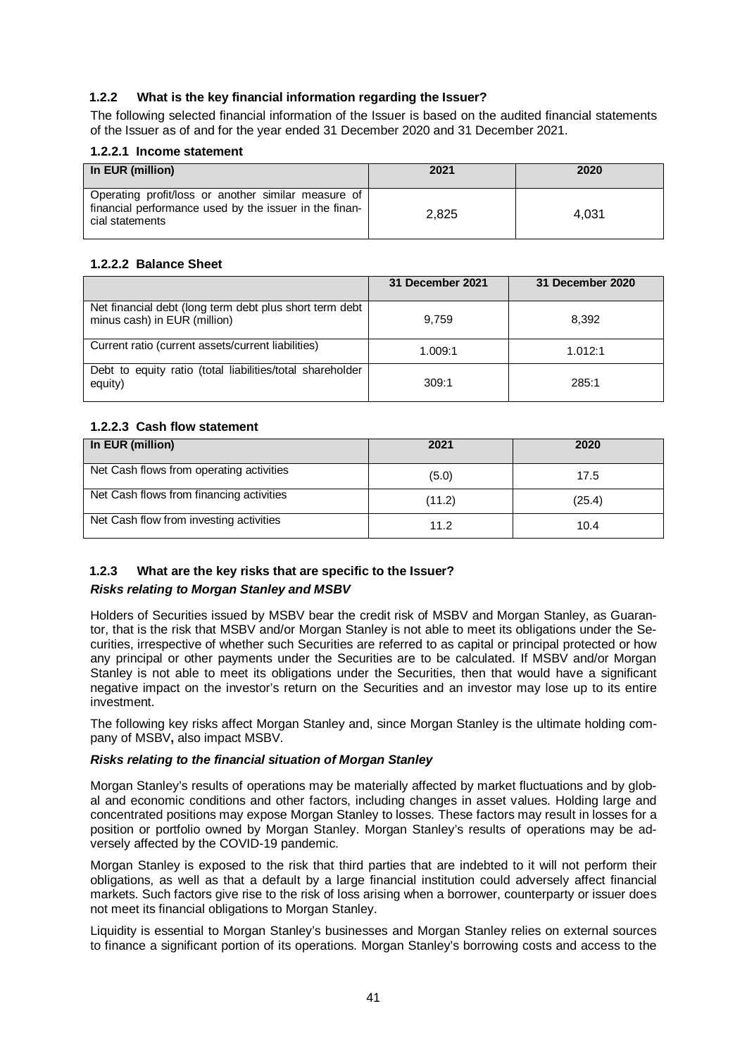# **1.2.2 What is the key financial information regarding the Issuer?**

The following selected financial information of the Issuer is based on the audited financial statements of the Issuer as of and for the year ended 31 December 2020 and 31 December 2021.

#### **1.2.2.1 Income statement**

| In EUR (million)                                                                                                                 | 2021  | 2020  |
|----------------------------------------------------------------------------------------------------------------------------------|-------|-------|
| Operating profit/loss or another similar measure of<br>financial performance used by the issuer in the finan-<br>cial statements | 2.825 | 4.031 |

# **1.2.2.2 Balance Sheet**

|                                                                                         | 31 December 2021 | 31 December 2020 |
|-----------------------------------------------------------------------------------------|------------------|------------------|
| Net financial debt (long term debt plus short term debt<br>minus cash) in EUR (million) | 9.759            | 8.392            |
| Current ratio (current assets/current liabilities)                                      | 1.009:1          | 1.012:1          |
| Debt to equity ratio (total liabilities/total shareholder<br>equity)                    | 309:1            | 285:1            |

# **1.2.2.3 Cash flow statement**

| In EUR (million)                         | 2021   | 2020   |
|------------------------------------------|--------|--------|
| Net Cash flows from operating activities | (5.0)  | 17.5   |
| Net Cash flows from financing activities | (11.2) | (25.4) |
| Net Cash flow from investing activities  | 11.2   | 10.4   |

# **1.2.3 What are the key risks that are specific to the Issuer?** *Risks relating to Morgan Stanley and MSBV*

Holders of Securities issued by MSBV bear the credit risk of MSBV and Morgan Stanley, as Guarantor, that is the risk that MSBV and/or Morgan Stanley is not able to meet its obligations under the Securities, irrespective of whether such Securities are referred to as capital or principal protected or how any principal or other payments under the Securities are to be calculated. If MSBV and/or Morgan Stanley is not able to meet its obligations under the Securities, then that would have a significant negative impact on the investor's return on the Securities and an investor may lose up to its entire investment.

The following key risks affect Morgan Stanley and, since Morgan Stanley is the ultimate holding company of MSBV**,** also impact MSBV.

# *Risks relating to the financial situation of Morgan Stanley*

Morgan Stanley's results of operations may be materially affected by market fluctuations and by global and economic conditions and other factors, including changes in asset values. Holding large and concentrated positions may expose Morgan Stanley to losses. These factors may result in losses for a position or portfolio owned by Morgan Stanley. Morgan Stanley's results of operations may be adversely affected by the COVID-19 pandemic.

Morgan Stanley is exposed to the risk that third parties that are indebted to it will not perform their obligations, as well as that a default by a large financial institution could adversely affect financial markets. Such factors give rise to the risk of loss arising when a borrower, counterparty or issuer does not meet its financial obligations to Morgan Stanley.

Liquidity is essential to Morgan Stanley's businesses and Morgan Stanley relies on external sources to finance a significant portion of its operations. Morgan Stanley's borrowing costs and access to the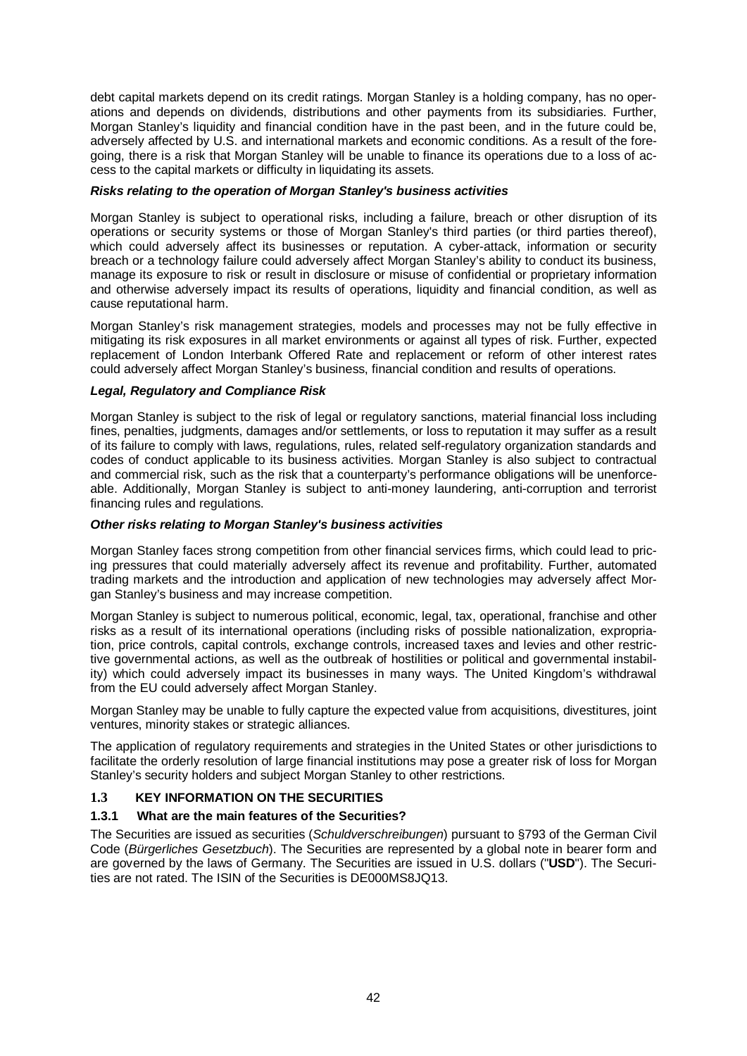debt capital markets depend on its credit ratings. Morgan Stanley is a holding company, has no operations and depends on dividends, distributions and other payments from its subsidiaries. Further, Morgan Stanley's liquidity and financial condition have in the past been, and in the future could be, adversely affected by U.S. and international markets and economic conditions. As a result of the foregoing, there is a risk that Morgan Stanley will be unable to finance its operations due to a loss of access to the capital markets or difficulty in liquidating its assets.

#### *Risks relating to the operation of Morgan Stanley's business activities*

Morgan Stanley is subject to operational risks, including a failure, breach or other disruption of its operations or security systems or those of Morgan Stanley's third parties (or third parties thereof), which could adversely affect its businesses or reputation. A cyber-attack, information or security breach or a technology failure could adversely affect Morgan Stanley's ability to conduct its business, manage its exposure to risk or result in disclosure or misuse of confidential or proprietary information and otherwise adversely impact its results of operations, liquidity and financial condition, as well as cause reputational harm.

Morgan Stanley's risk management strategies, models and processes may not be fully effective in mitigating its risk exposures in all market environments or against all types of risk. Further, expected replacement of London Interbank Offered Rate and replacement or reform of other interest rates could adversely affect Morgan Stanley's business, financial condition and results of operations.

#### *Legal, Regulatory and Compliance Risk*

Morgan Stanley is subject to the risk of legal or regulatory sanctions, material financial loss including fines, penalties, judgments, damages and/or settlements, or loss to reputation it may suffer as a result of its failure to comply with laws, regulations, rules, related self-regulatory organization standards and codes of conduct applicable to its business activities. Morgan Stanley is also subject to contractual and commercial risk, such as the risk that a counterparty's performance obligations will be unenforceable. Additionally, Morgan Stanley is subject to anti-money laundering, anti-corruption and terrorist financing rules and regulations.

#### *Other risks relating to Morgan Stanley's business activities*

Morgan Stanley faces strong competition from other financial services firms, which could lead to pricing pressures that could materially adversely affect its revenue and profitability. Further, automated trading markets and the introduction and application of new technologies may adversely affect Morgan Stanley's business and may increase competition.

Morgan Stanley is subject to numerous political, economic, legal, tax, operational, franchise and other risks as a result of its international operations (including risks of possible nationalization, expropriation, price controls, capital controls, exchange controls, increased taxes and levies and other restrictive governmental actions, as well as the outbreak of hostilities or political and governmental instability) which could adversely impact its businesses in many ways. The United Kingdom's withdrawal from the EU could adversely affect Morgan Stanley.

Morgan Stanley may be unable to fully capture the expected value from acquisitions, divestitures, joint ventures, minority stakes or strategic alliances.

The application of regulatory requirements and strategies in the United States or other jurisdictions to facilitate the orderly resolution of large financial institutions may pose a greater risk of loss for Morgan Stanley's security holders and subject Morgan Stanley to other restrictions.

# **1.3 KEY INFORMATION ON THE SECURITIES**

# **1.3.1 What are the main features of the Securities?**

The Securities are issued as securities (*Schuldverschreibungen*) pursuant to §793 of the German Civil Code (*Bürgerliches Gesetzbuch*). The Securities are represented by a global note in bearer form and are governed by the laws of Germany. The Securities are issued in U.S. dollars ("**USD**"). The Securities are not rated. The ISIN of the Securities is DE000MS8JQ13.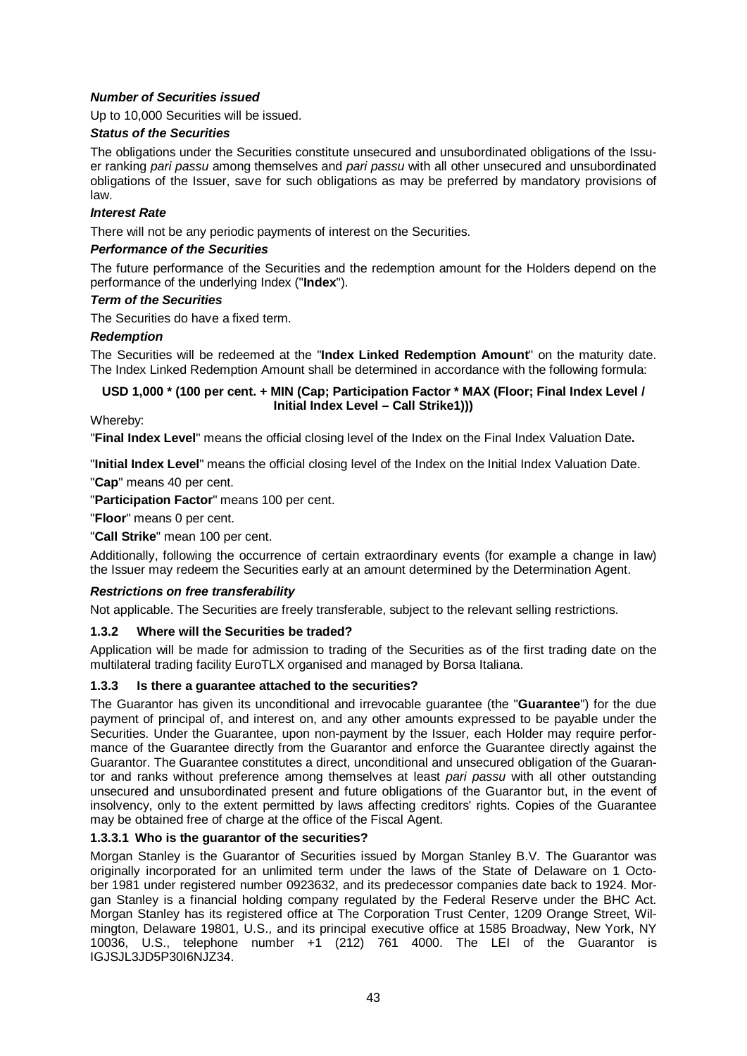# *Number of Securities issued*

Up to 10,000 Securities will be issued.

#### *Status of the Securities*

The obligations under the Securities constitute unsecured and unsubordinated obligations of the Issuer ranking *pari passu* among themselves and *pari passu* with all other unsecured and unsubordinated obligations of the Issuer, save for such obligations as may be preferred by mandatory provisions of law.

#### *Interest Rate*

There will not be any periodic payments of interest on the Securities.

#### *Performance of the Securities*

The future performance of the Securities and the redemption amount for the Holders depend on the performance of the underlying Index ("**Index**").

#### *Term of the Securities*

The Securities do have a fixed term.

#### *Redemption*

The Securities will be redeemed at the "**Index Linked Redemption Amount**" on the maturity date. The Index Linked Redemption Amount shall be determined in accordance with the following formula:

# **USD 1,000 \* (100 per cent. + MIN (Cap; Participation Factor \* MAX (Floor; Final Index Level / Initial Index Level – Call Strike1)))**

Whereby:

"**Final Index Level**" means the official closing level of the Index on the Final Index Valuation Date**.**

"**Initial Index Level**" means the official closing level of the Index on the Initial Index Valuation Date. "**Cap**" means 40 per cent.

"**Participation Factor**" means 100 per cent.

"**Floor**" means 0 per cent.

"**Call Strike**" mean 100 per cent.

Additionally, following the occurrence of certain extraordinary events (for example a change in law) the Issuer may redeem the Securities early at an amount determined by the Determination Agent.

# *Restrictions on free transferability*

Not applicable. The Securities are freely transferable, subject to the relevant selling restrictions.

# **1.3.2 Where will the Securities be traded?**

Application will be made for admission to trading of the Securities as of the first trading date on the multilateral trading facility EuroTLX organised and managed by Borsa Italiana.

# **1.3.3 Is there a guarantee attached to the securities?**

The Guarantor has given its unconditional and irrevocable guarantee (the "**Guarantee**") for the due payment of principal of, and interest on, and any other amounts expressed to be payable under the Securities. Under the Guarantee, upon non-payment by the Issuer, each Holder may require performance of the Guarantee directly from the Guarantor and enforce the Guarantee directly against the Guarantor. The Guarantee constitutes a direct, unconditional and unsecured obligation of the Guarantor and ranks without preference among themselves at least *pari passu* with all other outstanding unsecured and unsubordinated present and future obligations of the Guarantor but, in the event of insolvency, only to the extent permitted by laws affecting creditors' rights. Copies of the Guarantee may be obtained free of charge at the office of the Fiscal Agent.

# **1.3.3.1 Who is the guarantor of the securities?**

Morgan Stanley is the Guarantor of Securities issued by Morgan Stanley B.V. The Guarantor was originally incorporated for an unlimited term under the laws of the State of Delaware on 1 October 1981 under registered number 0923632, and its predecessor companies date back to 1924. Morgan Stanley is a financial holding company regulated by the Federal Reserve under the BHC Act. Morgan Stanley has its registered office at The Corporation Trust Center, 1209 Orange Street, Wilmington, Delaware 19801, U.S., and its principal executive office at 1585 Broadway, New York, NY 10036, U.S., telephone number +1  $(212)$  761 4000. The LEI of the Guarantor is IGJSJL3JD5P30I6NJZ34.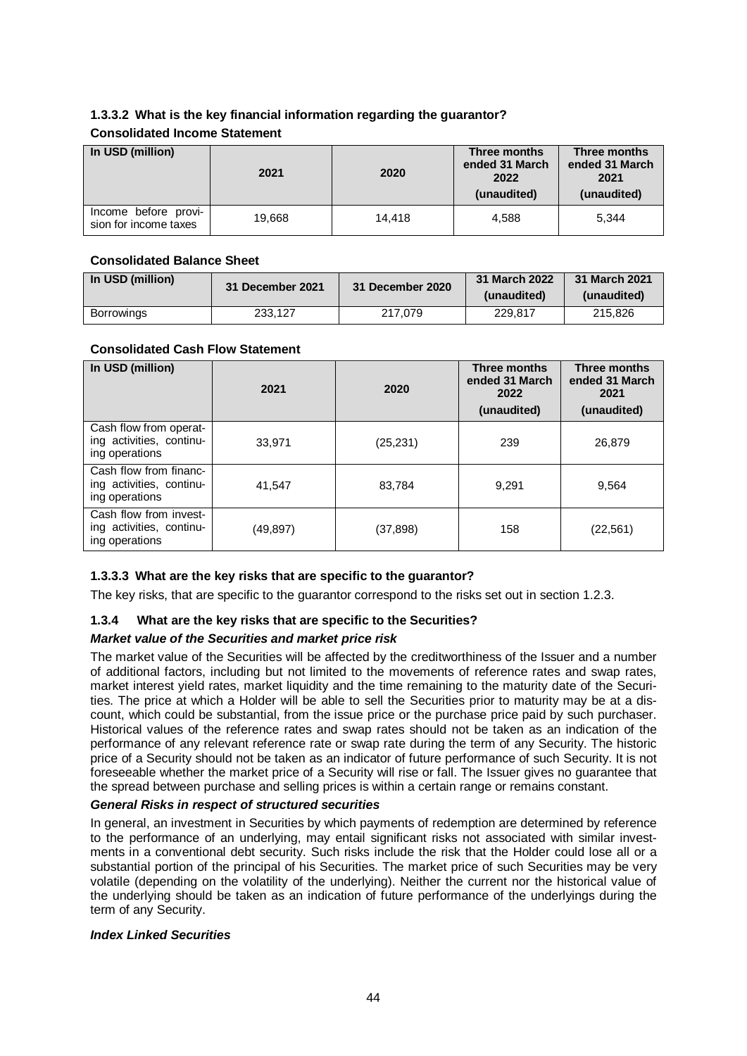# **1.3.3.2 What is the key financial information regarding the guarantor?**

# **Consolidated Income Statement**

| In USD (million)                              | 2021   | 2020   | Three months<br>ended 31 March<br>2022<br>(unaudited) | Three months<br>ended 31 March<br>2021<br>(unaudited) |
|-----------------------------------------------|--------|--------|-------------------------------------------------------|-------------------------------------------------------|
| Income before provi-<br>sion for income taxes | 19.668 | 14.418 | 4.588                                                 | 5.344                                                 |

# **Consolidated Balance Sheet**

| In USD (million)  | 31 December 2021 |         | 31 March 2022<br>(unaudited) | 31 March 2021<br>(unaudited) |
|-------------------|------------------|---------|------------------------------|------------------------------|
| <b>Borrowings</b> | 233.127          | 217.079 | 229.817                      | 215,826                      |

#### **Consolidated Cash Flow Statement**

| In USD (million)                                                     | 2021      | 2020      | Three months<br>ended 31 March<br>2022<br>(unaudited) | Three months<br>ended 31 March<br>2021<br>(unaudited) |
|----------------------------------------------------------------------|-----------|-----------|-------------------------------------------------------|-------------------------------------------------------|
| Cash flow from operat-<br>ing activities, continu-<br>ing operations | 33,971    | (25, 231) | 239                                                   | 26,879                                                |
| Cash flow from financ-<br>ing activities, continu-<br>ing operations | 41,547    | 83,784    | 9.291                                                 | 9,564                                                 |
| Cash flow from invest-<br>ing activities, continu-<br>ing operations | (49, 897) | (37, 898) | 158                                                   | (22, 561)                                             |

# **1.3.3.3 What are the key risks that are specific to the guarantor?**

The key risks, that are specific to the guarantor correspond to the risks set out in section 1.2.3.

# **1.3.4 What are the key risks that are specific to the Securities?**

# *Market value of the Securities and market price risk*

The market value of the Securities will be affected by the creditworthiness of the Issuer and a number of additional factors, including but not limited to the movements of reference rates and swap rates, market interest yield rates, market liquidity and the time remaining to the maturity date of the Securities. The price at which a Holder will be able to sell the Securities prior to maturity may be at a discount, which could be substantial, from the issue price or the purchase price paid by such purchaser. Historical values of the reference rates and swap rates should not be taken as an indication of the performance of any relevant reference rate or swap rate during the term of any Security. The historic price of a Security should not be taken as an indicator of future performance of such Security. It is not foreseeable whether the market price of a Security will rise or fall. The Issuer gives no guarantee that the spread between purchase and selling prices is within a certain range or remains constant.

#### *General Risks in respect of structured securities*

In general, an investment in Securities by which payments of redemption are determined by reference to the performance of an underlying, may entail significant risks not associated with similar investments in a conventional debt security. Such risks include the risk that the Holder could lose all or a substantial portion of the principal of his Securities. The market price of such Securities may be very volatile (depending on the volatility of the underlying). Neither the current nor the historical value of the underlying should be taken as an indication of future performance of the underlyings during the term of any Security.

#### *Index Linked Securities*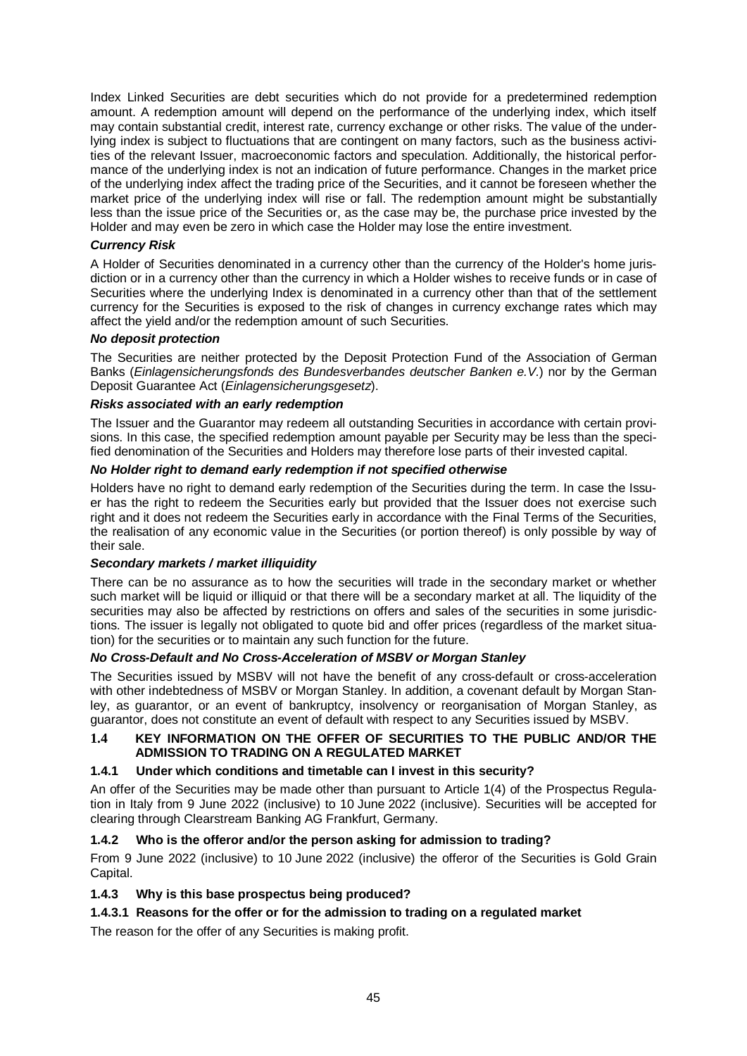Index Linked Securities are debt securities which do not provide for a predetermined redemption amount. A redemption amount will depend on the performance of the underlying index, which itself may contain substantial credit, interest rate, currency exchange or other risks. The value of the underlying index is subject to fluctuations that are contingent on many factors, such as the business activities of the relevant Issuer, macroeconomic factors and speculation. Additionally, the historical performance of the underlying index is not an indication of future performance. Changes in the market price of the underlying index affect the trading price of the Securities, and it cannot be foreseen whether the market price of the underlying index will rise or fall. The redemption amount might be substantially less than the issue price of the Securities or, as the case may be, the purchase price invested by the Holder and may even be zero in which case the Holder may lose the entire investment.

# *Currency Risk*

A Holder of Securities denominated in a currency other than the currency of the Holder's home jurisdiction or in a currency other than the currency in which a Holder wishes to receive funds or in case of Securities where the underlying Index is denominated in a currency other than that of the settlement currency for the Securities is exposed to the risk of changes in currency exchange rates which may affect the yield and/or the redemption amount of such Securities.

#### *No deposit protection*

The Securities are neither protected by the Deposit Protection Fund of the Association of German Banks (*Einlagensicherungsfonds des Bundesverbandes deutscher Banken e.V.*) nor by the German Deposit Guarantee Act (*Einlagensicherungsgesetz*).

#### *Risks associated with an early redemption*

The Issuer and the Guarantor may redeem all outstanding Securities in accordance with certain provisions. In this case, the specified redemption amount payable per Security may be less than the specified denomination of the Securities and Holders may therefore lose parts of their invested capital.

#### *No Holder right to demand early redemption if not specified otherwise*

Holders have no right to demand early redemption of the Securities during the term. In case the Issuer has the right to redeem the Securities early but provided that the Issuer does not exercise such right and it does not redeem the Securities early in accordance with the Final Terms of the Securities, the realisation of any economic value in the Securities (or portion thereof) is only possible by way of their sale.

#### *Secondary markets / market illiquidity*

There can be no assurance as to how the securities will trade in the secondary market or whether such market will be liquid or illiquid or that there will be a secondary market at all. The liquidity of the securities may also be affected by restrictions on offers and sales of the securities in some jurisdictions. The issuer is legally not obligated to quote bid and offer prices (regardless of the market situation) for the securities or to maintain any such function for the future.

# *No Cross-Default and No Cross-Acceleration of MSBV or Morgan Stanley*

The Securities issued by MSBV will not have the benefit of any cross-default or cross-acceleration with other indebtedness of MSBV or Morgan Stanley. In addition, a covenant default by Morgan Stanley, as guarantor, or an event of bankruptcy, insolvency or reorganisation of Morgan Stanley, as guarantor, does not constitute an event of default with respect to any Securities issued by MSBV.

# **1.4 KEY INFORMATION ON THE OFFER OF SECURITIES TO THE PUBLIC AND/OR THE ADMISSION TO TRADING ON A REGULATED MARKET**

#### **1.4.1 Under which conditions and timetable can I invest in this security?**

An offer of the Securities may be made other than pursuant to Article 1(4) of the Prospectus Regulation in Italy from 9 June 2022 (inclusive) to 10 June 2022 (inclusive). Securities will be accepted for clearing through Clearstream Banking AG Frankfurt, Germany.

# **1.4.2 Who is the offeror and/or the person asking for admission to trading?**

From 9 June 2022 (inclusive) to 10 June 2022 (inclusive) the offeror of the Securities is Gold Grain Capital.

# **1.4.3 Why is this base prospectus being produced?**

# **1.4.3.1 Reasons for the offer or for the admission to trading on a regulated market**

The reason for the offer of any Securities is making profit.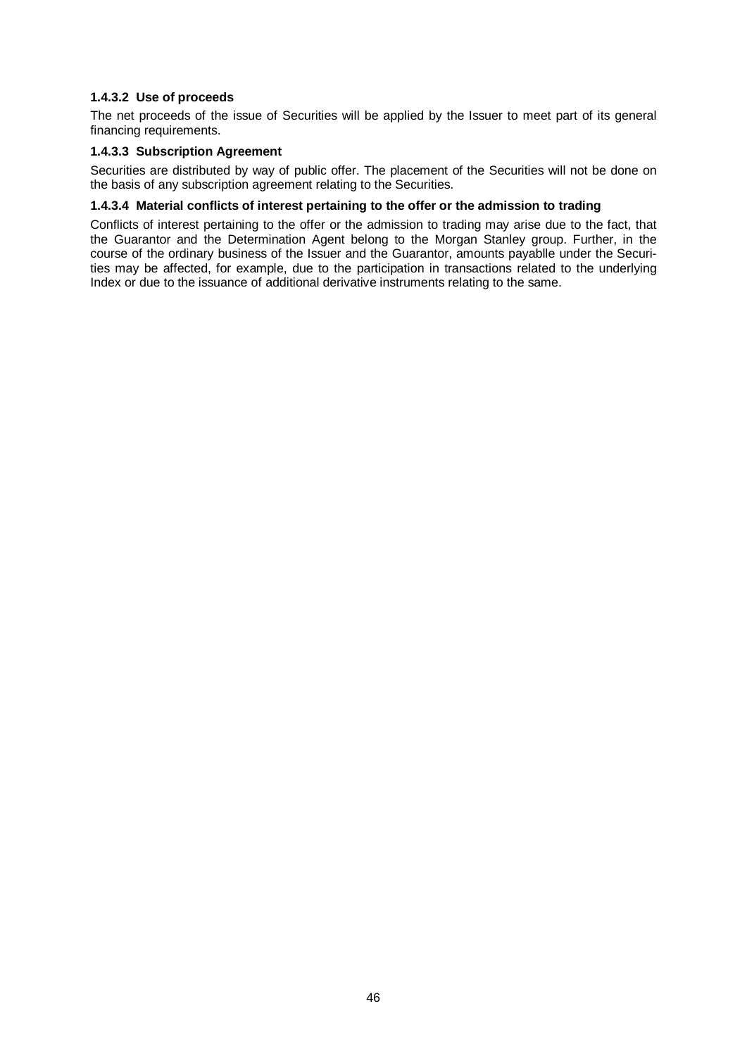# **1.4.3.2 Use of proceeds**

The net proceeds of the issue of Securities will be applied by the Issuer to meet part of its general financing requirements.

# **1.4.3.3 Subscription Agreement**

Securities are distributed by way of public offer. The placement of the Securities will not be done on the basis of any subscription agreement relating to the Securities.

#### **1.4.3.4 Material conflicts of interest pertaining to the offer or the admission to trading**

Conflicts of interest pertaining to the offer or the admission to trading may arise due to the fact, that the Guarantor and the Determination Agent belong to the Morgan Stanley group. Further, in the course of the ordinary business of the Issuer and the Guarantor, amounts payablle under the Securities may be affected, for example, due to the participation in transactions related to the underlying Index or due to the issuance of additional derivative instruments relating to the same.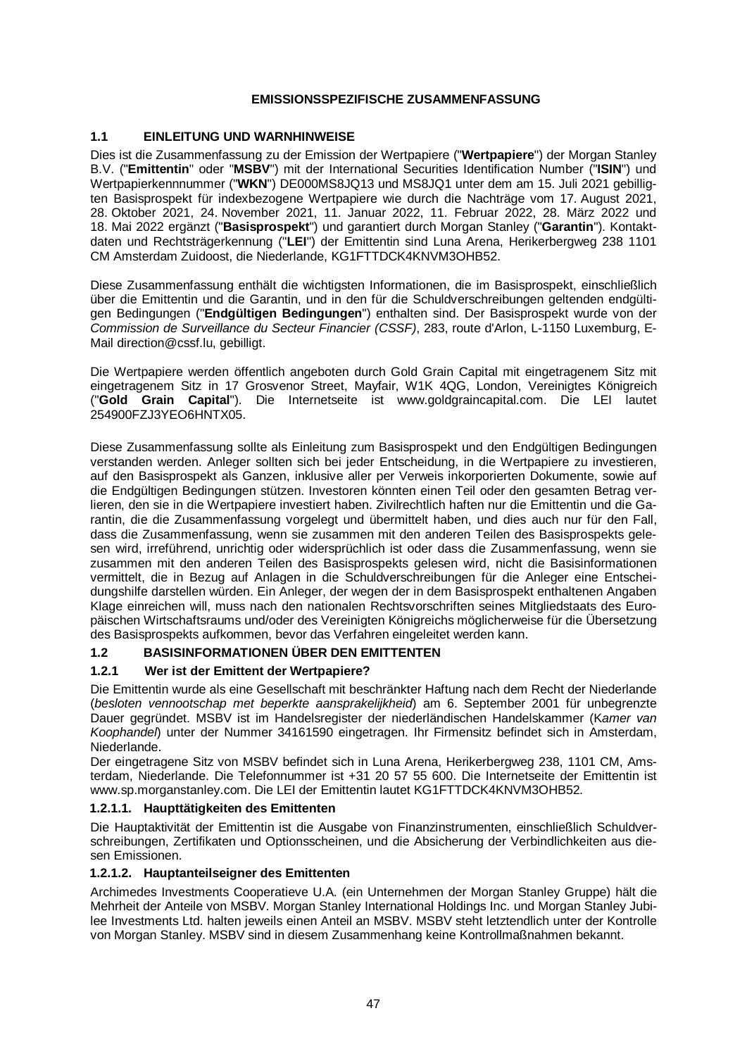# **EMISSIONSSPEZIFISCHE ZUSAMMENFASSUNG**

# **1.1 EINLEITUNG UND WARNHINWEISE**

Dies ist die Zusammenfassung zu der Emission der Wertpapiere ("**Wertpapiere**") der Morgan Stanley B.V. ("**Emittentin**" oder "**MSBV**") mit der International Securities Identification Number ("**ISIN**") und Wertpapierkennnummer ("**WKN**") DE000MS8JQ13 und MS8JQ1 unter dem am 15. Juli 2021 gebilligten Basisprospekt für indexbezogene Wertpapiere wie durch die Nachträge vom 17. August 2021, 28. Oktober 2021, 24. November 2021, 11. Januar 2022, 11. Februar 2022, 28. März 2022 und 18. Mai 2022 ergänzt ("**Basisprospekt**") und garantiert durch Morgan Stanley ("**Garantin**"). Kontaktdaten und Rechtsträgerkennung ("**LEI**") der Emittentin sind Luna Arena, Herikerbergweg 238 1101 CM Amsterdam Zuidoost, die Niederlande, KG1FTTDCK4KNVM3OHB52.

Diese Zusammenfassung enthält die wichtigsten Informationen, die im Basisprospekt, einschließlich über die Emittentin und die Garantin, und in den für die Schuldverschreibungen geltenden endgültigen Bedingungen ("**Endgültigen Bedingungen**") enthalten sind. Der Basisprospekt wurde von der *Commission de Surveillance du Secteur Financier (CSSF)*, 283, route d'Arlon, L-1150 Luxemburg, E-Mail [direction@cssf.lu,](mailto:direction@cssf.lu.) gebilligt.

Die Wertpapiere werden öffentlich angeboten durch Gold Grain Capital mit eingetragenem Sitz mit eingetragenem Sitz in 17 Grosvenor Street, Mayfair, W1K 4QG, London, Vereinigtes Königreich ("**Gold Grain Capital**"). Die Internetseite ist www.goldgraincapital.com. Die LEI lautet 254900FZJ3YEO6HNTX05.

Diese Zusammenfassung sollte als Einleitung zum Basisprospekt und den Endgültigen Bedingungen verstanden werden. Anleger sollten sich bei jeder Entscheidung, in die Wertpapiere zu investieren, auf den Basisprospekt als Ganzen, inklusive aller per Verweis inkorporierten Dokumente, sowie auf die Endgültigen Bedingungen stützen. Investoren könnten einen Teil oder den gesamten Betrag verlieren, den sie in die Wertpapiere investiert haben. Zivilrechtlich haften nur die Emittentin und die Garantin, die die Zusammenfassung vorgelegt und übermittelt haben, und dies auch nur für den Fall, dass die Zusammenfassung, wenn sie zusammen mit den anderen Teilen des Basisprospekts gelesen wird, irreführend, unrichtig oder widersprüchlich ist oder dass die Zusammenfassung, wenn sie zusammen mit den anderen Teilen des Basisprospekts gelesen wird, nicht die Basisinformationen vermittelt, die in Bezug auf Anlagen in die Schuldverschreibungen für die Anleger eine Entscheidungshilfe darstellen würden. Ein Anleger, der wegen der in dem Basisprospekt enthaltenen Angaben Klage einreichen will, muss nach den nationalen Rechtsvorschriften seines Mitgliedstaats des Europäischen Wirtschaftsraums und/oder des Vereinigten Königreichs möglicherweise für die Übersetzung des Basisprospekts aufkommen, bevor das Verfahren eingeleitet werden kann.

# **1.2 BASISINFORMATIONEN ÜBER DEN EMITTENTEN**

# **1.2.1 Wer ist der Emittent der Wertpapiere?**

Die Emittentin wurde als eine Gesellschaft mit beschränkter Haftung nach dem Recht der Niederlande (*besloten vennootschap met beperkte aansprakelijkheid*) am 6. September 2001 für unbegrenzte Dauer gegründet. MSBV ist im Handelsregister der niederländischen Handelskammer (K*amer van Koophandel*) unter der Nummer 34161590 eingetragen. Ihr Firmensitz befindet sich in Amsterdam, Niederlande.

Der eingetragene Sitz von MSBV befindet sich in Luna Arena, Herikerbergweg 238, 1101 CM, Amsterdam, Niederlande. Die Telefonnummer ist +31 20 57 55 600. Die Internetseite der Emittentin ist www.sp.morganstanley.com. Die LEI der Emittentin lautet KG1FTTDCK4KNVM3OHB52.

# **1.2.1.1. Haupttätigkeiten des Emittenten**

Die Hauptaktivität der Emittentin ist die Ausgabe von Finanzinstrumenten, einschließlich Schuldverschreibungen, Zertifikaten und Optionsscheinen, und die Absicherung der Verbindlichkeiten aus diesen Emissionen.

# **1.2.1.2. Hauptanteilseigner des Emittenten**

Archimedes Investments Cooperatieve U.A. (ein Unternehmen der Morgan Stanley Gruppe) hält die Mehrheit der Anteile von MSBV. Morgan Stanley International Holdings Inc. und Morgan Stanley Jubilee Investments Ltd. halten jeweils einen Anteil an MSBV. MSBV steht letztendlich unter der Kontrolle von Morgan Stanley. MSBV sind in diesem Zusammenhang keine Kontrollmaßnahmen bekannt.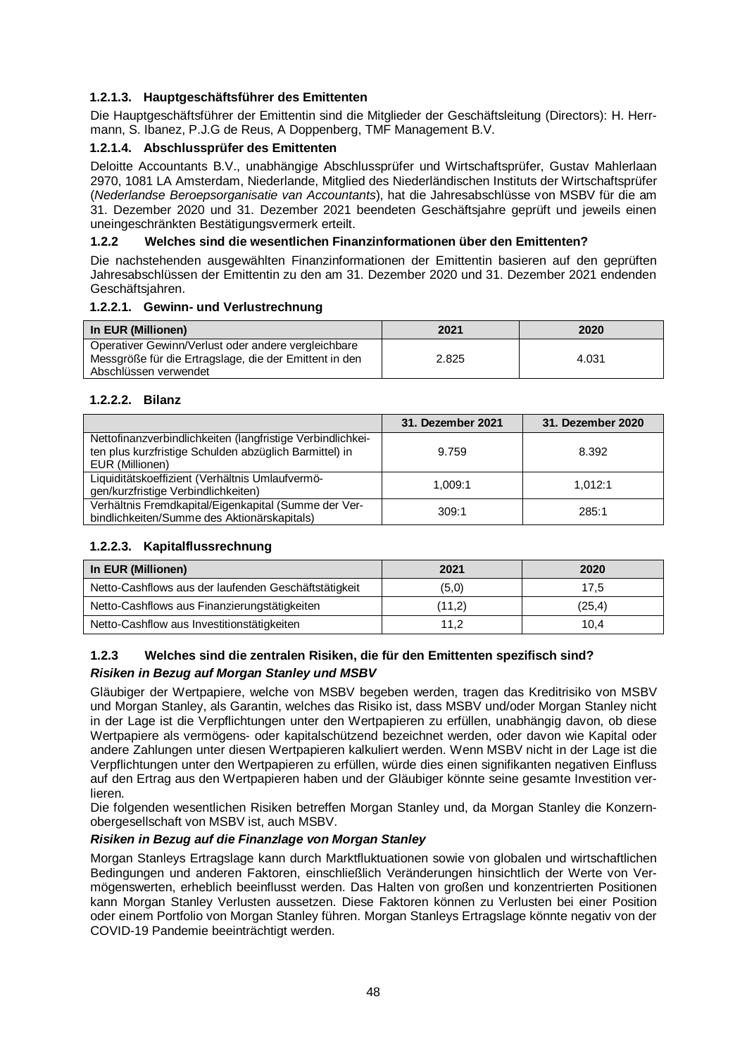# **1.2.1.3. Hauptgeschäftsführer des Emittenten**

Die Hauptgeschäftsführer der Emittentin sind die Mitglieder der Geschäftsleitung (Directors): H. Herrmann, S. Ibanez, P.J.G de Reus, A Doppenberg, TMF Management B.V.

# **1.2.1.4. Abschlussprüfer des Emittenten**

Deloitte Accountants B.V., unabhängige Abschlussprüfer und Wirtschaftsprüfer, Gustav Mahlerlaan 2970, 1081 LA Amsterdam, Niederlande, Mitglied des Niederländischen Instituts der Wirtschaftsprüfer (*Nederlandse Beroepsorganisatie van Accountants*), hat die Jahresabschlüsse von MSBV für die am 31. Dezember 2020 und 31. Dezember 2021 beendeten Geschäftsjahre geprüft und jeweils einen uneingeschränkten Bestätigungsvermerk erteilt.

# **1.2.2 Welches sind die wesentlichen Finanzinformationen über den Emittenten?**

Die nachstehenden ausgewählten Finanzinformationen der Emittentin basieren auf den geprüften Jahresabschlüssen der Emittentin zu den am 31. Dezember 2020 und 31. Dezember 2021 endenden Geschäftsjahren.

# **1.2.2.1. Gewinn- und Verlustrechnung**

| In EUR (Millionen)                                                                                            | 2021  | 2020  |
|---------------------------------------------------------------------------------------------------------------|-------|-------|
| Operativer Gewinn/Verlust oder andere vergleichbare<br>Messgröße für die Ertragslage, die der Emittent in den | 2.825 | 4.031 |
| Abschlüssen verwendet                                                                                         |       |       |

# **1.2.2.2. Bilanz**

|                                                                                                                                         | 31. Dezember 2021 | 31. Dezember 2020 |
|-----------------------------------------------------------------------------------------------------------------------------------------|-------------------|-------------------|
| Nettofinanzverbindlichkeiten (langfristige Verbindlichkei-<br>ten plus kurzfristige Schulden abzüglich Barmittel) in<br>EUR (Millionen) | 9.759             | 8.392             |
| Liquiditätskoeffizient (Verhältnis Umlaufvermö-<br>gen/kurzfristige Verbindlichkeiten)                                                  | 1.009:1           | 1.012:1           |
| Verhältnis Fremdkapital/Eigenkapital (Summe der Ver-<br>bindlichkeiten/Summe des Aktionärskapitals)                                     | 309:1             | 285:1             |

# **1.2.2.3. Kapitalflussrechnung**

| In EUR (Millionen)                                   | 2021   | 2020    |
|------------------------------------------------------|--------|---------|
| Netto-Cashflows aus der laufenden Geschäftstätigkeit | (5,0)  | 17,5    |
| Netto-Cashflows aus Finanzierungstätigkeiten         | (11,2) | (25, 4) |
| Netto-Cashflow aus Investitionstätigkeiten           | 11,2   | 10.4    |

# **1.2.3 Welches sind die zentralen Risiken, die für den Emittenten spezifisch sind?**

# *Risiken in Bezug auf Morgan Stanley und MSBV*

Gläubiger der Wertpapiere, welche von MSBV begeben werden, tragen das Kreditrisiko von MSBV und Morgan Stanley, als Garantin, welches das Risiko ist, dass MSBV und/oder Morgan Stanley nicht in der Lage ist die Verpflichtungen unter den Wertpapieren zu erfüllen, unabhängig davon, ob diese Wertpapiere als vermögens- oder kapitalschützend bezeichnet werden, oder davon wie Kapital oder andere Zahlungen unter diesen Wertpapieren kalkuliert werden. Wenn MSBV nicht in der Lage ist die Verpflichtungen unter den Wertpapieren zu erfüllen, würde dies einen signifikanten negativen Einfluss auf den Ertrag aus den Wertpapieren haben und der Gläubiger könnte seine gesamte Investition verlieren.

Die folgenden wesentlichen Risiken betreffen Morgan Stanley und, da Morgan Stanley die Konzernobergesellschaft von MSBV ist, auch MSBV.

# *Risiken in Bezug auf die Finanzlage von Morgan Stanley*

Morgan Stanleys Ertragslage kann durch Marktfluktuationen sowie von globalen und wirtschaftlichen Bedingungen und anderen Faktoren, einschließlich Veränderungen hinsichtlich der Werte von Vermögenswerten, erheblich beeinflusst werden. Das Halten von großen und konzentrierten Positionen kann Morgan Stanley Verlusten aussetzen. Diese Faktoren können zu Verlusten bei einer Position oder einem Portfolio von Morgan Stanley führen. Morgan Stanleys Ertragslage könnte negativ von der COVID-19 Pandemie beeinträchtigt werden.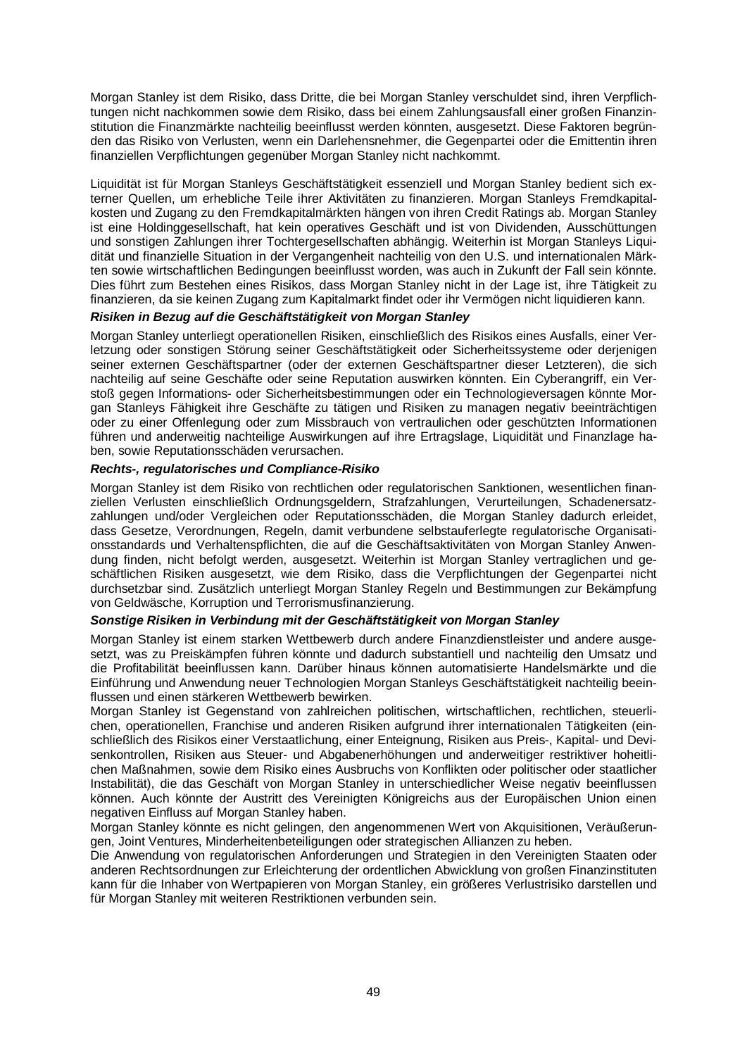Morgan Stanley ist dem Risiko, dass Dritte, die bei Morgan Stanley verschuldet sind, ihren Verpflichtungen nicht nachkommen sowie dem Risiko, dass bei einem Zahlungsausfall einer großen Finanzinstitution die Finanzmärkte nachteilig beeinflusst werden könnten, ausgesetzt. Diese Faktoren begründen das Risiko von Verlusten, wenn ein Darlehensnehmer, die Gegenpartei oder die Emittentin ihren finanziellen Verpflichtungen gegenüber Morgan Stanley nicht nachkommt.

Liquidität ist für Morgan Stanleys Geschäftstätigkeit essenziell und Morgan Stanley bedient sich externer Quellen, um erhebliche Teile ihrer Aktivitäten zu finanzieren. Morgan Stanleys Fremdkapitalkosten und Zugang zu den Fremdkapitalmärkten hängen von ihren Credit Ratings ab. Morgan Stanley ist eine Holdinggesellschaft, hat kein operatives Geschäft und ist von Dividenden, Ausschüttungen und sonstigen Zahlungen ihrer Tochtergesellschaften abhängig. Weiterhin ist Morgan Stanleys Liquidität und finanzielle Situation in der Vergangenheit nachteilig von den U.S. und internationalen Märkten sowie wirtschaftlichen Bedingungen beeinflusst worden, was auch in Zukunft der Fall sein könnte. Dies führt zum Bestehen eines Risikos, dass Morgan Stanley nicht in der Lage ist, ihre Tätigkeit zu finanzieren, da sie keinen Zugang zum Kapitalmarkt findet oder ihr Vermögen nicht liquidieren kann.

# *Risiken in Bezug auf die Geschäftstätigkeit von Morgan Stanley*

Morgan Stanley unterliegt operationellen Risiken, einschließlich des Risikos eines Ausfalls, einer Verletzung oder sonstigen Störung seiner Geschäftstätigkeit oder Sicherheitssysteme oder derjenigen seiner externen Geschäftspartner (oder der externen Geschäftspartner dieser Letzteren), die sich nachteilig auf seine Geschäfte oder seine Reputation auswirken könnten. Ein Cyberangriff, ein Verstoß gegen Informations- oder Sicherheitsbestimmungen oder ein Technologieversagen könnte Morgan Stanleys Fähigkeit ihre Geschäfte zu tätigen und Risiken zu managen negativ beeinträchtigen oder zu einer Offenlegung oder zum Missbrauch von vertraulichen oder geschützten Informationen führen und anderweitig nachteilige Auswirkungen auf ihre Ertragslage, Liquidität und Finanzlage haben, sowie Reputationsschäden verursachen.

#### *Rechts-, regulatorisches und Compliance-Risiko*

Morgan Stanley ist dem Risiko von rechtlichen oder regulatorischen Sanktionen, wesentlichen finanziellen Verlusten einschließlich Ordnungsgeldern, Strafzahlungen, Verurteilungen, Schadenersatzzahlungen und/oder Vergleichen oder Reputationsschäden, die Morgan Stanley dadurch erleidet, dass Gesetze, Verordnungen, Regeln, damit verbundene selbstauferlegte regulatorische Organisationsstandards und Verhaltenspflichten, die auf die Geschäftsaktivitäten von Morgan Stanley Anwendung finden, nicht befolgt werden, ausgesetzt. Weiterhin ist Morgan Stanley vertraglichen und geschäftlichen Risiken ausgesetzt, wie dem Risiko, dass die Verpflichtungen der Gegenpartei nicht durchsetzbar sind. Zusätzlich unterliegt Morgan Stanley Regeln und Bestimmungen zur Bekämpfung von Geldwäsche, Korruption und Terrorismusfinanzierung.

# *Sonstige Risiken in Verbindung mit der Geschäftstätigkeit von Morgan Stanley*

Morgan Stanley ist einem starken Wettbewerb durch andere Finanzdienstleister und andere ausgesetzt, was zu Preiskämpfen führen könnte und dadurch substantiell und nachteilig den Umsatz und die Profitabilität beeinflussen kann. Darüber hinaus können automatisierte Handelsmärkte und die Einführung und Anwendung neuer Technologien Morgan Stanleys Geschäftstätigkeit nachteilig beeinflussen und einen stärkeren Wettbewerb bewirken.

Morgan Stanley ist Gegenstand von zahlreichen politischen, wirtschaftlichen, rechtlichen, steuerlichen, operationellen, Franchise und anderen Risiken aufgrund ihrer internationalen Tätigkeiten (einschließlich des Risikos einer Verstaatlichung, einer Enteignung, Risiken aus Preis-, Kapital- und Devisenkontrollen, Risiken aus Steuer- und Abgabenerhöhungen und anderweitiger restriktiver hoheitlichen Maßnahmen, sowie dem Risiko eines Ausbruchs von Konflikten oder politischer oder staatlicher Instabilität), die das Geschäft von Morgan Stanley in unterschiedlicher Weise negativ beeinflussen können. Auch könnte der Austritt des Vereinigten Königreichs aus der Europäischen Union einen negativen Einfluss auf Morgan Stanley haben.

Morgan Stanley könnte es nicht gelingen, den angenommenen Wert von Akquisitionen, Veräußerungen, Joint Ventures, Minderheitenbeteiligungen oder strategischen Allianzen zu heben.

Die Anwendung von regulatorischen Anforderungen und Strategien in den Vereinigten Staaten oder anderen Rechtsordnungen zur Erleichterung der ordentlichen Abwicklung von großen Finanzinstituten kann für die Inhaber von Wertpapieren von Morgan Stanley, ein größeres Verlustrisiko darstellen und für Morgan Stanley mit weiteren Restriktionen verbunden sein.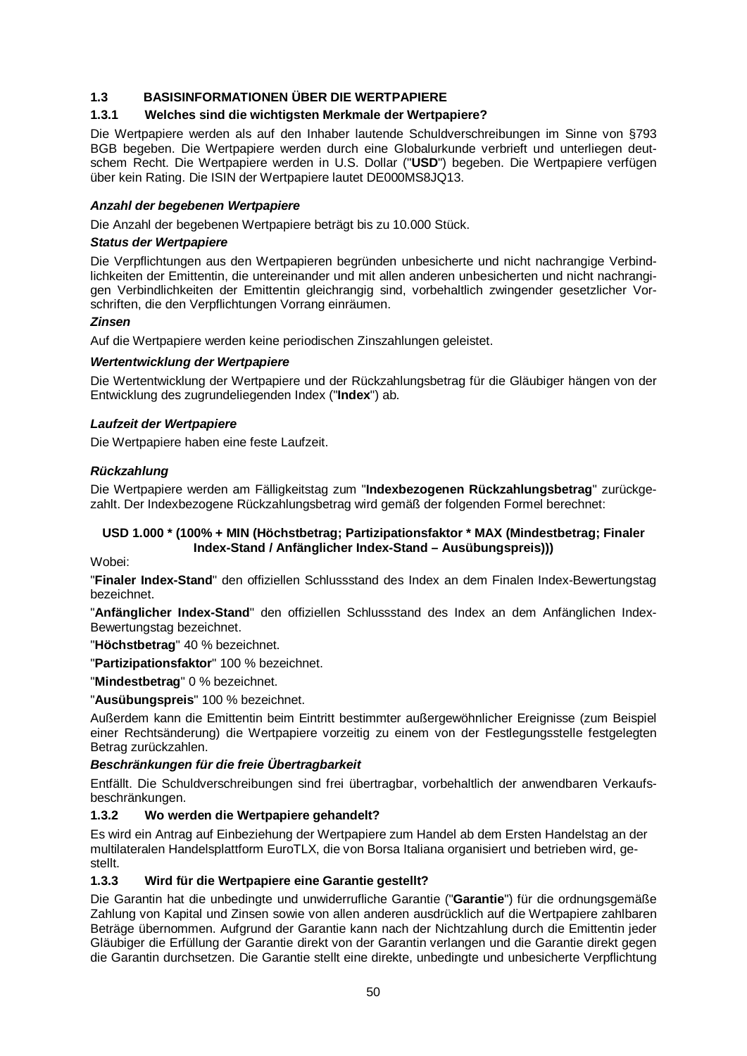# **1.3 BASISINFORMATIONEN ÜBER DIE WERTPAPIERE**

# **1.3.1 Welches sind die wichtigsten Merkmale der Wertpapiere?**

Die Wertpapiere werden als auf den Inhaber lautende Schuldverschreibungen im Sinne von §793 BGB begeben. Die Wertpapiere werden durch eine Globalurkunde verbrieft und unterliegen deutschem Recht. Die Wertpapiere werden in U.S. Dollar ("**USD**") begeben. Die Wertpapiere verfügen über kein Rating. Die ISIN der Wertpapiere lautet DE000MS8JQ13.

#### *Anzahl der begebenen Wertpapiere*

Die Anzahl der begebenen Wertpapiere beträgt bis zu 10.000 Stück.

#### *Status der Wertpapiere*

Die Verpflichtungen aus den Wertpapieren begründen unbesicherte und nicht nachrangige Verbindlichkeiten der Emittentin, die untereinander und mit allen anderen unbesicherten und nicht nachrangigen Verbindlichkeiten der Emittentin gleichrangig sind, vorbehaltlich zwingender gesetzlicher Vorschriften, die den Verpflichtungen Vorrang einräumen.

#### *Zinsen*

Auf die Wertpapiere werden keine periodischen Zinszahlungen geleistet.

#### *Wertentwicklung der Wertpapiere*

Die Wertentwicklung der Wertpapiere und der Rückzahlungsbetrag für die Gläubiger hängen von der Entwicklung des zugrundeliegenden Index ("**Index**") ab.

#### *Laufzeit der Wertpapiere*

Die Wertpapiere haben eine feste Laufzeit.

#### *Rückzahlung*

Die Wertpapiere werden am Fälligkeitstag zum "**Indexbezogenen Rückzahlungsbetrag**" zurückgezahlt. Der Indexbezogene Rückzahlungsbetrag wird gemäß der folgenden Formel berechnet:

# **USD 1.000 \* (100% + MIN (Höchstbetrag; Partizipationsfaktor \* MAX (Mindestbetrag; Finaler Index-Stand / Anfänglicher Index-Stand – Ausübungspreis)))**

Wobei:

"**Finaler Index-Stand**" den offiziellen Schlussstand des Index an dem Finalen Index-Bewertungstag bezeichnet.

"**Anfänglicher Index-Stand**" den offiziellen Schlussstand des Index an dem Anfänglichen Index-Bewertungstag bezeichnet.

"**Höchstbetrag**" 40 % bezeichnet.

"**Partizipationsfaktor**" 100 % bezeichnet.

"**Mindestbetrag**" 0 % bezeichnet.

"**Ausübungspreis**" 100 % bezeichnet.

Außerdem kann die Emittentin beim Eintritt bestimmter außergewöhnlicher Ereignisse (zum Beispiel einer Rechtsänderung) die Wertpapiere vorzeitig zu einem von der Festlegungsstelle festgelegten Betrag zurückzahlen.

# *Beschränkungen für die freie Übertragbarkeit*

Entfällt. Die Schuldverschreibungen sind frei übertragbar, vorbehaltlich der anwendbaren Verkaufsbeschränkungen.

# **1.3.2 Wo werden die Wertpapiere gehandelt?**

Es wird ein Antrag auf Einbeziehung der Wertpapiere zum Handel ab dem Ersten Handelstag an der multilateralen Handelsplattform EuroTLX, die von Borsa Italiana organisiert und betrieben wird, gestellt.

# **1.3.3 Wird für die Wertpapiere eine Garantie gestellt?**

Die Garantin hat die unbedingte und unwiderrufliche Garantie ("**Garantie**") für die ordnungsgemäße Zahlung von Kapital und Zinsen sowie von allen anderen ausdrücklich auf die Wertpapiere zahlbaren Beträge übernommen. Aufgrund der Garantie kann nach der Nichtzahlung durch die Emittentin jeder Gläubiger die Erfüllung der Garantie direkt von der Garantin verlangen und die Garantie direkt gegen die Garantin durchsetzen. Die Garantie stellt eine direkte, unbedingte und unbesicherte Verpflichtung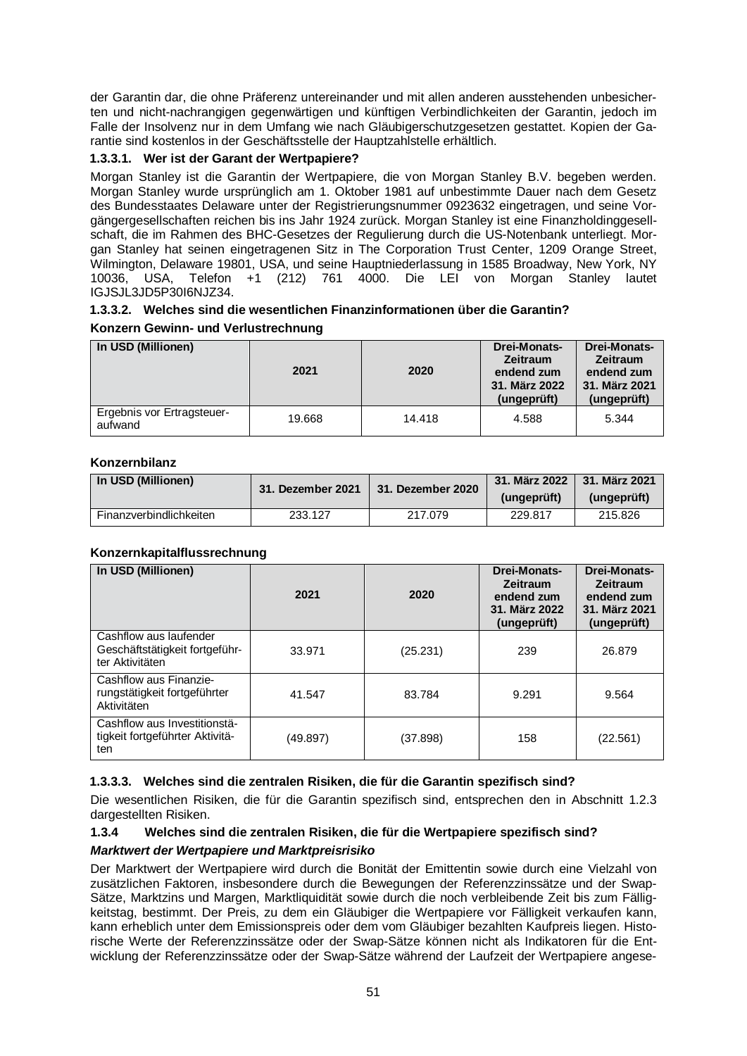der Garantin dar, die ohne Präferenz untereinander und mit allen anderen ausstehenden unbesicherten und nicht-nachrangigen gegenwärtigen und künftigen Verbindlichkeiten der Garantin, jedoch im Falle der Insolvenz nur in dem Umfang wie nach Gläubigerschutzgesetzen gestattet. Kopien der Garantie sind kostenlos in der Geschäftsstelle der Hauptzahlstelle erhältlich.

# **1.3.3.1. Wer ist der Garant der Wertpapiere?**

Morgan Stanley ist die Garantin der Wertpapiere, die von Morgan Stanley B.V. begeben werden. Morgan Stanley wurde ursprünglich am 1. Oktober 1981 auf unbestimmte Dauer nach dem Gesetz des Bundesstaates Delaware unter der Registrierungsnummer 0923632 eingetragen, und seine Vorgängergesellschaften reichen bis ins Jahr 1924 zurück. Morgan Stanley ist eine Finanzholdinggesellschaft, die im Rahmen des BHC-Gesetzes der Regulierung durch die US-Notenbank unterliegt. Morgan Stanley hat seinen eingetragenen Sitz in The Corporation Trust Center, 1209 Orange Street, Wilmington, Delaware 19801, USA, und seine Hauptniederlassung in 1585 Broadway, New York, NY 10036, USA, Telefon +1 (212) 761 4000. Die LEI von Morgan Stanley lautet IGJSJL3JD5P30I6NJZ34.

# **1.3.3.2. Welches sind die wesentlichen Finanzinformationen über die Garantin?**

# **Konzern Gewinn- und Verlustrechnung**

| In USD (Millionen)                    | 2021   | 2020   | <b>Drei-Monats-</b><br><b>Zeitraum</b><br>endend zum<br>31. März 2022<br>(ungeprüft) | <b>Drei-Monats-</b><br><b>Zeitraum</b><br>endend zum<br>31. März 2021<br>(ungeprüft) |
|---------------------------------------|--------|--------|--------------------------------------------------------------------------------------|--------------------------------------------------------------------------------------|
| Ergebnis vor Ertragsteuer-<br>aufwand | 19.668 | 14.418 | 4.588                                                                                | 5.344                                                                                |

# **Konzernbilanz**

| In USD (Millionen)      | 31. Dezember 2021 | 31. Dezember 2020 | 31. März 2022   31. März 2021 |             |
|-------------------------|-------------------|-------------------|-------------------------------|-------------|
|                         |                   |                   | (ungeprüft)                   | (ungeprüft) |
| Finanzverbindlichkeiten | 233.127           | 217.079           | 229.817                       | 215,826     |

# **Konzernkapitalflussrechnung**

| In USD (Millionen)                                                          | 2021     | 2020     | <b>Drei-Monats-</b><br><b>Zeitraum</b><br>endend zum<br>31. März 2022<br>(ungeprüft) | <b>Drei-Monats-</b><br><b>Zeitraum</b><br>endend zum<br>31. März 2021<br>(ungeprüft) |
|-----------------------------------------------------------------------------|----------|----------|--------------------------------------------------------------------------------------|--------------------------------------------------------------------------------------|
| Cashflow aus laufender<br>Geschäftstätigkeit fortgeführ-<br>ter Aktivitäten | 33.971   | (25.231) | 239                                                                                  | 26.879                                                                               |
| Cashflow aus Finanzie-<br>rungstätigkeit fortgeführter<br>Aktivitäten       | 41.547   | 83.784   | 9.291                                                                                | 9.564                                                                                |
| Cashflow aus Investitionstä-<br>tigkeit fortgeführter Aktivitä-<br>ten      | (49.897) | (37.898) | 158                                                                                  | (22.561)                                                                             |

# **1.3.3.3. Welches sind die zentralen Risiken, die für die Garantin spezifisch sind?**

Die wesentlichen Risiken, die für die Garantin spezifisch sind, entsprechen den in Abschnitt 1.2.3 dargestellten Risiken.

# **1.3.4 Welches sind die zentralen Risiken, die für die Wertpapiere spezifisch sind?** *Marktwert der Wertpapiere und Marktpreisrisiko*

Der Marktwert der Wertpapiere wird durch die Bonität der Emittentin sowie durch eine Vielzahl von zusätzlichen Faktoren, insbesondere durch die Bewegungen der Referenzzinssätze und der Swap-Sätze, Marktzins und Margen, Marktliquidität sowie durch die noch verbleibende Zeit bis zum Fälligkeitstag, bestimmt. Der Preis, zu dem ein Gläubiger die Wertpapiere vor Fälligkeit verkaufen kann, kann erheblich unter dem Emissionspreis oder dem vom Gläubiger bezahlten Kaufpreis liegen. Historische Werte der Referenzzinssätze oder der Swap-Sätze können nicht als Indikatoren für die Entwicklung der Referenzzinssätze oder der Swap-Sätze während der Laufzeit der Wertpapiere angese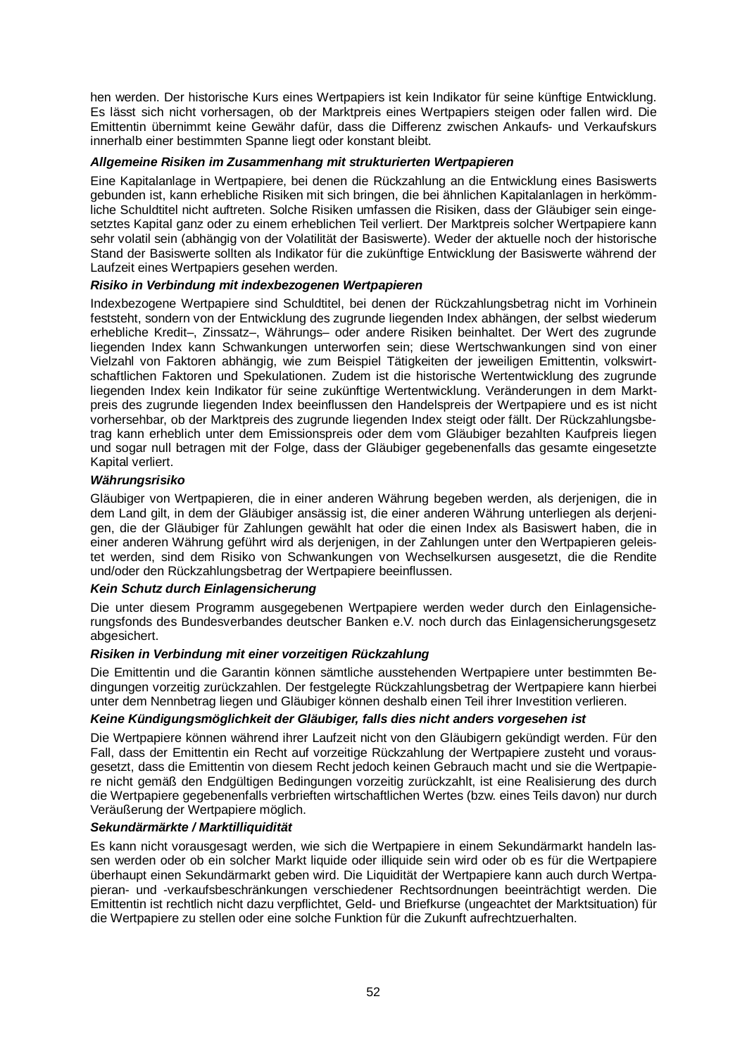hen werden. Der historische Kurs eines Wertpapiers ist kein Indikator für seine künftige Entwicklung. Es lässt sich nicht vorhersagen, ob der Marktpreis eines Wertpapiers steigen oder fallen wird. Die Emittentin übernimmt keine Gewähr dafür, dass die Differenz zwischen Ankaufs- und Verkaufskurs innerhalb einer bestimmten Spanne liegt oder konstant bleibt.

#### *Allgemeine Risiken im Zusammenhang mit strukturierten Wertpapieren*

Eine Kapitalanlage in Wertpapiere, bei denen die Rückzahlung an die Entwicklung eines Basiswerts gebunden ist, kann erhebliche Risiken mit sich bringen, die bei ähnlichen Kapitalanlagen in herkömmliche Schuldtitel nicht auftreten. Solche Risiken umfassen die Risiken, dass der Gläubiger sein eingesetztes Kapital ganz oder zu einem erheblichen Teil verliert. Der Marktpreis solcher Wertpapiere kann sehr volatil sein (abhängig von der Volatilität der Basiswerte). Weder der aktuelle noch der historische Stand der Basiswerte sollten als Indikator für die zukünftige Entwicklung der Basiswerte während der Laufzeit eines Wertpapiers gesehen werden.

# *Risiko in Verbindung mit indexbezogenen Wertpapieren*

Indexbezogene Wertpapiere sind Schuldtitel, bei denen der Rückzahlungsbetrag nicht im Vorhinein feststeht, sondern von der Entwicklung des zugrunde liegenden Index abhängen, der selbst wiederum erhebliche Kredit–, Zinssatz–, Währungs– oder andere Risiken beinhaltet. Der Wert des zugrunde liegenden Index kann Schwankungen unterworfen sein; diese Wertschwankungen sind von einer Vielzahl von Faktoren abhängig, wie zum Beispiel Tätigkeiten der jeweiligen Emittentin, volkswirtschaftlichen Faktoren und Spekulationen. Zudem ist die historische Wertentwicklung des zugrunde liegenden Index kein Indikator für seine zukünftige Wertentwicklung. Veränderungen in dem Marktpreis des zugrunde liegenden Index beeinflussen den Handelspreis der Wertpapiere und es ist nicht vorhersehbar, ob der Marktpreis des zugrunde liegenden Index steigt oder fällt. Der Rückzahlungsbetrag kann erheblich unter dem Emissionspreis oder dem vom Gläubiger bezahlten Kaufpreis liegen und sogar null betragen mit der Folge, dass der Gläubiger gegebenenfalls das gesamte eingesetzte Kapital verliert.

#### *Währungsrisiko*

Gläubiger von Wertpapieren, die in einer anderen Währung begeben werden, als derjenigen, die in dem Land gilt, in dem der Gläubiger ansässig ist, die einer anderen Währung unterliegen als derjenigen, die der Gläubiger für Zahlungen gewählt hat oder die einen Index als Basiswert haben, die in einer anderen Währung geführt wird als derjenigen, in der Zahlungen unter den Wertpapieren geleistet werden, sind dem Risiko von Schwankungen von Wechselkursen ausgesetzt, die die Rendite und/oder den Rückzahlungsbetrag der Wertpapiere beeinflussen.

# *Kein Schutz durch Einlagensicherung*

Die unter diesem Programm ausgegebenen Wertpapiere werden weder durch den Einlagensicherungsfonds des Bundesverbandes deutscher Banken e.V. noch durch das Einlagensicherungsgesetz abgesichert.

#### *Risiken in Verbindung mit einer vorzeitigen Rückzahlung*

Die Emittentin und die Garantin können sämtliche ausstehenden Wertpapiere unter bestimmten Bedingungen vorzeitig zurückzahlen. Der festgelegte Rückzahlungsbetrag der Wertpapiere kann hierbei unter dem Nennbetrag liegen und Gläubiger können deshalb einen Teil ihrer Investition verlieren.

# *Keine Kündigungsmöglichkeit der Gläubiger, falls dies nicht anders vorgesehen ist*

Die Wertpapiere können während ihrer Laufzeit nicht von den Gläubigern gekündigt werden. Für den Fall, dass der Emittentin ein Recht auf vorzeitige Rückzahlung der Wertpapiere zusteht und vorausgesetzt, dass die Emittentin von diesem Recht jedoch keinen Gebrauch macht und sie die Wertpapiere nicht gemäß den Endgültigen Bedingungen vorzeitig zurückzahlt, ist eine Realisierung des durch die Wertpapiere gegebenenfalls verbrieften wirtschaftlichen Wertes (bzw. eines Teils davon) nur durch Veräußerung der Wertpapiere möglich.

# *Sekundärmärkte / Marktilliquidität*

Es kann nicht vorausgesagt werden, wie sich die Wertpapiere in einem Sekundärmarkt handeln lassen werden oder ob ein solcher Markt liquide oder illiquide sein wird oder ob es für die Wertpapiere überhaupt einen Sekundärmarkt geben wird. Die Liquidität der Wertpapiere kann auch durch Wertpapieran- und -verkaufsbeschränkungen verschiedener Rechtsordnungen beeinträchtigt werden. Die Emittentin ist rechtlich nicht dazu verpflichtet, Geld- und Briefkurse (ungeachtet der Marktsituation) für die Wertpapiere zu stellen oder eine solche Funktion für die Zukunft aufrechtzuerhalten.